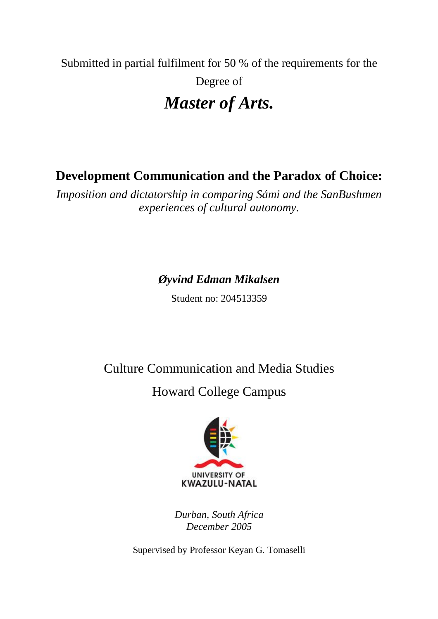# Submitted in partial fulfilment for 50 % of the requirements for the Degree of *Master of Arts.*

## **Development Communication and the Paradox of Choice:**

*Imposition and dictatorship in comparing Sámi and the SanBushmen experiences of cultural autonomy.*

## *Øyvind Edman Mikalsen*

Student no: 204513359

Culture Communication and Media Studies

## Howard College Campus



*Durban, South Africa December 2005*

Supervised by Professor Keyan G. Tomaselli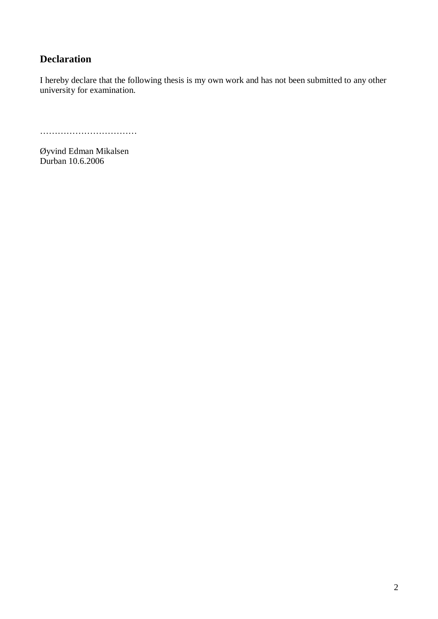## **Declaration**

I hereby declare that the following thesis is my own work and has not been submitted to any other university for examination.

…………………………………

Øyvind Edman Mikalsen Durban 10.6.2006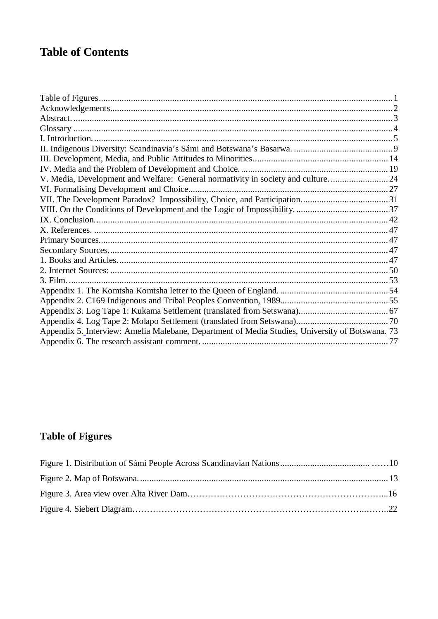## **Table of Contents**

| V. Media, Development and Welfare: General normativity in society and culture24                 |  |
|-------------------------------------------------------------------------------------------------|--|
|                                                                                                 |  |
|                                                                                                 |  |
|                                                                                                 |  |
|                                                                                                 |  |
|                                                                                                 |  |
|                                                                                                 |  |
|                                                                                                 |  |
|                                                                                                 |  |
|                                                                                                 |  |
|                                                                                                 |  |
|                                                                                                 |  |
|                                                                                                 |  |
|                                                                                                 |  |
|                                                                                                 |  |
| Appendix 5. Interview: Amelia Malebane, Department of Media Studies, University of Botswana. 73 |  |
|                                                                                                 |  |

## **Table of Figures**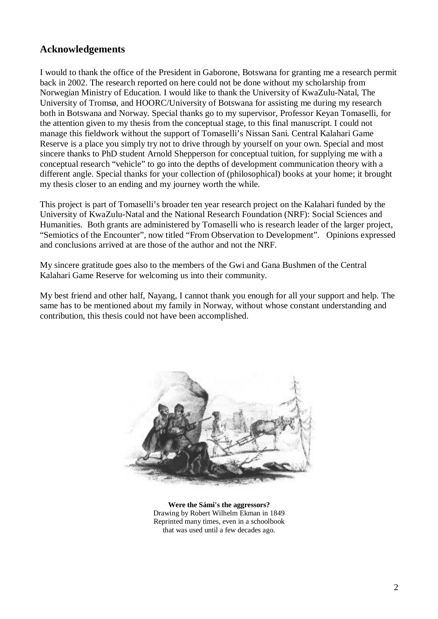## **Acknowledgements**

I would to thank the office of the President in Gaborone, Botswana for granting me a research permit back in 2002. The research reported on here could not be done without my scholarship from Norwegian Ministry of Education. I would like to thank the University of KwaZulu-Natal, The University of Tromsø, and HOORC/University of Botswana for assisting me during my research both in Botswana and Norway. Special thanks go to my supervisor, Professor Keyan Tomaselli, for the attention given to my thesis from the conceptual stage, to this final manuscript. I could not manage this fieldwork without the support of Tomaselli's Nissan Sani. Central Kalahari Game Reserve is a place you simply try not to drive through by yourself on your own. Special and most sincere thanks to PhD student Arnold Shepperson for conceptual tuition, for supplying me with a conceptual research "vehicle" to go into the depths of development communication theory with a different angle. Special thanks for your collection of (philosophical) books at your home; it brought my thesis closer to an ending and my journey worth the while.

This project is part of Tomaselli's broader ten year research project on the Kalahari funded by the University of KwaZulu-Natal and the National Research Foundation (NRF): Social Sciences and Humanities. Both grants are administered by Tomaselli who is research leader of the larger project, "Semiotics of the Encounter", now titled "From Observation to Development". Opinions expressed and conclusions arrived at are those of the author and not the NRF.

My sincere gratitude goes also to the members of the Gwi and Gana Bushmen of the Central Kalahari Game Reserve for welcoming us into their community.

My best friend and other half, Nayang, I cannot thank you enough for all your support and help. The same has to be mentioned about my family in Norway, without whose constant understanding and contribution, this thesis could not have been accomplished.



**Were the Sámi's the aggressors?** Drawing by Robert Wilhelm Ekman in 1849 Reprinted many times, even in a schoolbook that was used until a few decades ago.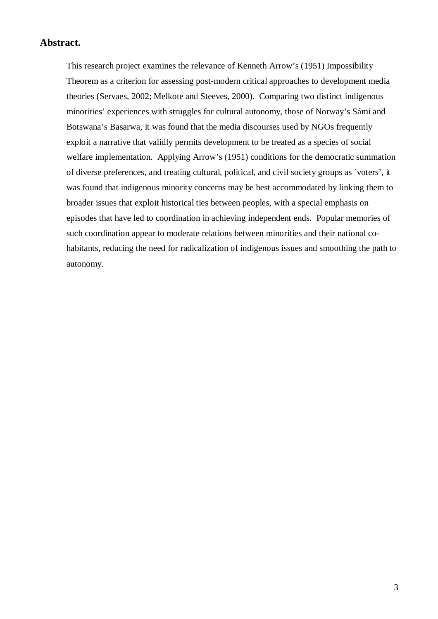## **Abstract.**

This research project examines the relevance of Kenneth Arrow's (1951) Impossibility Theorem as a criterion for assessing post-modern critical approaches to development media theories (Servaes, 2002; Melkote and Steeves, 2000). Comparing two distinct indigenous minorities' experiences with struggles for cultural autonomy, those of Norway's Sámi and Botswana's Basarwa, it was found that the media discourses used by NGOs frequently exploit a narrative that validly permits development to be treated as a species of social welfare implementation. Applying Arrow's (1951) conditions for the democratic summation of diverse preferences, and treating cultural, political, and civil society groups as `voters', it was found that indigenous minority concerns may be best accommodated by linking them to broader issues that exploit historical ties between peoples, with a special emphasis on episodes that have led to coordination in achieving independent ends. Popular memories of such coordination appear to moderate relations between minorities and their national cohabitants, reducing the need for radicalization of indigenous issues and smoothing the path to autonomy.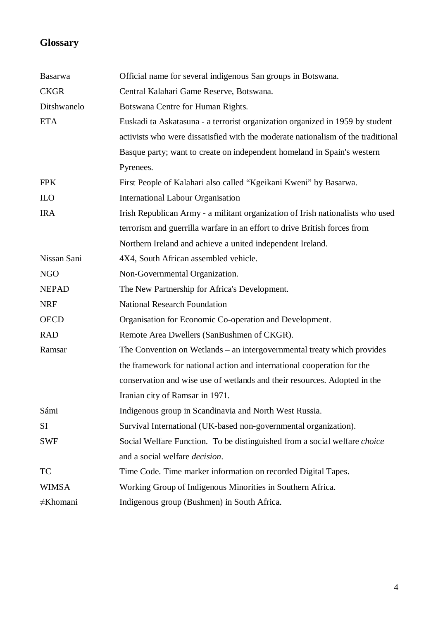## **Glossary**

| <b>Basarwa</b> | Official name for several indigenous San groups in Botswana.                     |  |  |
|----------------|----------------------------------------------------------------------------------|--|--|
| <b>CKGR</b>    | Central Kalahari Game Reserve, Botswana.                                         |  |  |
| Ditshwanelo    | Botswana Centre for Human Rights.                                                |  |  |
| <b>ETA</b>     | Euskadi ta Askatasuna - a terrorist organization organized in 1959 by student    |  |  |
|                | activists who were dissatisfied with the moderate nationalism of the traditional |  |  |
|                | Basque party; want to create on independent homeland in Spain's western          |  |  |
|                | Pyrenees.                                                                        |  |  |
| <b>FPK</b>     | First People of Kalahari also called "Kgeikani Kweni" by Basarwa.                |  |  |
| <b>ILO</b>     | <b>International Labour Organisation</b>                                         |  |  |
| <b>IRA</b>     | Irish Republican Army - a militant organization of Irish nationalists who used   |  |  |
|                | terrorism and guerrilla warfare in an effort to drive British forces from        |  |  |
|                | Northern Ireland and achieve a united independent Ireland.                       |  |  |
| Nissan Sani    | 4X4, South African assembled vehicle.                                            |  |  |
| <b>NGO</b>     | Non-Governmental Organization.                                                   |  |  |
| <b>NEPAD</b>   | The New Partnership for Africa's Development.                                    |  |  |
| <b>NRF</b>     | <b>National Research Foundation</b>                                              |  |  |
| <b>OECD</b>    | Organisation for Economic Co-operation and Development.                          |  |  |
| <b>RAD</b>     | Remote Area Dwellers (SanBushmen of CKGR).                                       |  |  |
| Ramsar         | The Convention on Wetlands – an intergovernmental treaty which provides          |  |  |
|                | the framework for national action and international cooperation for the          |  |  |
|                | conservation and wise use of wetlands and their resources. Adopted in the        |  |  |
|                | Iranian city of Ramsar in 1971.                                                  |  |  |
| Sámi           | Indigenous group in Scandinavia and North West Russia.                           |  |  |
| <b>SI</b>      | Survival International (UK-based non-governmental organization).                 |  |  |
| <b>SWF</b>     | Social Welfare Function. To be distinguished from a social welfare choice        |  |  |
|                | and a social welfare <i>decision</i> .                                           |  |  |
| <b>TC</b>      | Time Code. Time marker information on recorded Digital Tapes.                    |  |  |
| <b>WIMSA</b>   | Working Group of Indigenous Minorities in Southern Africa.                       |  |  |
| $\neq$ Khomani | Indigenous group (Bushmen) in South Africa.                                      |  |  |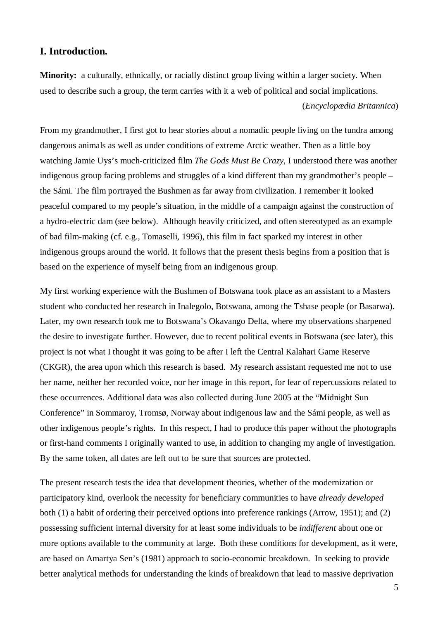### **I. Introduction.**

**Minority:** a culturally, ethnically, or racially distinct group living within a larger society. When used to describe such a group, the term carries with it a web of political and social implications.

#### (*Encyclopædia Britannica*)

From my grandmother, I first got to hear stories about a nomadic people living on the tundra among dangerous animals as well as under conditions of extreme Arctic weather. Then as a little boy watching Jamie Uys's much-criticized film *The Gods Must Be Crazy*, I understood there was another indigenous group facing problems and struggles of a kind different than my grandmother's people – the Sámi. The film portrayed the Bushmen as far away from civilization. I remember it looked peaceful compared to my people's situation, in the middle of a campaign against the construction of a hydro-electric dam (see below). Although heavily criticized, and often stereotyped as an example of bad film-making (cf. e.g., Tomaselli, 1996), this film in fact sparked my interest in other indigenous groups around the world. It follows that the present thesis begins from a position that is based on the experience of myself being from an indigenous group.

My first working experience with the Bushmen of Botswana took place as an assistant to a Masters student who conducted her research in Inalegolo, Botswana, among the Tshase people (or Basarwa). Later, my own research took me to Botswana's Okavango Delta, where my observations sharpened the desire to investigate further. However, due to recent political events in Botswana (see later), this project is not what I thought it was going to be after I left the Central Kalahari Game Reserve (CKGR), the area upon which this research is based. My research assistant requested me not to use her name, neither her recorded voice, nor her image in this report, for fear of repercussions related to these occurrences. Additional data was also collected during June 2005 at the "Midnight Sun Conference" in Sommaroy, Tromsø, Norway about indigenous law and the Sámi people, as well as other indigenous people's rights. In this respect, I had to produce this paper without the photographs or first-hand comments I originally wanted to use, in addition to changing my angle of investigation. By the same token, all dates are left out to be sure that sources are protected.

The present research tests the idea that development theories, whether of the modernization or participatory kind, overlook the necessity for beneficiary communities to have *already developed* both (1) a habit of ordering their perceived options into preference rankings (Arrow, 1951); and (2) possessing sufficient internal diversity for at least some individuals to be *indifferent* about one or more options available to the community at large. Both these conditions for development, as it were, are based on Amartya Sen's (1981) approach to socio-economic breakdown. In seeking to provide better analytical methods for understanding the kinds of breakdown that lead to massive deprivation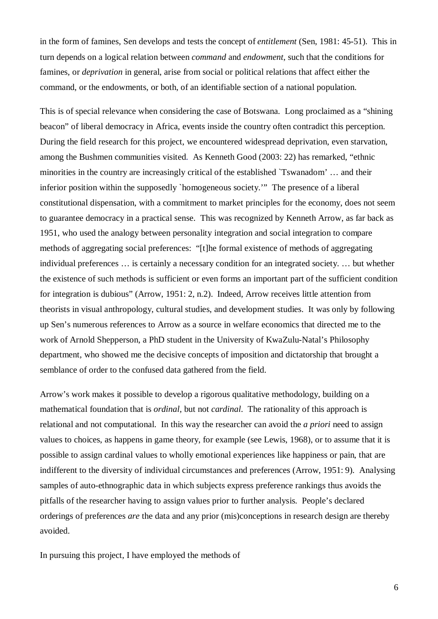in the form of famines, Sen develops and tests the concept of *entitlement* (Sen, 1981: 45-51). This in turn depends on a logical relation between *command* and *endowment*, such that the conditions for famines, or *deprivation* in general, arise from social or political relations that affect either the command, or the endowments, or both, of an identifiable section of a national population.

This is of special relevance when considering the case of Botswana. Long proclaimed as a "shining beacon" of liberal democracy in Africa, events inside the country often contradict this perception. During the field research for this project, we encountered widespread deprivation, even starvation, among the Bushmen communities visited. As Kenneth Good (2003: 22) has remarked, "ethnic minorities in the country are increasingly critical of the established `Tswanadom' … and their inferior position within the supposedly `homogeneous society.'" The presence of a liberal constitutional dispensation, with a commitment to market principles for the economy, does not seem to guarantee democracy in a practical sense. This was recognized by Kenneth Arrow, as far back as 1951, who used the analogy between personality integration and social integration to compare methods of aggregating social preferences: "[t]he formal existence of methods of aggregating individual preferences … is certainly a necessary condition for an integrated society. … but whether the existence of such methods is sufficient or even forms an important part of the sufficient condition for integration is dubious" (Arrow, 1951: 2, n.2). Indeed, Arrow receives little attention from theorists in visual anthropology, cultural studies, and development studies. It was only by following up Sen's numerous references to Arrow as a source in welfare economics that directed me to the work of Arnold Shepperson, a PhD student in the University of KwaZulu-Natal's Philosophy department, who showed me the decisive concepts of imposition and dictatorship that brought a semblance of order to the confused data gathered from the field.

Arrow's work makes it possible to develop a rigorous qualitative methodology, building on a mathematical foundation that is *ordinal*, but not *cardinal*. The rationality of this approach is relational and not computational. In this way the researcher can avoid the *a priori* need to assign values to choices, as happens in game theory, for example (see Lewis, 1968), or to assume that it is possible to assign cardinal values to wholly emotional experiences like happiness or pain, that are indifferent to the diversity of individual circumstances and preferences (Arrow, 1951: 9). Analysing samples of auto-ethnographic data in which subjects express preference rankings thus avoids the pitfalls of the researcher having to assign values prior to further analysis. People's declared orderings of preferences *are* the data and any prior (mis)conceptions in research design are thereby avoided.

In pursuing this project, I have employed the methods of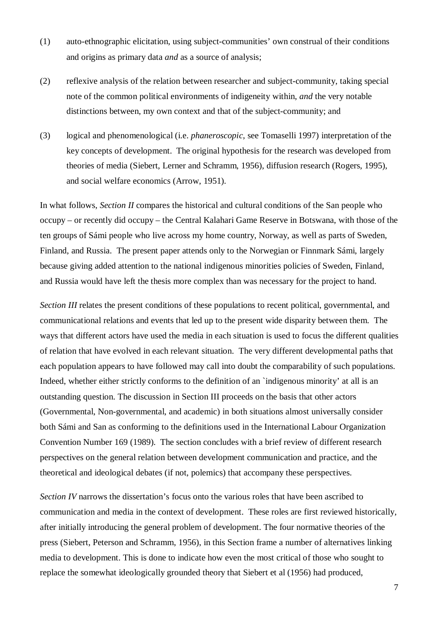- (1) auto-ethnographic elicitation, using subject-communities' own construal of their conditions and origins as primary data *and* as a source of analysis;
- (2) reflexive analysis of the relation between researcher and subject-community, taking special note of the common political environments of indigeneity within, *and* the very notable distinctions between, my own context and that of the subject-community; and
- (3) logical and phenomenological (i.e. *phaneroscopic*, see Tomaselli 1997) interpretation of the key concepts of development. The original hypothesis for the research was developed from theories of media (Siebert, Lerner and Schramm, 1956), diffusion research (Rogers, 1995), and social welfare economics (Arrow, 1951).

In what follows, *Section II* compares the historical and cultural conditions of the San people who occupy – or recently did occupy – the Central Kalahari Game Reserve in Botswana, with those of the ten groups of Sámi people who live across my home country, Norway, as well as parts of Sweden, Finland, and Russia. The present paper attends only to the Norwegian or Finnmark Sámi, largely because giving added attention to the national indigenous minorities policies of Sweden, Finland, and Russia would have left the thesis more complex than was necessary for the project to hand.

*Section III* relates the present conditions of these populations to recent political, governmental, and communicational relations and events that led up to the present wide disparity between them. The ways that different actors have used the media in each situation is used to focus the different qualities of relation that have evolved in each relevant situation. The very different developmental paths that each population appears to have followed may call into doubt the comparability of such populations. Indeed, whether either strictly conforms to the definition of an `indigenous minority' at all is an outstanding question. The discussion in Section III proceeds on the basis that other actors (Governmental, Non-governmental, and academic) in both situations almost universally consider both Sámi and San as conforming to the definitions used in the International Labour Organization Convention Number 169 (1989). The section concludes with a brief review of different research perspectives on the general relation between development communication and practice, and the theoretical and ideological debates (if not, polemics) that accompany these perspectives.

*Section IV* narrows the dissertation's focus onto the various roles that have been ascribed to communication and media in the context of development. These roles are first reviewed historically, after initially introducing the general problem of development. The four normative theories of the press (Siebert, Peterson and Schramm, 1956), in this Section frame a number of alternatives linking media to development. This is done to indicate how even the most critical of those who sought to replace the somewhat ideologically grounded theory that Siebert et al (1956) had produced,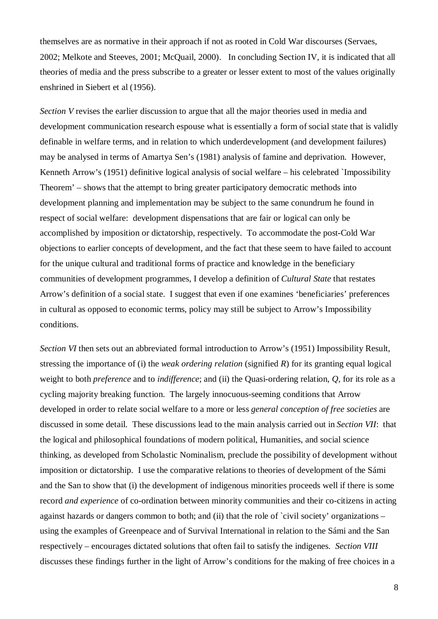themselves are as normative in their approach if not as rooted in Cold War discourses (Servaes, 2002; Melkote and Steeves, 2001; McQuail, 2000). In concluding Section IV, it is indicated that all theories of media and the press subscribe to a greater or lesser extent to most of the values originally enshrined in Siebert et al (1956).

*Section V* revises the earlier discussion to argue that all the major theories used in media and development communication research espouse what is essentially a form of social state that is validly definable in welfare terms, and in relation to which underdevelopment (and development failures) may be analysed in terms of Amartya Sen's (1981) analysis of famine and deprivation. However, Kenneth Arrow's (1951) definitive logical analysis of social welfare – his celebrated `Impossibility Theorem' – shows that the attempt to bring greater participatory democratic methods into development planning and implementation may be subject to the same conundrum he found in respect of social welfare: development dispensations that are fair or logical can only be accomplished by imposition or dictatorship, respectively. To accommodate the post-Cold War objections to earlier concepts of development, and the fact that these seem to have failed to account for the unique cultural and traditional forms of practice and knowledge in the beneficiary communities of development programmes, I develop a definition of *Cultural State* that restates Arrow's definition of a social state. I suggest that even if one examines 'beneficiaries' preferences in cultural as opposed to economic terms, policy may still be subject to Arrow's Impossibility conditions.

*Section VI* then sets out an abbreviated formal introduction to Arrow's (1951) Impossibility Result, stressing the importance of (i) the *weak ordering relation* (signified *R*) for its granting equal logical weight to both *preference* and to *indifference*; and (ii) the Quasi-ordering relation, *Q*, for its role as a cycling majority breaking function. The largely innocuous-seeming conditions that Arrow developed in order to relate social welfare to a more or less *general conception of free societies* are discussed in some detail. These discussions lead to the main analysis carried out in *Section VII*: that the logical and philosophical foundations of modern political, Humanities, and social science thinking, as developed from Scholastic Nominalism, preclude the possibility of development without imposition or dictatorship. I use the comparative relations to theories of development of the Sámi and the San to show that (i) the development of indigenous minorities proceeds well if there is some record *and experience* of co-ordination between minority communities and their co-citizens in acting against hazards or dangers common to both; and (ii) that the role of `civil society' organizations – using the examples of Greenpeace and of Survival International in relation to the Sámi and the San respectively – encourages dictated solutions that often fail to satisfy the indigenes. *Section VIII* discusses these findings further in the light of Arrow's conditions for the making of free choices in a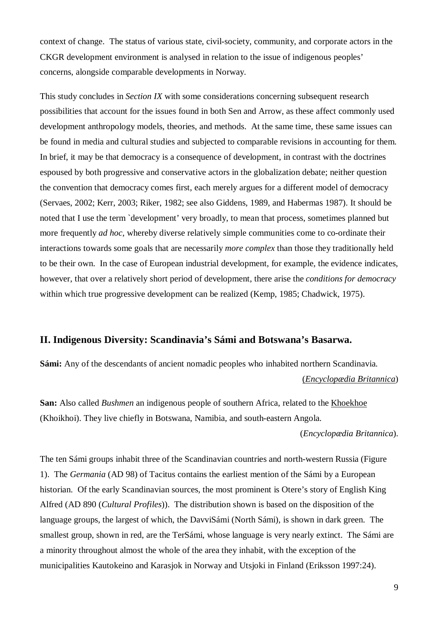context of change. The status of various state, civil-society, community, and corporate actors in the CKGR development environment is analysed in relation to the issue of indigenous peoples' concerns, alongside comparable developments in Norway.

This study concludes in *Section IX* with some considerations concerning subsequent research possibilities that account for the issues found in both Sen and Arrow, as these affect commonly used development anthropology models, theories, and methods. At the same time, these same issues can be found in media and cultural studies and subjected to comparable revisions in accounting for them. In brief, it may be that democracy is a consequence of development, in contrast with the doctrines espoused by both progressive and conservative actors in the globalization debate; neither question the convention that democracy comes first, each merely argues for a different model of democracy (Servaes, 2002; Kerr, 2003; Riker, 1982; see also Giddens, 1989, and Habermas 1987). It should be noted that I use the term `development' very broadly, to mean that process, sometimes planned but more frequently *ad hoc*, whereby diverse relatively simple communities come to co-ordinate their interactions towards some goals that are necessarily *more complex* than those they traditionally held to be their own. In the case of European industrial development, for example, the evidence indicates, however, that over a relatively short period of development, there arise the *conditions for democracy* within which true progressive development can be realized (Kemp, 1985; Chadwick, 1975).

### **II. Indigenous Diversity: Scandinavia's Sámi and Botswana's Basarwa.**

**Sámi:** Any of the descendants of ancient nomadic peoples who inhabited northern Scandinavia.

(*Encyclopædia Britannica*)

San: Also called *Bushmen* an indigenous people of southern Africa, related to the Khoekhoe (Khoikhoi). They live chiefly in Botswana, Namibia, and south-eastern Angola.

#### (*Encyclopædia Britannica*).

The ten Sámi groups inhabit three of the Scandinavian countries and north-western Russia (Figure 1). The *Germania* (AD 98) of Tacitus contains the earliest mention of the Sámi by a European historian. Of the early Scandinavian sources, the most prominent is Otere's story of English King Alfred (AD 890 (*Cultural Profiles*)). The distribution shown is based on the disposition of the language groups, the largest of which, the DavviSámi (North Sámi), is shown in dark green. The smallest group, shown in red, are the TerSámi, whose language is very nearly extinct. The Sámi are a minority throughout almost the whole of the area they inhabit, with the exception of the municipalities Kautokeino and Karasjok in Norway and Utsjoki in Finland (Eriksson 1997:24).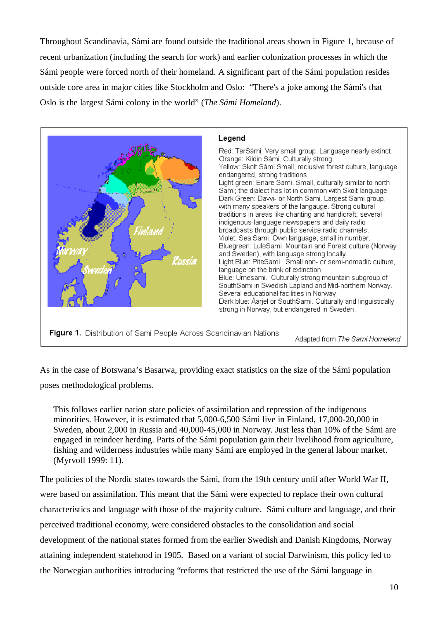Throughout Scandinavia, Sámi are found outside the traditional areas shown in Figure 1, because of recent urbanization (including the search for work) and earlier colonization processes in which the Sámi people were forced north of their homeland. A significant part of the Sámi population resides outside core area in major cities like Stockholm and Oslo: "There's a joke among the Sámi's that Oslo is the largest Sámi colony in the world" (*The Sámi Homeland*).



## Legend

Red: TerSámi: Very small group, Language nearly extinct. Orange: Kildin Sámi, Culturally strong. Yellow: Skolt Sámi Small, reclusive forest culture, language endangered, strong traditions. Light green: Enare Sami. Small, culturally similar to north Sami, the dialect has lot in common with Skolt language Dark Green: Dawi- or North Sami. Largest Sami group, with many speakers of the langauge. Strong cultural traditions in areas like chanting and handicraft; several indigenous-language newspapers and daily radio broadcasts through public service radio channels. Violet: Sea Sami. Own language, small in number. Bluegreen: LuleSami. Mountain and Forest culture (Norway and Sweden), with language strong locally. Light Blue: PiteSami. Small non- or semi-nomadic culture, language on the brink of extinction. Blue: Umesami. Culturally strong mountain subgroup of SouthSami in Swedish Lapland and Mid-northern Norway. Several educational facilities in Norway. Dark blue: Åarjel or SouthSami. Culturally and linguistically strong in Norway, but endangered in Sweden.

Figure 1. Distribution of Sami People Across Scandinavian Nations Adapted from The Sami Homeland

As in the case of Botswana's Basarwa, providing exact statistics on the size of the Sámi population poses methodological problems.

This follows earlier nation state policies of assimilation and repression of the indigenous minorities. However, it is estimated that 5,000-6,500 Sámi live in Finland, 17,000-20,000 in Sweden, about 2,000 in Russia and 40,000-45,000 in Norway. Just less than 10% of the Sámi are engaged in reindeer herding. Parts of the Sámi population gain their livelihood from agriculture, fishing and wilderness industries while many Sámi are employed in the general labour market. (Myrvoll 1999: 11).

The policies of the Nordic states towards the Sámi, from the 19th century until after World War II, were based on assimilation. This meant that the Sámi were expected to replace their own cultural characteristics and language with those of the majority culture. Sámi culture and language, and their perceived traditional economy, were considered obstacles to the consolidation and social development of the national states formed from the earlier Swedish and Danish Kingdoms, Norway attaining independent statehood in 1905. Based on a variant of social Darwinism, this policy led to the Norwegian authorities introducing "reforms that restricted the use of the Sámi language in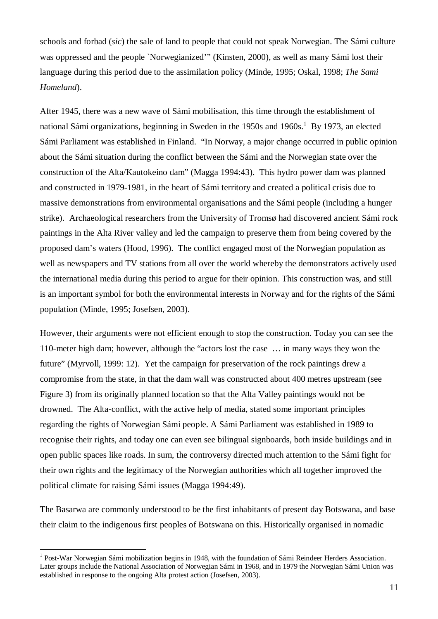schools and forbad (*sic*) the sale of land to people that could not speak Norwegian. The Sámi culture was oppressed and the people `Norwegianized'" (Kinsten, 2000), as well as many Sámi lost their language during this period due to the assimilation policy (Minde, 1995; Oskal, 1998; *The Sami Homeland*).

After 1945, there was a new wave of Sámi mobilisation, this time through the establishment of national Sámi organizations, beginning in Sweden in the 1950s and 1960s.<sup>1</sup> By 1973, an elected Sámi Parliament was established in Finland. "In Norway, a major change occurred in public opinion about the Sámi situation during the conflict between the Sámi and the Norwegian state over the construction of the Alta/Kautokeino dam" (Magga 1994:43). This hydro power dam was planned and constructed in 1979-1981, in the heart of Sámi territory and created a political crisis due to massive demonstrations from environmental organisations and the Sámi people (including a hunger strike). Archaeological researchers from the University of Tromsø had discovered ancient Sámi rock paintings in the Alta River valley and led the campaign to preserve them from being covered by the proposed dam's waters (Hood, 1996). The conflict engaged most of the Norwegian population as well as newspapers and TV stations from all over the world whereby the demonstrators actively used the international media during this period to argue for their opinion. This construction was, and still is an important symbol for both the environmental interests in Norway and for the rights of the Sámi population (Minde, 1995; Josefsen, 2003).

However, their arguments were not efficient enough to stop the construction. Today you can see the 110-meter high dam; however, although the "actors lost the case … in many ways they won the future" (Myrvoll, 1999: 12). Yet the campaign for preservation of the rock paintings drew a compromise from the state, in that the dam wall was constructed about 400 metres upstream (see Figure 3) from its originally planned location so that the Alta Valley paintings would not be drowned. The Alta-conflict, with the active help of media, stated some important principles regarding the rights of Norwegian Sámi people. A Sámi Parliament was established in 1989 to recognise their rights, and today one can even see bilingual signboards, both inside buildings and in open public spaces like roads. In sum, the controversy directed much attention to the Sámi fight for their own rights and the legitimacy of the Norwegian authorities which all together improved the political climate for raising Sámi issues (Magga 1994:49).

The Basarwa are commonly understood to be the first inhabitants of present day Botswana, and base their claim to the indigenous first peoples of Botswana on this. Historically organised in nomadic

 $\overline{a}$ 

<sup>&</sup>lt;sup>1</sup> Post-War Norwegian Sámi mobilization begins in 1948, with the foundation of Sámi Reindeer Herders Association. Later groups include the National Association of Norwegian Sámi in 1968, and in 1979 the Norwegian Sámi Union was established in response to the ongoing Alta protest action (Josefsen, 2003).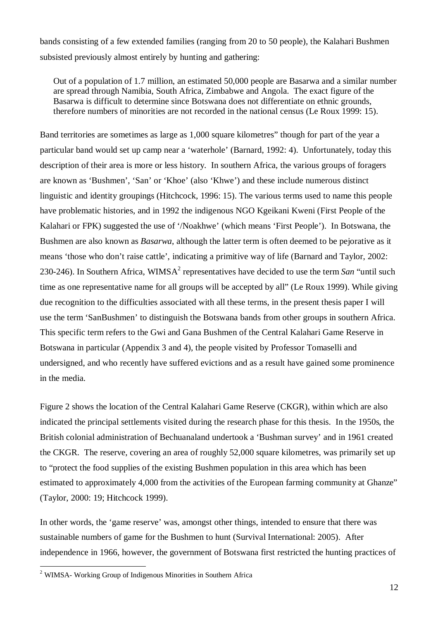bands consisting of a few extended families (ranging from 20 to 50 people), the Kalahari Bushmen subsisted previously almost entirely by hunting and gathering:

Out of a population of 1.7 million, an estimated 50,000 people are Basarwa and a similar number are spread through Namibia, South Africa, Zimbabwe and Angola. The exact figure of the Basarwa is difficult to determine since Botswana does not differentiate on ethnic grounds, therefore numbers of minorities are not recorded in the national census (Le Roux 1999: 15).

Band territories are sometimes as large as 1,000 square kilometres" though for part of the year a particular band would set up camp near a 'waterhole' (Barnard, 1992: 4). Unfortunately, today this description of their area is more or less history. In southern Africa, the various groups of foragers are known as 'Bushmen', 'San' or 'Khoe' (also 'Khwe') and these include numerous distinct linguistic and identity groupings (Hitchcock, 1996: 15). The various terms used to name this people have problematic histories, and in 1992 the indigenous NGO Kgeikani Kweni (First People of the Kalahari or FPK) suggested the use of '/Noakhwe' (which means 'First People'). In Botswana, the Bushmen are also known as *Basarwa*, although the latter term is often deemed to be pejorative as it means 'those who don't raise cattle', indicating a primitive way of life (Barnard and Taylor, 2002: 230-246). In Southern Africa, WIMSA<sup>2</sup> representatives have decided to use the term *San* "until such time as one representative name for all groups will be accepted by all" (Le Roux 1999). While giving due recognition to the difficulties associated with all these terms, in the present thesis paper I will use the term 'SanBushmen' to distinguish the Botswana bands from other groups in southern Africa. This specific term refers to the Gwi and Gana Bushmen of the Central Kalahari Game Reserve in Botswana in particular (Appendix 3 and 4), the people visited by Professor Tomaselli and undersigned, and who recently have suffered evictions and as a result have gained some prominence in the media.

Figure 2 shows the location of the Central Kalahari Game Reserve (CKGR), within which are also indicated the principal settlements visited during the research phase for this thesis. In the 1950s, the British colonial administration of Bechuanaland undertook a 'Bushman survey' and in 1961 created the CKGR. The reserve, covering an area of roughly 52,000 square kilometres, was primarily set up to "protect the food supplies of the existing Bushmen population in this area which has been estimated to approximately 4,000 from the activities of the European farming community at Ghanze" (Taylor, 2000: 19; Hitchcock 1999).

In other words, the 'game reserve' was, amongst other things, intended to ensure that there was sustainable numbers of game for the Bushmen to hunt (Survival International: 2005).After independence in 1966, however, the government of Botswana first restricted the hunting practices of

 $\overline{a}$ 

<sup>&</sup>lt;sup>2</sup> WIMSA- Working Group of Indigenous Minorities in Southern Africa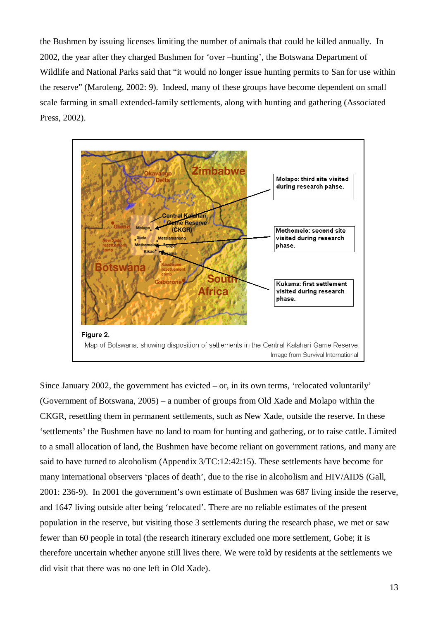the Bushmen by issuing licenses limiting the number of animals that could be killed annually. In 2002, the year after they charged Bushmen for 'over –hunting', the Botswana Department of Wildlife and National Parks said that "it would no longer issue hunting permits to San for use within the reserve" (Maroleng, 2002: 9). Indeed, many of these groups have become dependent on small scale farming in small extended-family settlements, along with hunting and gathering (Associated Press, 2002).



Since January 2002, the government has evicted  $-$  or, in its own terms, 'relocated voluntarily' (Government of Botswana, 2005) – a number of groups from Old Xade and Molapo within the CKGR, resettling them in permanent settlements, such as New Xade, outside the reserve. In these 'settlements' the Bushmen have no land to roam for hunting and gathering, or to raise cattle. Limited to a small allocation of land, the Bushmen have become reliant on government rations, and many are said to have turned to alcoholism (Appendix 3/TC:12:42:15). These settlements have become for many international observers 'places of death', due to the rise in alcoholism and HIV/AIDS (Gall, 2001: 236-9). In 2001 the government's own estimate of Bushmen was 687 living inside the reserve, and 1647 living outside after being 'relocated'. There are no reliable estimates of the present population in the reserve, but visiting those 3 settlements during the research phase, we met or saw fewer than 60 people in total (the research itinerary excluded one more settlement, Gobe; it is therefore uncertain whether anyone still lives there. We were told by residents at the settlements we did visit that there was no one left in Old Xade).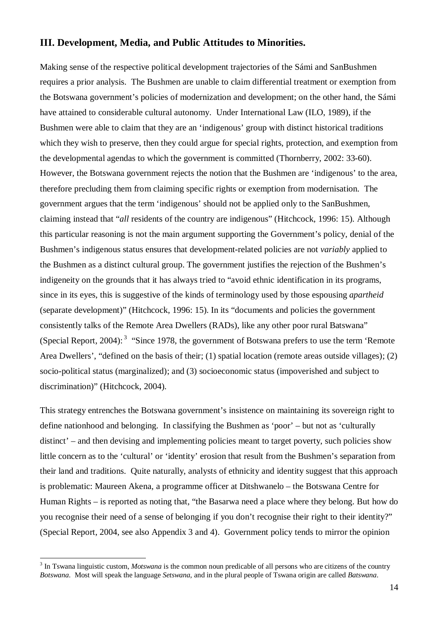### **III. Development, Media, and Public Attitudes to Minorities.**

Making sense of the respective political development trajectories of the Sámi and SanBushmen requires a prior analysis. The Bushmen are unable to claim differential treatment or exemption from the Botswana government's policies of modernization and development; on the other hand, the Sámi have attained to considerable cultural autonomy. Under International Law (ILO, 1989), if the Bushmen were able to claim that they are an 'indigenous' group with distinct historical traditions which they wish to preserve, then they could argue for special rights, protection, and exemption from the developmental agendas to which the government is committed (Thornberry, 2002: 33-60). However, the Botswana government rejects the notion that the Bushmen are 'indigenous' to the area, therefore precluding them from claiming specific rights or exemption from modernisation. The government argues that the term 'indigenous' should not be applied only to the SanBushmen, claiming instead that "*all* residents of the country are indigenous" (Hitchcock, 1996: 15). Although this particular reasoning is not the main argument supporting the Government's policy, denial of the Bushmen's indigenous status ensures that development-related policies are not *variably* applied to the Bushmen as a distinct cultural group. The government justifies the rejection of the Bushmen's indigeneity on the grounds that it has always tried to "avoid ethnic identification in its programs, since in its eyes, this is suggestive of the kinds of terminology used by those espousing *apartheid*  (separate development)" (Hitchcock, 1996: 15). In its "documents and policies the government consistently talks of the Remote Area Dwellers (RADs), like any other poor rural Batswana" (Special Report, 2004):  $3$  "Since 1978, the government of Botswana prefers to use the term 'Remote Area Dwellers', "defined on the basis of their; (1) spatial location (remote areas outside villages); (2) socio-political status (marginalized); and (3) socioeconomic status (impoverished and subject to discrimination)" (Hitchcock, 2004).

This strategy entrenches the Botswana government's insistence on maintaining its sovereign right to define nationhood and belonging. In classifying the Bushmen as 'poor' – but not as 'culturally distinct' – and then devising and implementing policies meant to target poverty, such policies show little concern as to the 'cultural' or 'identity' erosion that result from the Bushmen's separation from their land and traditions. Quite naturally, analysts of ethnicity and identity suggest that this approach is problematic: Maureen Akena, a programme officer at Ditshwanelo – the Botswana Centre for Human Rights – is reported as noting that, "the Basarwa need a place where they belong. But how do you recognise their need of a sense of belonging if you don't recognise their right to their identity?" (Special Report, 2004, see also Appendix 3 and 4). Government policy tends to mirror the opinion

<sup>&</sup>lt;sup>3</sup> In Tswana linguistic custom, *Motswana* is the common noun predicable of all persons who are citizens of the country *Botswana*. Most will speak the language *Setswana*, and in the plural people of Tswana origin are called *Batswana*.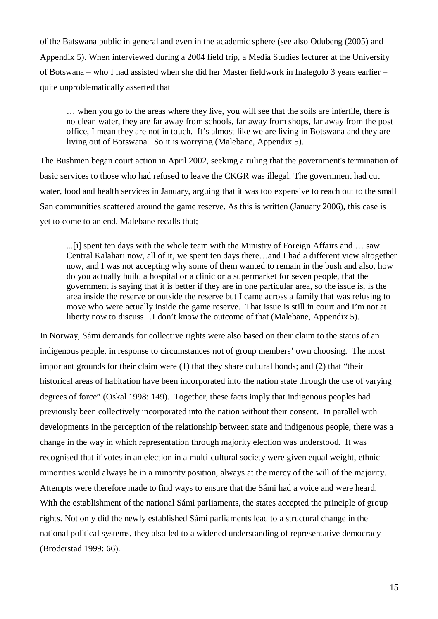of the Batswana public in general and even in the academic sphere (see also Odubeng (2005) and Appendix 5). When interviewed during a 2004 field trip, a Media Studies lecturer at the University of Botswana – who I had assisted when she did her Master fieldwork in Inalegolo 3 years earlier – quite unproblematically asserted that

… when you go to the areas where they live, you will see that the soils are infertile, there is no clean water, they are far away from schools, far away from shops, far away from the post office, I mean they are not in touch. It's almost like we are living in Botswana and they are living out of Botswana. So it is worrying (Malebane, Appendix 5).

The Bushmen began court action in April 2002, seeking a ruling that the government's termination of basic services to those who had refused to leave the CKGR was illegal. The government had cut water, food and health services in January, arguing that it was too expensive to reach out to the small San communities scattered around the game reserve. As this is written (January 2006), this case is yet to come to an end. Malebane recalls that;

...[i] spent ten days with the whole team with the Ministry of Foreign Affairs and … saw Central Kalahari now, all of it, we spent ten days there…and I had a different view altogether now, and I was not accepting why some of them wanted to remain in the bush and also, how do you actually build a hospital or a clinic or a supermarket for seven people, that the government is saying that it is better if they are in one particular area, so the issue is, is the area inside the reserve or outside the reserve but I came across a family that was refusing to move who were actually inside the game reserve. That issue is still in court and I'm not at liberty now to discuss…I don't know the outcome of that (Malebane, Appendix 5).

In Norway, Sámi demands for collective rights were also based on their claim to the status of an indigenous people, in response to circumstances not of group members' own choosing. The most important grounds for their claim were (1) that they share cultural bonds; and (2) that "their historical areas of habitation have been incorporated into the nation state through the use of varying degrees of force" (Oskal 1998: 149). Together, these facts imply that indigenous peoples had previously been collectively incorporated into the nation without their consent. In parallel with developments in the perception of the relationship between state and indigenous people, there was a change in the way in which representation through majority election was understood. It was recognised that if votes in an election in a multi-cultural society were given equal weight, ethnic minorities would always be in a minority position, always at the mercy of the will of the majority. Attempts were therefore made to find ways to ensure that the Sámi had a voice and were heard. With the establishment of the national Sámi parliaments, the states accepted the principle of group rights. Not only did the newly established Sámi parliaments lead to a structural change in the national political systems, they also led to a widened understanding of representative democracy (Broderstad 1999: 66).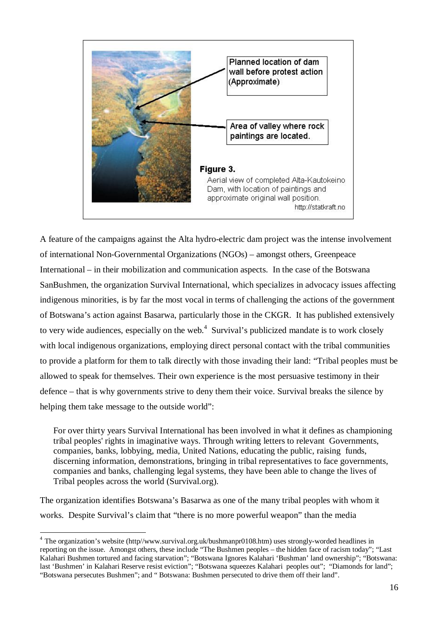

A feature of the campaigns against the Alta hydro-electric dam project was the intense involvement of international Non-Governmental Organizations (NGOs) – amongst others, Greenpeace International – in their mobilization and communication aspects. In the case of the Botswana SanBushmen, the organization Survival International, which specializes in advocacy issues affecting indigenous minorities, is by far the most vocal in terms of challenging the actions of the government of Botswana's action against Basarwa, particularly those in the CKGR. It has published extensively to very wide audiences, especially on the web. $4$  Survival's publicized mandate is to work closely with local indigenous organizations, employing direct personal contact with the tribal communities to provide a platform for them to talk directly with those invading their land: "Tribal peoples must be allowed to speak for themselves. Their own experience is the most persuasive testimony in their defence – that is why governments strive to deny them their voice. Survival breaks the silence by helping them take message to the outside world":

For over thirty years Survival International has been involved in what it defines as championing tribal peoples' rights in imaginative ways. Through writing letters to relevant Governments, companies, banks, lobbying, media, United Nations, educating the public, raising funds, discerning information, demonstrations, bringing in tribal representatives to face governments, companies and banks, challenging legal systems, they have been able to change the lives of Tribal peoples across the world (Survival.org).

The organization identifies Botswana's Basarwa as one of the many tribal peoples with whom it works. Despite Survival's claim that "there is no more powerful weapon" than the media

 $\overline{a}$ <sup>4</sup> The organization's website (http//www.survival.org.uk/bushmanpr0108.htm) uses strongly-worded headlines in reporting on the issue. Amongst others, these include "The Bushmen peoples – the hidden face of racism today"; "Last Kalahari Bushmen tortured and facing starvation"; "Botswana Ignores Kalahari 'Bushman' land ownership"; "Botswana: last 'Bushmen' in Kalahari Reserve resist eviction"; "Botswana squeezes Kalahari peoples out"; "Diamonds for land"; "Botswana persecutes Bushmen"; and " Botswana: Bushmen persecuted to drive them off their land".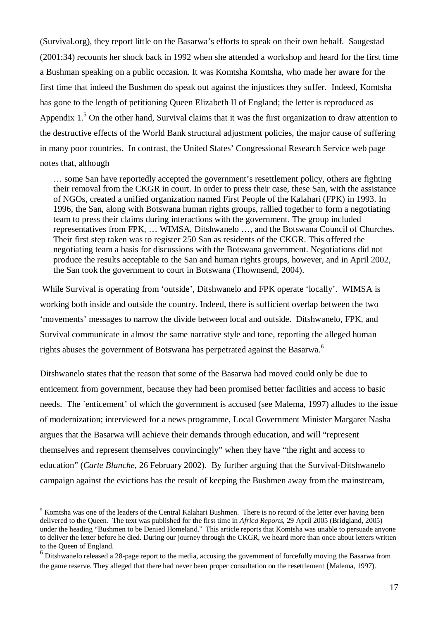(Survival.org), they report little on the Basarwa's efforts to speak on their own behalf. Saugestad (2001:34) recounts her shock back in 1992 when she attended a workshop and heard for the first time a Bushman speaking on a public occasion. It was Komtsha Komtsha, who made her aware for the first time that indeed the Bushmen do speak out against the injustices they suffer. Indeed, Komtsha has gone to the length of petitioning Queen Elizabeth II of England; the letter is reproduced as Appendix  $1<sup>5</sup>$  On the other hand, Survival claims that it was the first organization to draw attention to the destructive effects of the World Bank structural adjustment policies, the major cause of suffering in many poor countries. In contrast, the United States' Congressional Research Service web page notes that, although

… some San have reportedly accepted the government's resettlement policy, others are fighting their removal from the CKGR in court. In order to press their case, these San, with the assistance of NGOs, created a unified organization named First People of the Kalahari (FPK) in 1993. In 1996, the San, along with Botswana human rights groups, rallied together to form a negotiating team to press their claims during interactions with the government. The group included representatives from FPK, … WIMSA, Ditshwanelo …, and the Botswana Council of Churches. Their first step taken was to register 250 San as residents of the CKGR. This offered the negotiating team a basis for discussions with the Botswana government. Negotiations did not produce the results acceptable to the San and human rights groups, however, and in April 2002, the San took the government to court in Botswana (Thownsend, 2004).

 While Survival is operating from 'outside', Ditshwanelo and FPK operate 'locally'. WIMSA is working both inside and outside the country. Indeed, there is sufficient overlap between the two 'movements' messages to narrow the divide between local and outside.Ditshwanelo, FPK, and Survival communicate in almost the same narrative style and tone, reporting the alleged human rights abuses the government of Botswana has perpetrated against the Basarwa.<sup>6</sup>

Ditshwanelo states that the reason that some of the Basarwa had moved could only be due to enticement from government, because they had been promised better facilities and access to basic needs.The `enticement' of which the government is accused (see Malema, 1997) alludes to the issue of modernization; interviewed for a news programme, Local Government Minister Margaret Nasha argues that the Basarwa will achieve their demands through education, and will "represent themselves and represent themselves convincingly" when they have "the right and access to education" (*Carte Blanche*, 26 February 2002). By further arguing that the Survival-Ditshwanelo campaign against the evictions has the result of keeping the Bushmen away from the mainstream,

<sup>&</sup>lt;sup>5</sup> Komtsha was one of the leaders of the Central Kalahari Bushmen. There is no record of the letter ever having been delivered to the Queen. The text was published for the first time in *Africa Reports*, 29 April 2005 (Bridgland, 2005) under the heading "Bushmen to be Denied Homeland." This article reports that Komtsha was unable to persuade anyone to deliver the letter before he died. During our journey through the CKGR, we heard more than once about letters written to the Queen of England.

<sup>&</sup>lt;sup>6</sup> Ditshwanelo released a 28-page report to the media, accusing the government of forcefully moving the Basarwa from the game reserve. They alleged that there had never been proper consultation on the resettlement (Malema, 1997).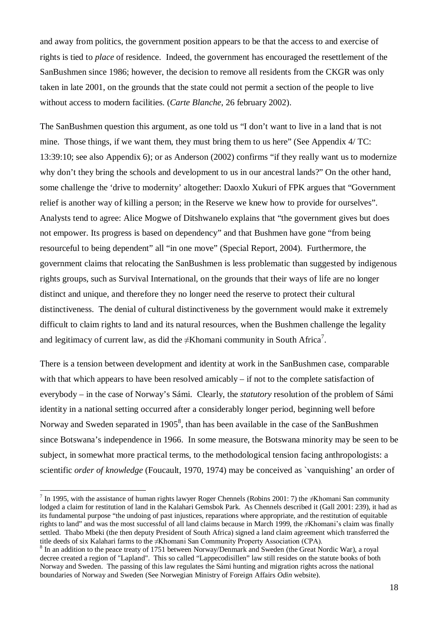and away from politics, the government position appears to be that the access to and exercise of rights is tied to *place* of residence. Indeed, the government has encouraged the resettlement of the SanBushmen since 1986; however, the decision to remove all residents from the CKGR was only taken in late 2001, on the grounds that the state could not permit a section of the people to live without access to modern facilities. (*Carte Blanche*, 26 february 2002).

The SanBushmen question this argument, as one told us "I don't want to live in a land that is not mine. Those things, if we want them, they must bring them to us here" (See Appendix 4/ TC: 13:39:10; see also Appendix 6); or as Anderson (2002) confirms "if they really want us to modernize why don't they bring the schools and development to us in our ancestral lands?" On the other hand, some challenge the 'drive to modernity' altogether: Daoxlo Xukuri of FPK argues that "Government relief is another way of killing a person; in the Reserve we knew how to provide for ourselves". Analysts tend to agree: Alice Mogwe of Ditshwanelo explains that "the government gives but does not empower. Its progress is based on dependency" and that Bushmen have gone "from being resourceful to being dependent" all "in one move" (Special Report, 2004). Furthermore, the government claims that relocating the SanBushmen is less problematic than suggested by indigenous rights groups, such as Survival International, on the grounds that their ways of life are no longer distinct and unique, and therefore they no longer need the reserve to protect their cultural distinctiveness. The denial of cultural distinctiveness by the government would make it extremely difficult to claim rights to land and its natural resources, when the Bushmen challenge the legality and legitimacy of current law, as did the  $\neq$ Khomani community in South Africa<sup>7</sup>.

There is a tension between development and identity at work in the SanBushmen case, comparable with that which appears to have been resolved amicably – if not to the complete satisfaction of everybody – in the case of Norway's Sámi. Clearly, the *statutory* resolution of the problem of Sámi identity in a national setting occurred after a considerably longer period, beginning well before Norway and Sweden separated in 1905<sup>8</sup>, than has been available in the case of the SanBushmen since Botswana's independence in 1966. In some measure, the Botswana minority may be seen to be subject, in somewhat more practical terms, to the methodological tension facing anthropologists: a scientific *order of knowledge* (Foucault, 1970, 1974) may be conceived as `vanquishing' an order of

 7 In 1995, with the assistance of human rights lawyer Roger Chennels (Robins 2001: 7) the ≠Khomani San community lodged a claim for restitution of land in the Kalahari Gemsbok Park. As Chennels described it (Gall 2001: 239), it had as its fundamental purpose "the undoing of past injustices, reparations where appropriate, and the restitution of equitable rights to land" and was the most successful of all land claims because in March 1999, the ≠Khomani's claim was finally settled. Thabo Mbeki (the then deputy President of South Africa) signed a land claim agreement which transferred the title deeds of six Kalahari farms to the ≠Khomani San Community Property Association (CPA).

<sup>&</sup>lt;sup>8</sup> In an addition to the peace treaty of 1751 between Norway/Denmark and Sweden (the Great Nordic War), a royal decree created a region of "Lapland". This so called "Lappecodisillen" law still resides on the statute books of both Norway and Sweden. The passing of this law regulates the Sámi hunting and migration rights across the national boundaries of Norway and Sweden (See Norwegian Ministry of Foreign Affairs *Odin* website).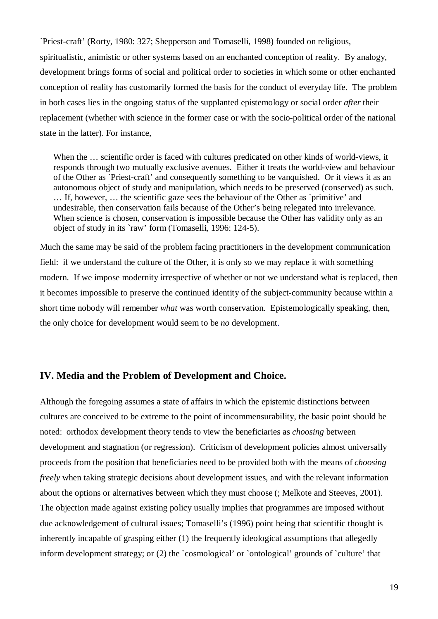`Priest-craft' (Rorty, 1980: 327; Shepperson and Tomaselli, 1998) founded on religious, spiritualistic, animistic or other systems based on an enchanted conception of reality. By analogy, development brings forms of social and political order to societies in which some or other enchanted conception of reality has customarily formed the basis for the conduct of everyday life. The problem in both cases lies in the ongoing status of the supplanted epistemology or social order *after* their replacement (whether with science in the former case or with the socio-political order of the national state in the latter). For instance,

When the ... scientific order is faced with cultures predicated on other kinds of world-views, it responds through two mutually exclusive avenues. Either it treats the world-view and behaviour of the Other as `Priest-craft' and consequently something to be vanquished. Or it views it as an autonomous object of study and manipulation, which needs to be preserved (conserved) as such. … If, however, … the scientific gaze sees the behaviour of the Other as `primitive' and undesirable, then conservation fails because of the Other's being relegated into irrelevance. When science is chosen, conservation is impossible because the Other has validity only as an object of study in its `raw' form (Tomaselli, 1996: 124-5).

Much the same may be said of the problem facing practitioners in the development communication field: if we understand the culture of the Other, it is only so we may replace it with something modern. If we impose modernity irrespective of whether or not we understand what is replaced, then it becomes impossible to preserve the continued identity of the subject-community because within a short time nobody will remember *what* was worth conservation. Epistemologically speaking, then, the only choice for development would seem to be *no* development.

### **IV. Media and the Problem of Development and Choice.**

Although the foregoing assumes a state of affairs in which the epistemic distinctions between cultures are conceived to be extreme to the point of incommensurability, the basic point should be noted: orthodox development theory tends to view the beneficiaries as *choosing* between development and stagnation (or regression). Criticism of development policies almost universally proceeds from the position that beneficiaries need to be provided both with the means of *choosing freely* when taking strategic decisions about development issues, and with the relevant information about the options or alternatives between which they must choose (; Melkote and Steeves, 2001). The objection made against existing policy usually implies that programmes are imposed without due acknowledgement of cultural issues; Tomaselli's (1996) point being that scientific thought is inherently incapable of grasping either (1) the frequently ideological assumptions that allegedly inform development strategy; or (2) the `cosmological' or `ontological' grounds of `culture' that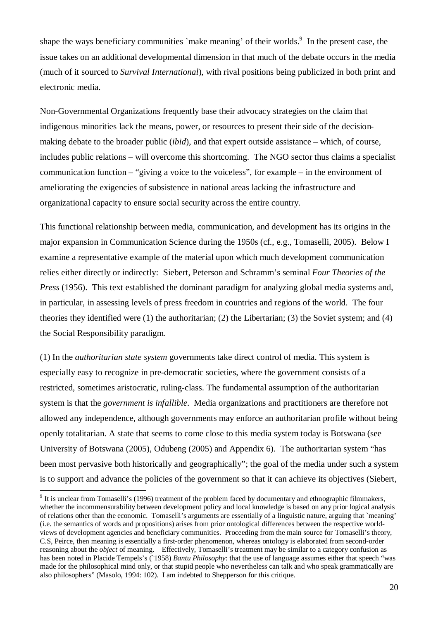shape the ways beneficiary communities `make meaning' of their worlds.<sup>9</sup> In the present case, the issue takes on an additional developmental dimension in that much of the debate occurs in the media (much of it sourced to *Survival International*), with rival positions being publicized in both print and electronic media.

Non-Governmental Organizations frequently base their advocacy strategies on the claim that indigenous minorities lack the means, power, or resources to present their side of the decisionmaking debate to the broader public (*ibid*), and that expert outside assistance – which, of course, includes public relations – will overcome this shortcoming. The NGO sector thus claims a specialist communication function – "giving a voice to the voiceless", for example – in the environment of ameliorating the exigencies of subsistence in national areas lacking the infrastructure and organizational capacity to ensure social security across the entire country.

This functional relationship between media, communication, and development has its origins in the major expansion in Communication Science during the 1950s (cf., e.g., Tomaselli, 2005). Below I examine a representative example of the material upon which much development communication relies either directly or indirectly: Siebert, Peterson and Schramm's seminal *Four Theories of the Press* (1956). This text established the dominant paradigm for analyzing global media systems and, in particular, in assessing levels of press freedom in countries and regions of the world. The four theories they identified were (1) the authoritarian; (2) the Libertarian; (3) the Soviet system; and (4) the Social Responsibility paradigm.

(1) In the *authoritarian state system* governments take direct control of media. This system is especially easy to recognize in pre-democratic societies, where the government consists of a restricted, sometimes aristocratic, ruling-class. The fundamental assumption of the authoritarian system is that the *government is infallible*. Media organizations and practitioners are therefore not allowed any independence, although governments may enforce an authoritarian profile without being openly totalitarian. A state that seems to come close to this media system today is Botswana (see University of Botswana (2005), Odubeng (2005) and Appendix 6). The authoritarian system "has been most pervasive both historically and geographically"; the goal of the media under such a system is to support and advance the policies of the government so that it can achieve its objectives (Siebert,

 $\overline{a}$ 

<sup>&</sup>lt;sup>9</sup> It is unclear from Tomaselli's (1996) treatment of the problem faced by documentary and ethnographic filmmakers, whether the incommensurability between development policy and local knowledge is based on any prior logical analysis of relations other than the economic. Tomaselli's arguments are essentially of a linguistic nature, arguing that `meaning' (i.e. the semantics of words and propositions) arises from prior ontological differences between the respective worldviews of development agencies and beneficiary communities. Proceeding from the main source for Tomaselli's theory, C.S, Peirce, then meaning is essentially a first-order phenomenon, whereas ontology is elaborated from second-order reasoning about the *object* of meaning. Effectively, Tomaselli's treatment may be similar to a category confusion as has been noted in Placide Tempels's (`1958) *Bantu Philosophy*: that the use of language assumes either that speech "was made for the philosophical mind only, or that stupid people who nevertheless can talk and who speak grammatically are also philosophers" (Masolo, 1994: 102). I am indebted to Shepperson for this critique.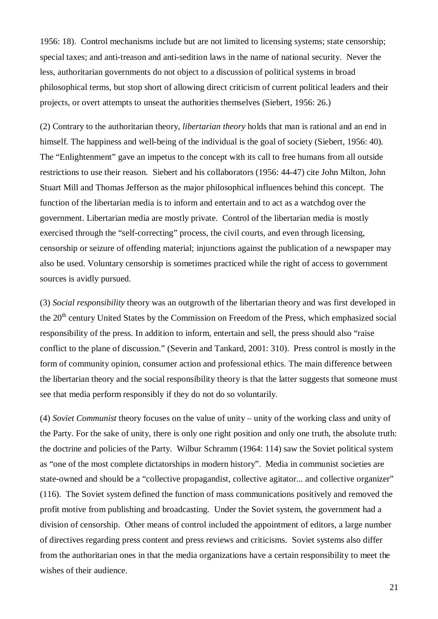1956: 18). Control mechanisms include but are not limited to licensing systems; state censorship; special taxes; and anti-treason and anti-sedition laws in the name of national security. Never the less, authoritarian governments do not object to a discussion of political systems in broad philosophical terms, but stop short of allowing direct criticism of current political leaders and their projects, or overt attempts to unseat the authorities themselves (Siebert, 1956: 26.)

(2) Contrary to the authoritarian theory, *libertarian theory* holds that man is rational and an end in himself. The happiness and well-being of the individual is the goal of society (Siebert, 1956: 40). The "Enlightenment" gave an impetus to the concept with its call to free humans from all outside restrictions to use their reason. Siebert and his collaborators (1956: 44-47) cite John Milton, John Stuart Mill and Thomas Jefferson as the major philosophical influences behind this concept. The function of the libertarian media is to inform and entertain and to act as a watchdog over the government. Libertarian media are mostly private. Control of the libertarian media is mostly exercised through the "self-correcting" process, the civil courts, and even through licensing, censorship or seizure of offending material; injunctions against the publication of a newspaper may also be used. Voluntary censorship is sometimes practiced while the right of access to government sources is avidly pursued.

(3) *Social responsibility* theory was an outgrowth of the libertarian theory and was first developed in the  $20<sup>th</sup>$  century United States by the Commission on Freedom of the Press, which emphasized social responsibility of the press. In addition to inform, entertain and sell, the press should also "raise conflict to the plane of discussion." (Severin and Tankard, 2001: 310). Press control is mostly in the form of community opinion, consumer action and professional ethics. The main difference between the libertarian theory and the social responsibility theory is that the latter suggests that someone must see that media perform responsibly if they do not do so voluntarily.

(4) *Soviet Communist* theory focuses on the value of unity – unity of the working class and unity of the Party. For the sake of unity, there is only one right position and only one truth, the absolute truth: the doctrine and policies of the Party. Wilbur Schramm (1964: 114) saw the Soviet political system as "one of the most complete dictatorships in modern history". Media in communist societies are state-owned and should be a "collective propagandist, collective agitator... and collective organizer" (116). The Soviet system defined the function of mass communications positively and removed the profit motive from publishing and broadcasting. Under the Soviet system, the government had a division of censorship. Other means of control included the appointment of editors, a large number of directives regarding press content and press reviews and criticisms. Soviet systems also differ from the authoritarian ones in that the media organizations have a certain responsibility to meet the wishes of their audience.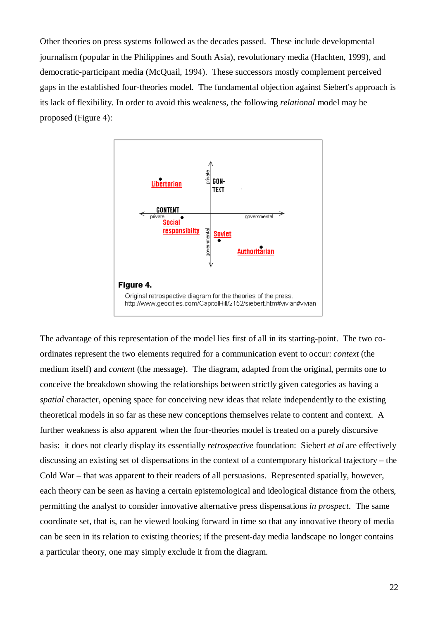Other theories on press systems followed as the decades passed. These include developmental journalism (popular in the Philippines and South Asia), revolutionary media (Hachten, 1999), and democratic-participant media (McQuail, 1994). These successors mostly complement perceived gaps in the established four-theories model. The fundamental objection against Siebert's approach is its lack of flexibility. In order to avoid this weakness, the following *relational* model may be proposed (Figure 4):



The advantage of this representation of the model lies first of all in its starting-point. The two coordinates represent the two elements required for a communication event to occur: *context* (the medium itself) and *content* (the message). The diagram, adapted from the original, permits one to conceive the breakdown showing the relationships between strictly given categories as having a *spatial* character, opening space for conceiving new ideas that relate independently to the existing theoretical models in so far as these new conceptions themselves relate to content and context. A further weakness is also apparent when the four-theories model is treated on a purely discursive basis: it does not clearly display its essentially *retrospective* foundation: Siebert *et al* are effectively discussing an existing set of dispensations in the context of a contemporary historical trajectory – the Cold War – that was apparent to their readers of all persuasions. Represented spatially, however, each theory can be seen as having a certain epistemological and ideological distance from the others, permitting the analyst to consider innovative alternative press dispensations *in prospect*. The same coordinate set, that is, can be viewed looking forward in time so that any innovative theory of media can be seen in its relation to existing theories; if the present-day media landscape no longer contains a particular theory, one may simply exclude it from the diagram.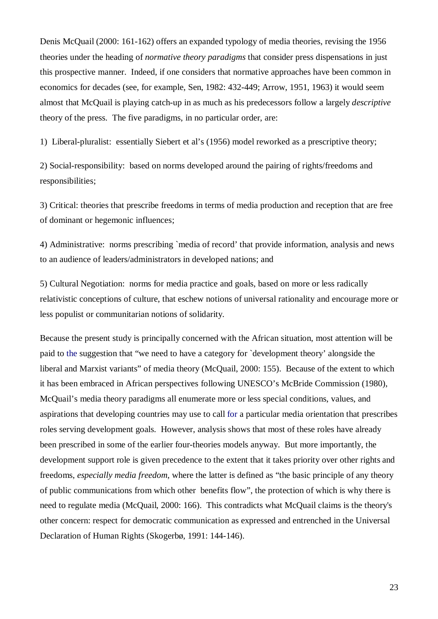Denis McQuail (2000: 161-162) offers an expanded typology of media theories, revising the 1956 theories under the heading of *normative theory paradigms* that consider press dispensations in just this prospective manner. Indeed, if one considers that normative approaches have been common in economics for decades (see, for example, Sen, 1982: 432-449; Arrow, 1951, 1963) it would seem almost that McQuail is playing catch-up in as much as his predecessors follow a largely *descriptive* theory of the press. The five paradigms, in no particular order, are:

1) Liberal-pluralist: essentially Siebert et al's (1956) model reworked as a prescriptive theory;

2) Social-responsibility: based on norms developed around the pairing of rights/freedoms and responsibilities;

3) Critical: theories that prescribe freedoms in terms of media production and reception that are free of dominant or hegemonic influences;

4) Administrative: norms prescribing `media of record' that provide information, analysis and news to an audience of leaders/administrators in developed nations; and

5) Cultural Negotiation: norms for media practice and goals, based on more or less radically relativistic conceptions of culture, that eschew notions of universal rationality and encourage more or less populist or communitarian notions of solidarity.

Because the present study is principally concerned with the African situation, most attention will be paid to the suggestion that "we need to have a category for `development theory' alongside the liberal and Marxist variants" of media theory (McQuail, 2000: 155). Because of the extent to which it has been embraced in African perspectives following UNESCO's McBride Commission (1980), McQuail's media theory paradigms all enumerate more or less special conditions, values, and aspirations that developing countries may use to call for a particular media orientation that prescribes roles serving development goals. However, analysis shows that most of these roles have already been prescribed in some of the earlier four-theories models anyway. But more importantly, the development support role is given precedence to the extent that it takes priority over other rights and freedoms, *especially media freedom*, where the latter is defined as "the basic principle of any theory of public communications from which other benefits flow", the protection of which is why there is need to regulate media (McQuail, 2000: 166). This contradicts what McQuail claims is the theory's other concern: respect for democratic communication as expressed and entrenched in the Universal Declaration of Human Rights (Skogerbø, 1991: 144-146).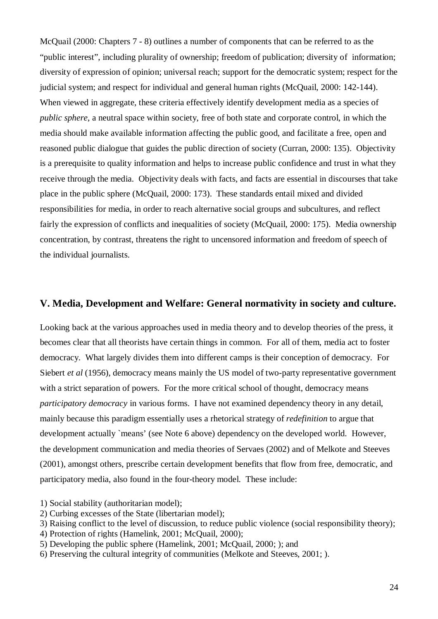McQuail (2000: Chapters 7 - 8) outlines a number of components that can be referred to as the "public interest", including plurality of ownership; freedom of publication; diversity of information; diversity of expression of opinion; universal reach; support for the democratic system; respect for the judicial system; and respect for individual and general human rights (McQuail, 2000: 142-144). When viewed in aggregate, these criteria effectively identify development media as a species of *public sphere*, a neutral space within society, free of both state and corporate control, in which the media should make available information affecting the public good, and facilitate a free, open and reasoned public dialogue that guides the public direction of society (Curran, 2000: 135). Objectivity is a prerequisite to quality information and helps to increase public confidence and trust in what they receive through the media. Objectivity deals with facts, and facts are essential in discourses that take place in the public sphere (McQuail, 2000: 173). These standards entail mixed and divided responsibilities for media, in order to reach alternative social groups and subcultures, and reflect fairly the expression of conflicts and inequalities of society (McQuail, 2000: 175). Media ownership concentration, by contrast, threatens the right to uncensored information and freedom of speech of the individual journalists.

#### **V. Media, Development and Welfare: General normativity in society and culture.**

Looking back at the various approaches used in media theory and to develop theories of the press, it becomes clear that all theorists have certain things in common. For all of them, media act to foster democracy. What largely divides them into different camps is their conception of democracy. For Siebert *et al* (1956), democracy means mainly the US model of two-party representative government with a strict separation of powers. For the more critical school of thought, democracy means *participatory democracy* in various forms. I have not examined dependency theory in any detail, mainly because this paradigm essentially uses a rhetorical strategy of *redefinition* to argue that development actually `means' (see Note 6 above) dependency on the developed world. However, the development communication and media theories of Servaes (2002) and of Melkote and Steeves (2001), amongst others, prescribe certain development benefits that flow from free, democratic, and participatory media, also found in the four-theory model. These include:

- 1) Social stability (authoritarian model);
- 2) Curbing excesses of the State (libertarian model);
- 3) Raising conflict to the level of discussion, to reduce public violence (social responsibility theory);
- 4) Protection of rights (Hamelink, 2001; McQuail, 2000);
- 5) Developing the public sphere (Hamelink, 2001; McQuail, 2000; ); and
- 6) Preserving the cultural integrity of communities (Melkote and Steeves, 2001; ).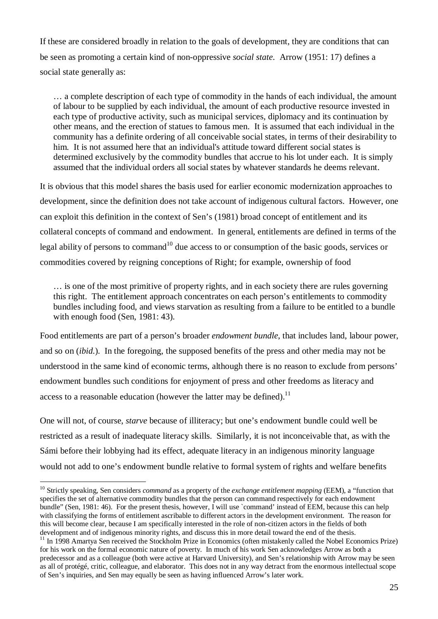If these are considered broadly in relation to the goals of development, they are conditions that can be seen as promoting a certain kind of non-oppressive *social state*. Arrow (1951: 17) defines a social state generally as:

… a complete description of each type of commodity in the hands of each individual, the amount of labour to be supplied by each individual, the amount of each productive resource invested in each type of productive activity, such as municipal services, diplomacy and its continuation by other means, and the erection of statues to famous men. It is assumed that each individual in the community has a definite ordering of all conceivable social states, in terms of their desirability to him. It is not assumed here that an individual's attitude toward different social states is determined exclusively by the commodity bundles that accrue to his lot under each. It is simply assumed that the individual orders all social states by whatever standards he deems relevant.

It is obvious that this model shares the basis used for earlier economic modernization approaches to development, since the definition does not take account of indigenous cultural factors. However, one can exploit this definition in the context of Sen's (1981) broad concept of entitlement and its collateral concepts of command and endowment. In general, entitlements are defined in terms of the legal ability of persons to command<sup>10</sup> due access to or consumption of the basic goods, services or commodities covered by reigning conceptions of Right; for example, ownership of food

… is one of the most primitive of property rights, and in each society there are rules governing this right. The entitlement approach concentrates on each person's entitlements to commodity bundles including food, and views starvation as resulting from a failure to be entitled to a bundle with enough food (Sen, 1981: 43).

Food entitlements are part of a person's broader *endowment bundle*, that includes land, labour power, and so on (*ibid*.). In the foregoing, the supposed benefits of the press and other media may not be understood in the same kind of economic terms, although there is no reason to exclude from persons' endowment bundles such conditions for enjoyment of press and other freedoms as literacy and access to a reasonable education (however the latter may be defined).<sup>11</sup>

One will not, of course, *starve* because of illiteracy; but one's endowment bundle could well be restricted as a result of inadequate literacy skills. Similarly, it is not inconceivable that, as with the Sámi before their lobbying had its effect, adequate literacy in an indigenous minority language would not add to one's endowment bundle relative to formal system of rights and welfare benefits

 $\overline{a}$ 

<sup>10</sup> Strictly speaking, Sen considers *command* as a property of the *exchange entitlement mapping* (EEM), a "function that specifies the set of alternative commodity bundles that the person can command respectively for each endowment bundle" (Sen, 1981: 46). For the present thesis, however, I will use `command' instead of EEM, because this can help with classifying the forms of entitlement ascribable to different actors in the development environment. The reason for this will become clear, because I am specifically interested in the role of non-citizen actors in the fields of both development and of indigenous minority rights, and discuss this in more detail toward the end of the thesis.

<sup>&</sup>lt;sup>11</sup> In 1998 Amartya Sen received the Stockholm Prize in Economics (often mistakenly called the Nobel Economics Prize) for his work on the formal economic nature of poverty. In much of his work Sen acknowledges Arrow as both a predecessor and as a colleague (both were active at Harvard University), and Sen's relationship with Arrow may be seen as all of protégé, critic, colleague, and elaborator. This does not in any way detract from the enormous intellectual scope of Sen's inquiries, and Sen may equally be seen as having influenced Arrow's later work.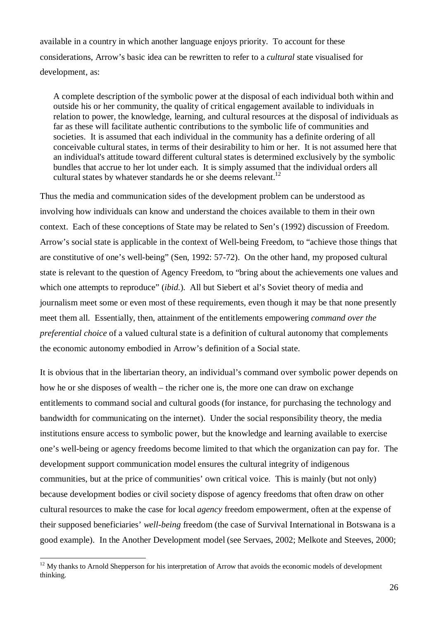available in a country in which another language enjoys priority. To account for these considerations, Arrow's basic idea can be rewritten to refer to a *cultural* state visualised for development, as:

A complete description of the symbolic power at the disposal of each individual both within and outside his or her community, the quality of critical engagement available to individuals in relation to power, the knowledge, learning, and cultural resources at the disposal of individuals as far as these will facilitate authentic contributions to the symbolic life of communities and societies. It is assumed that each individual in the community has a definite ordering of all conceivable cultural states, in terms of their desirability to him or her. It is not assumed here that an individual's attitude toward different cultural states is determined exclusively by the symbolic bundles that accrue to her lot under each. It is simply assumed that the individual orders all cultural states by whatever standards he or she deems relevant.<sup>12</sup>

Thus the media and communication sides of the development problem can be understood as involving how individuals can know and understand the choices available to them in their own context. Each of these conceptions of State may be related to Sen's (1992) discussion of Freedom. Arrow's social state is applicable in the context of Well-being Freedom, to "achieve those things that are constitutive of one's well-being" (Sen, 1992: 57-72). On the other hand, my proposed cultural state is relevant to the question of Agency Freedom, to "bring about the achievements one values and which one attempts to reproduce" *(ibid.)*. All but Siebert et al's Soviet theory of media and journalism meet some or even most of these requirements, even though it may be that none presently meet them all. Essentially, then, attainment of the entitlements empowering *command over the preferential choice* of a valued cultural state is a definition of cultural autonomy that complements the economic autonomy embodied in Arrow's definition of a Social state.

It is obvious that in the libertarian theory, an individual's command over symbolic power depends on how he or she disposes of wealth – the richer one is, the more one can draw on exchange entitlements to command social and cultural goods (for instance, for purchasing the technology and bandwidth for communicating on the internet). Under the social responsibility theory, the media institutions ensure access to symbolic power, but the knowledge and learning available to exercise one's well-being or agency freedoms become limited to that which the organization can pay for. The development support communication model ensures the cultural integrity of indigenous communities, but at the price of communities' own critical voice. This is mainly (but not only) because development bodies or civil society dispose of agency freedoms that often draw on other cultural resources to make the case for local *agency* freedom empowerment, often at the expense of their supposed beneficiaries' *well-being* freedom (the case of Survival International in Botswana is a good example). In the Another Development model (see Servaes, 2002; Melkote and Steeves, 2000;

 $\overline{a}$ 

 $12$  My thanks to Arnold Shepperson for his interpretation of Arrow that avoids the economic models of development thinking.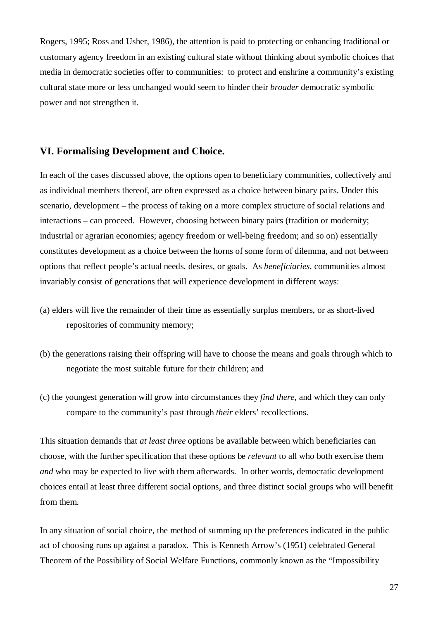Rogers, 1995; Ross and Usher, 1986), the attention is paid to protecting or enhancing traditional or customary agency freedom in an existing cultural state without thinking about symbolic choices that media in democratic societies offer to communities: to protect and enshrine a community's existing cultural state more or less unchanged would seem to hinder their *broader* democratic symbolic power and not strengthen it.

## **VI. Formalising Development and Choice.**

In each of the cases discussed above, the options open to beneficiary communities, collectively and as individual members thereof, are often expressed as a choice between binary pairs. Under this scenario, development – the process of taking on a more complex structure of social relations and interactions – can proceed. However, choosing between binary pairs (tradition or modernity; industrial or agrarian economies; agency freedom or well-being freedom; and so on) essentially constitutes development as a choice between the horns of some form of dilemma, and not between options that reflect people's actual needs, desires, or goals. As *beneficiaries*, communities almost invariably consist of generations that will experience development in different ways:

- (a) elders will live the remainder of their time as essentially surplus members, or as short-lived repositories of community memory;
- (b) the generations raising their offspring will have to choose the means and goals through which to negotiate the most suitable future for their children; and
- (c) the youngest generation will grow into circumstances they *find there*, and which they can only compare to the community's past through *their* elders' recollections.

This situation demands that *at least three* options be available between which beneficiaries can choose, with the further specification that these options be *relevant* to all who both exercise them *and* who may be expected to live with them afterwards. In other words, democratic development choices entail at least three different social options, and three distinct social groups who will benefit from them.

In any situation of social choice, the method of summing up the preferences indicated in the public act of choosing runs up against a paradox. This is Kenneth Arrow's (1951) celebrated General Theorem of the Possibility of Social Welfare Functions, commonly known as the "Impossibility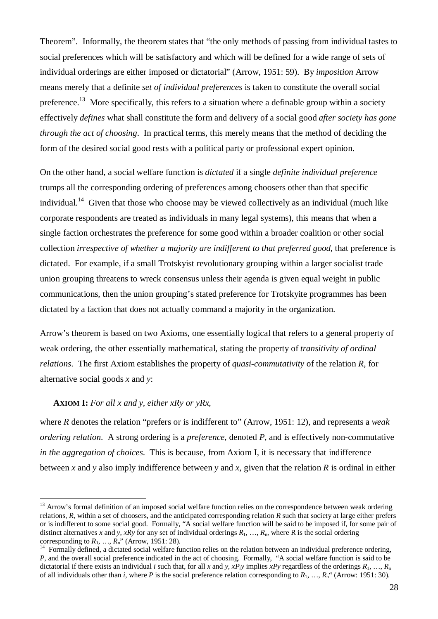Theorem". Informally, the theorem states that "the only methods of passing from individual tastes to social preferences which will be satisfactory and which will be defined for a wide range of sets of individual orderings are either imposed or dictatorial" (Arrow, 1951: 59). By *imposition* Arrow means merely that a definite *set of individual preferences* is taken to constitute the overall social preference.<sup>13</sup> More specifically, this refers to a situation where a definable group within a society effectively *defines* what shall constitute the form and delivery of a social good *after society has gone through the act of choosing*. In practical terms, this merely means that the method of deciding the form of the desired social good rests with a political party or professional expert opinion.

On the other hand, a social welfare function is *dictated* if a single *definite individual preference* trumps all the corresponding ordering of preferences among choosers other than that specific individual.<sup>14</sup> Given that those who choose may be viewed collectively as an individual (much like corporate respondents are treated as individuals in many legal systems), this means that when a single faction orchestrates the preference for some good within a broader coalition or other social collection *irrespective of whether a majority are indifferent to that preferred good*, that preference is dictated. For example, if a small Trotskyist revolutionary grouping within a larger socialist trade union grouping threatens to wreck consensus unless their agenda is given equal weight in public communications, then the union grouping's stated preference for Trotskyite programmes has been dictated by a faction that does not actually command a majority in the organization.

Arrow's theorem is based on two Axioms, one essentially logical that refers to a general property of weak ordering, the other essentially mathematical, stating the property of *transitivity of ordinal relations*. The first Axiom establishes the property of *quasi-commutativity* of the relation *R*, for alternative social goods *x* and *y*:

#### **AXIOM I:** *For all x and y, either xRy or yRx*,

 $\overline{a}$ 

where *R* denotes the relation "prefers or is indifferent to" (Arrow, 1951: 12), and represents a *weak ordering relation*. A strong ordering is a *preference*, denoted *P*, and is effectively non-commutative *in the aggregation of choices*. This is because, from Axiom I, it is necessary that indifference between *x* and *y* also imply indifference between *y* and *x*, given that the relation *R* is ordinal in either

<sup>&</sup>lt;sup>13</sup> Arrow's formal definition of an imposed social welfare function relies on the correspondence between weak ordering relations, *R*, within a set of choosers, and the anticipated corresponding relation *R* such that society at large either prefers or is indifferent to some social good. Formally, "A social welfare function will be said to be imposed if, for some pair of distinct alternatives *x* and *y*, *xRy* for any set of individual orderings  $R_1, \ldots, R_n$ , where R is the social ordering corresponding to  $R_1$ , ...,  $R_n$ " (Arrow, 1951: 28).

<sup>&</sup>lt;sup>14</sup> Formally defined, a dictated social welfare function relies on the relation between an individual preference ordering, *P*, and the overall social preference indicated in the act of choosing. Formally, "A social welfare function is said to be dictatorial if there exists an individual *i* such that, for all *x* and *y*, *xP*<sub>*i*</sub>*y* implies *xPy* regardless of the orderings  $R_1, ..., R_n$ of all individuals other than *i*, where *P* is the social preference relation corresponding to  $R_1, \ldots, R_n$ " (Arrow: 1951: 30).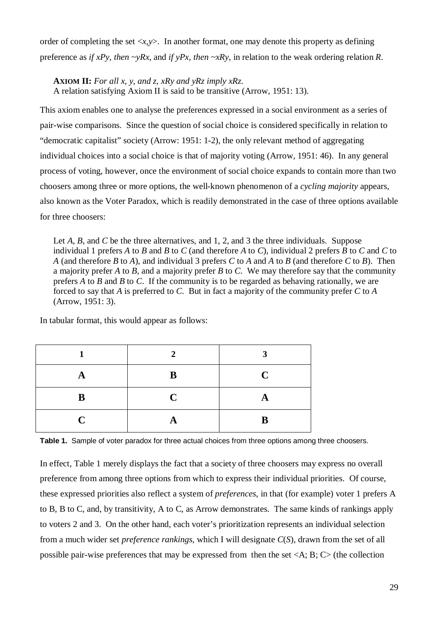order of completing the set  $\langle x, y \rangle$ . In another format, one may denote this property as defining preference as *if xPy, then ~yRx*, and *if yPx, then ~xRy*, in relation to the weak ordering relation *R*.

**AXIOM II:** *For all x, y, and z, xRy and yRz imply xRz*. A relation satisfying Axiom II is said to be transitive (Arrow, 1951: 13).

This axiom enables one to analyse the preferences expressed in a social environment as a series of pair-wise comparisons. Since the question of social choice is considered specifically in relation to "democratic capitalist" society (Arrow: 1951: 1-2), the only relevant method of aggregating individual choices into a social choice is that of majority voting (Arrow, 1951: 46). In any general process of voting, however, once the environment of social choice expands to contain more than two choosers among three or more options, the well-known phenomenon of a *cycling majority* appears, also known as the Voter Paradox, which is readily demonstrated in the case of three options available for three choosers:

Let *A*, *B*, and *C* be the three alternatives, and 1, 2, and 3 the three individuals. Suppose individual 1 prefers *A* to *B* and *B* to *C* (and therefore *A* to *C*), individual 2 prefers *B* to *C* and *C* to *A* (and therefore *B* to *A*), and individual 3 prefers *C* to *A* and *A* to *B* (and therefore *C* to *B*). Then a majority prefer *A* to *B*, and a majority prefer *B* to *C*. We may therefore say that the community prefers *A* to *B* and *B* to *C*. If the community is to be regarded as behaving rationally, we are forced to say that *A* is preferred to *C*. But in fact a majority of the community prefer *C* to *A* (Arrow, 1951: 3).

In tabular format, this would appear as follows:

|             | $\mathcal{D}$ | $\mathbf 3$ |
|-------------|---------------|-------------|
| А           | B             | $\mathbf C$ |
| B           | $\mathbf C$   |             |
| $\mathbf C$ | А             | B           |



In effect, Table 1 merely displays the fact that a society of three choosers may express no overall preference from among three options from which to express their individual priorities. Of course, these expressed priorities also reflect a system of *preferences*, in that (for example) voter 1 prefers A to B, B to C, and, by transitivity, A to C, as Arrow demonstrates. The same kinds of rankings apply to voters 2 and 3. On the other hand, each voter's prioritization represents an individual selection from a much wider set *preference rankings*, which I will designate *C*(*S*), drawn from the set of all possible pair-wise preferences that may be expressed from then the set  $\langle A; B; C \rangle$  (the collection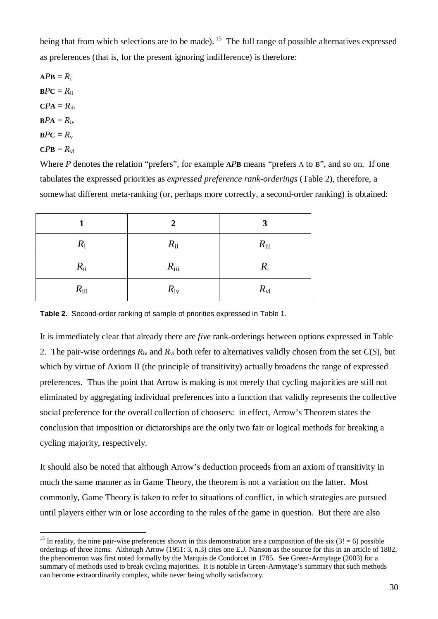being that from which selections are to be made). <sup>15</sup> The full range of possible alternatives expressed as preferences (that is, for the present ignoring indifference) is therefore:

 $APB = R_i$  $BPC = R_{ii}$  $CPA = R_{\text{iii}}$  $\mathbf{B}P\mathbf{A} = R_{iv}$  $BPC = R_v$  $CPB = R_{vi}$ 

 $\overline{a}$ 

Where *P* denotes the relation "prefers", for example **A***P***B** means "prefers A to B", and so on. If one tabulates the expressed priorities as *expressed preference rank-orderings* (Table 2), therefore, a somewhat different meta-ranking (or, perhaps more correctly, a second-order ranking) is obtained:

|                | 2              | 3              |
|----------------|----------------|----------------|
| $R_{\rm i}$    | $R_{\rm ii}$   | $R_{\rm{iii}}$ |
| $R_{\rm ii}$   | $R_{\rm{iii}}$ | $R_i$          |
| $R_{\rm{iii}}$ | $R_{\rm iv}$   | $R_{\rm{vi}}$  |

**Table 2.** Second-order ranking of sample of priorities expressed in Table 1.

It is immediately clear that already there are *five* rank-orderings between options expressed in Table 2. The pair-wise orderings  $R_{iv}$  and  $R_{vi}$  both refer to alternatives validly chosen from the set  $C(S)$ , but which by virtue of Axiom II (the principle of transitivity) actually broadens the range of expressed preferences. Thus the point that Arrow is making is not merely that cycling majorities are still not eliminated by aggregating individual preferences into a function that validly represents the collective social preference for the overall collection of choosers: in effect, Arrow's Theorem states the conclusion that imposition or dictatorships are the only two fair or logical methods for breaking a cycling majority, respectively.

It should also be noted that although Arrow's deduction proceeds from an axiom of transitivity in much the same manner as in Game Theory, the theorem is not a variation on the latter. Most commonly, Game Theory is taken to refer to situations of conflict, in which strategies are pursued until players either win or lose according to the rules of the game in question. But there are also

<sup>&</sup>lt;sup>15</sup> In reality, the nine pair-wise preferences shown in this demonstration are a composition of the six  $(3! = 6)$  possible orderings of three items. Although Arrow (1951: 3, n.3) cites one E.J. Nanson as the source for this in an article of 1882, the phenomenon was first noted formally by the Marquis de Condorcet in 1785. See Green-Armytage (2003) for a summary of methods used to break cycling majorities. It is notable in Green-Armytage's summary that such methods can become extraordinarily complex, while never being wholly satisfactory.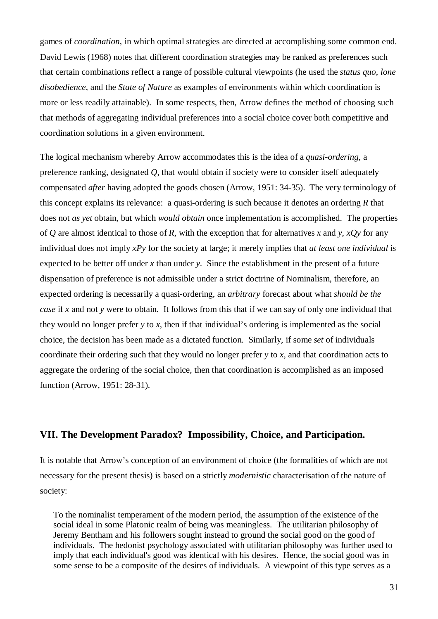games of *coordination*, in which optimal strategies are directed at accomplishing some common end. David Lewis (1968) notes that different coordination strategies may be ranked as preferences such that certain combinations reflect a range of possible cultural viewpoints (he used the *status quo*, *lone disobedience*, and the *State of Nature* as examples of environments within which coordination is more or less readily attainable). In some respects, then, Arrow defines the method of choosing such that methods of aggregating individual preferences into a social choice cover both competitive and coordination solutions in a given environment.

The logical mechanism whereby Arrow accommodates this is the idea of a *quasi-ordering*, a preference ranking, designated *Q*, that would obtain if society were to consider itself adequately compensated *after* having adopted the goods chosen (Arrow, 1951: 34-35). The very terminology of this concept explains its relevance: a quasi-ordering is such because it denotes an ordering *R* that does not *as yet* obtain, but which *would obtain* once implementation is accomplished. The properties of *Q* are almost identical to those of *R*, with the exception that for alternatives *x* and *y*, *xQy* for any individual does not imply *xPy* for the society at large; it merely implies that *at least one individual* is expected to be better off under *x* than under *y*. Since the establishment in the present of a future dispensation of preference is not admissible under a strict doctrine of Nominalism, therefore, an expected ordering is necessarily a quasi-ordering, an *arbitrary* forecast about what *should be the case* if *x* and not *y* were to obtain. It follows from this that if we can say of only one individual that they would no longer prefer *y* to *x*, then if that individual's ordering is implemented as the social choice, the decision has been made as a dictated function. Similarly, if some *set* of individuals coordinate their ordering such that they would no longer prefer *y* to *x*, and that coordination acts to aggregate the ordering of the social choice, then that coordination is accomplished as an imposed function (Arrow, 1951: 28-31).

### **VII. The Development Paradox? Impossibility, Choice, and Participation.**

It is notable that Arrow's conception of an environment of choice (the formalities of which are not necessary for the present thesis) is based on a strictly *modernistic* characterisation of the nature of society:

To the nominalist temperament of the modern period, the assumption of the existence of the social ideal in some Platonic realm of being was meaningless. The utilitarian philosophy of Jeremy Bentham and his followers sought instead to ground the social good on the good of individuals. The hedonist psychology associated with utilitarian philosophy was further used to imply that each individual's good was identical with his desires. Hence, the social good was in some sense to be a composite of the desires of individuals. A viewpoint of this type serves as a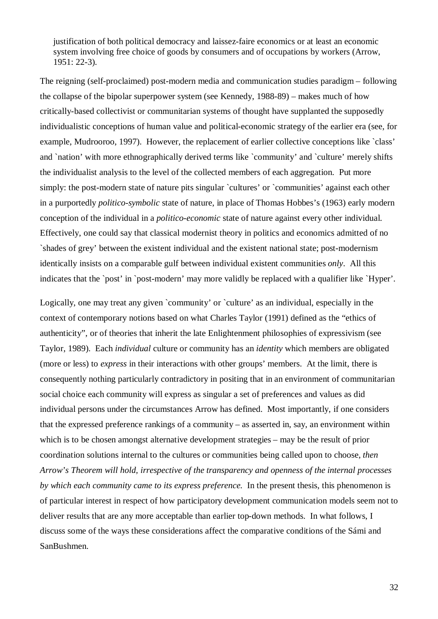justification of both political democracy and laissez-faire economics or at least an economic system involving free choice of goods by consumers and of occupations by workers (Arrow, 1951: 22-3).

The reigning (self-proclaimed) post-modern media and communication studies paradigm – following the collapse of the bipolar superpower system (see Kennedy, 1988-89) – makes much of how critically-based collectivist or communitarian systems of thought have supplanted the supposedly individualistic conceptions of human value and political-economic strategy of the earlier era (see, for example, Mudrooroo, 1997). However, the replacement of earlier collective conceptions like `class' and `nation' with more ethnographically derived terms like `community' and `culture' merely shifts the individualist analysis to the level of the collected members of each aggregation. Put more simply: the post-modern state of nature pits singular `cultures' or `communities' against each other in a purportedly *politico-symbolic* state of nature, in place of Thomas Hobbes's (1963) early modern conception of the individual in a *politico-economic* state of nature against every other individual. Effectively, one could say that classical modernist theory in politics and economics admitted of no `shades of grey' between the existent individual and the existent national state; post-modernism identically insists on a comparable gulf between individual existent communities *only*. All this indicates that the `post' in `post-modern' may more validly be replaced with a qualifier like `Hyper'.

Logically, one may treat any given `community' or `culture' as an individual, especially in the context of contemporary notions based on what Charles Taylor (1991) defined as the "ethics of authenticity", or of theories that inherit the late Enlightenment philosophies of expressivism (see Taylor, 1989). Each *individual* culture or community has an *identity* which members are obligated (more or less) to *express* in their interactions with other groups' members. At the limit, there is consequently nothing particularly contradictory in positing that in an environment of communitarian social choice each community will express as singular a set of preferences and values as did individual persons under the circumstances Arrow has defined. Most importantly, if one considers that the expressed preference rankings of a community – as asserted in, say, an environment within which is to be chosen amongst alternative development strategies – may be the result of prior coordination solutions internal to the cultures or communities being called upon to choose, *then Arrow's Theorem will hold, irrespective of the transparency and openness of the internal processes by which each community came to its express preference*. In the present thesis, this phenomenon is of particular interest in respect of how participatory development communication models seem not to deliver results that are any more acceptable than earlier top-down methods. In what follows, I discuss some of the ways these considerations affect the comparative conditions of the Sámi and SanBushmen.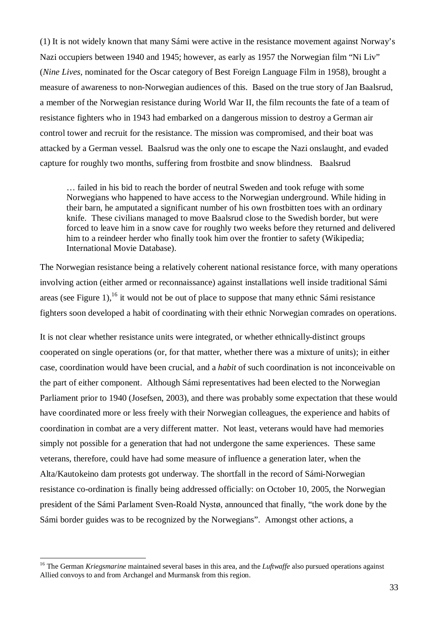(1) It is not widely known that many Sámi were active in the resistance movement against Norway's Nazi occupiers between 1940 and 1945; however, as early as 1957 the Norwegian film "Ni Liv" (*Nine Lives,* nominated for the Oscar category of Best Foreign Language Film in 1958), brought a measure of awareness to non-Norwegian audiences of this. Based on the true story of Jan Baalsrud, a member of the Norwegian resistance during World War II, the film recounts the fate of a team of resistance fighters who in 1943 had embarked on a dangerous mission to destroy a German air control tower and recruit for the resistance. The mission was compromised, and their boat was attacked by a German vessel. Baalsrud was the only one to escape the Nazi onslaught, and evaded capture for roughly two months, suffering from frostbite and snow blindness. Baalsrud

… failed in his bid to reach the border of neutral Sweden and took refuge with some Norwegians who happened to have access to the Norwegian underground. While hiding in their barn, he amputated a significant number of his own frostbitten toes with an ordinary knife. These civilians managed to move Baalsrud close to the Swedish border, but were forced to leave him in a snow cave for roughly two weeks before they returned and delivered him to a reindeer herder who finally took him over the frontier to safety (Wikipedia; International Movie Database).

The Norwegian resistance being a relatively coherent national resistance force, with many operations involving action (either armed or reconnaissance) against installations well inside traditional Sámi areas (see Figure 1),<sup>16</sup> it would not be out of place to suppose that many ethnic Sámi resistance fighters soon developed a habit of coordinating with their ethnic Norwegian comrades on operations.

It is not clear whether resistance units were integrated, or whether ethnically-distinct groups cooperated on single operations (or, for that matter, whether there was a mixture of units); in either case, coordination would have been crucial, and a *habit* of such coordination is not inconceivable on the part of either component. Although Sámi representatives had been elected to the Norwegian Parliament prior to 1940 (Josefsen, 2003), and there was probably some expectation that these would have coordinated more or less freely with their Norwegian colleagues, the experience and habits of coordination in combat are a very different matter. Not least, veterans would have had memories simply not possible for a generation that had not undergone the same experiences. These same veterans, therefore, could have had some measure of influence a generation later, when the Alta/Kautokeino dam protests got underway. The shortfall in the record of Sámi-Norwegian resistance co-ordination is finally being addressed officially: on October 10, 2005, the Norwegian president of the Sámi Parlament Sven-Roald Nystø, announced that finally, "the work done by the Sámi border guides was to be recognized by the Norwegians". Amongst other actions, a

 $\overline{a}$ 

<sup>&</sup>lt;sup>16</sup> The German *Kriegsmarine* maintained several bases in this area, and the *Luftwaffe* also pursued operations against Allied convoys to and from Archangel and Murmansk from this region.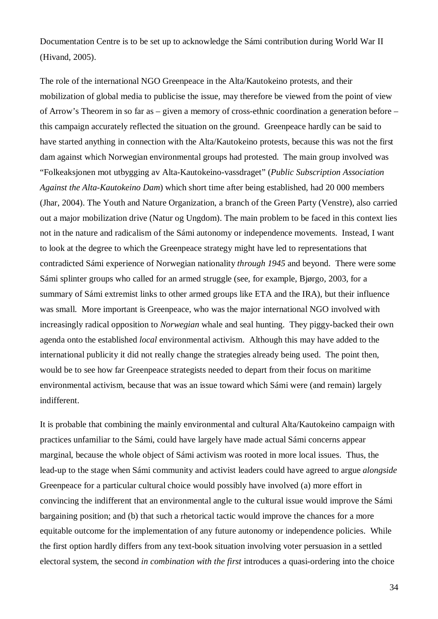Documentation Centre is to be set up to acknowledge the Sámi contribution during World War II (Hivand, 2005).

The role of the international NGO Greenpeace in the Alta/Kautokeino protests, and their mobilization of global media to publicise the issue, may therefore be viewed from the point of view of Arrow's Theorem in so far as – given a memory of cross-ethnic coordination a generation before – this campaign accurately reflected the situation on the ground. Greenpeace hardly can be said to have started anything in connection with the Alta/Kautokeino protests, because this was not the first dam against which Norwegian environmental groups had protested. The main group involved was "Folkeaksjonen mot utbygging av Alta-Kautokeino-vassdraget" (*Public Subscription Association Against the Alta-Kautokeino Dam*) which short time after being established, had 20 000 members (Jhar, 2004). The Youth and Nature Organization, a branch of the Green Party (Venstre), also carried out a major mobilization drive (Natur og Ungdom). The main problem to be faced in this context lies not in the nature and radicalism of the Sámi autonomy or independence movements. Instead, I want to look at the degree to which the Greenpeace strategy might have led to representations that contradicted Sámi experience of Norwegian nationality *through 1945* and beyond. There were some Sámi splinter groups who called for an armed struggle (see, for example, Bjørgo, 2003, for a summary of Sámi extremist links to other armed groups like ETA and the IRA), but their influence was small. More important is Greenpeace, who was the major international NGO involved with increasingly radical opposition to *Norwegian* whale and seal hunting. They piggy-backed their own agenda onto the established *local* environmental activism. Although this may have added to the international publicity it did not really change the strategies already being used. The point then, would be to see how far Greenpeace strategists needed to depart from their focus on maritime environmental activism, because that was an issue toward which Sámi were (and remain) largely indifferent.

It is probable that combining the mainly environmental and cultural Alta/Kautokeino campaign with practices unfamiliar to the Sámi, could have largely have made actual Sámi concerns appear marginal, because the whole object of Sámi activism was rooted in more local issues. Thus, the lead-up to the stage when Sámi community and activist leaders could have agreed to argue *alongside* Greenpeace for a particular cultural choice would possibly have involved (a) more effort in convincing the indifferent that an environmental angle to the cultural issue would improve the Sámi bargaining position; and (b) that such a rhetorical tactic would improve the chances for a more equitable outcome for the implementation of any future autonomy or independence policies. While the first option hardly differs from any text-book situation involving voter persuasion in a settled electoral system, the second *in combination with the first* introduces a quasi-ordering into the choice

34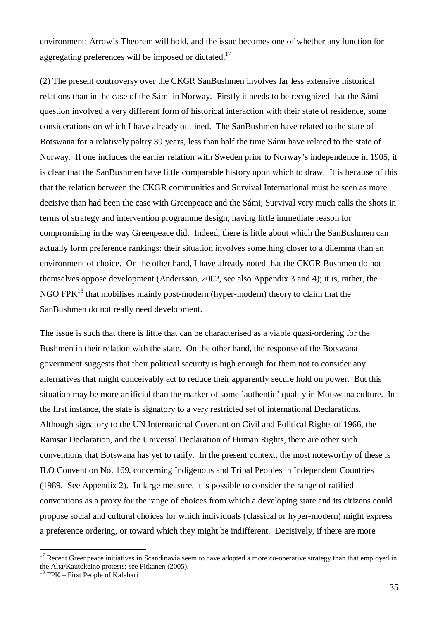environment: Arrow's Theorem will hold, and the issue becomes one of whether any function for aggregating preferences will be imposed or dictated.<sup>17</sup>

(2) The present controversy over the CKGR SanBushmen involves far less extensive historical relations than in the case of the Sámi in Norway. Firstly it needs to be recognized that the Sámi question involved a very different form of historical interaction with their state of residence, some considerations on which I have already outlined. The SanBushmen have related to the state of Botswana for a relatively paltry 39 years, less than half the time Sámi have related to the state of Norway. If one includes the earlier relation with Sweden prior to Norway's independence in 1905, it is clear that the SanBushmen have little comparable history upon which to draw. It is because of this that the relation between the CKGR communities and Survival International must be seen as more decisive than had been the case with Greenpeace and the Sámi; Survival very much calls the shots in terms of strategy and intervention programme design, having little immediate reason for compromising in the way Greenpeace did. Indeed, there is little about which the SanBushmen can actually form preference rankings: their situation involves something closer to a dilemma than an environment of choice. On the other hand, I have already noted that the CKGR Bushmen do not themselves oppose development (Andersson, 2002, see also Appendix 3 and 4); it is, rather, the NGO  $FPK<sup>18</sup>$  that mobilises mainly post-modern (hyper-modern) theory to claim that the SanBushmen do not really need development.

The issue is such that there is little that can be characterised as a viable quasi-ordering for the Bushmen in their relation with the state. On the other hand, the response of the Botswana government suggests that their political security is high enough for them not to consider any alternatives that might conceivably act to reduce their apparently secure hold on power. But this situation may be more artificial than the marker of some `authentic' quality in Motswana culture. In the first instance, the state is signatory to a very restricted set of international Declarations. Although signatory to the UN International Covenant on Civil and Political Rights of 1966, the Ramsar Declaration, and the Universal Declaration of Human Rights, there are other such conventions that Botswana has yet to ratify. In the present context, the most noteworthy of these is ILO Convention No. 169, concerning Indigenous and Tribal Peoples in Independent Countries (1989. See Appendix 2). In large measure, it is possible to consider the range of ratified conventions as a proxy for the range of choices from which a developing state and its citizens could propose social and cultural choices for which individuals (classical or hyper-modern) might express a preference ordering, or toward which they might be indifferent. Decisively, if there are more

 $\overline{a}$ 

<sup>&</sup>lt;sup>17</sup> Recent Greenpeace initiatives in Scandinavia seem to have adopted a more co-operative strategy than that employed in the Alta/Kautokeino protests; see Pitkanen (2005).

<sup>18</sup> FPK – First People of Kalahari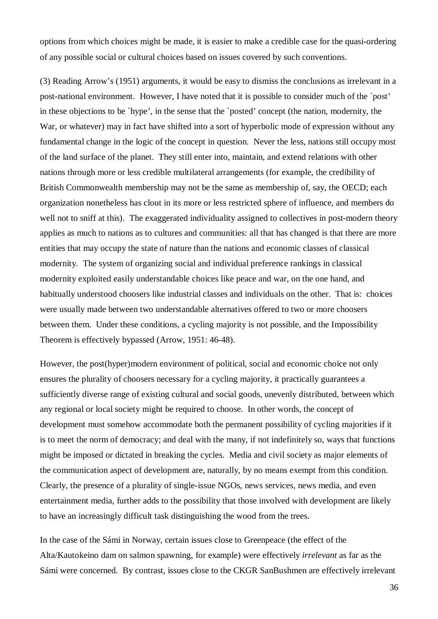options from which choices might be made, it is easier to make a credible case for the quasi-ordering of any possible social or cultural choices based on issues covered by such conventions.

(3) Reading Arrow's (1951) arguments, it would be easy to dismiss the conclusions as irrelevant in a post-national environment. However, I have noted that it is possible to consider much of the `post' in these objections to be `hype', in the sense that the `posted' concept (the nation, modernity, the War, or whatever) may in fact have shifted into a sort of hyperbolic mode of expression without any fundamental change in the logic of the concept in question. Never the less, nations still occupy most of the land surface of the planet. They still enter into, maintain, and extend relations with other nations through more or less credible multilateral arrangements (for example, the credibility of British Commonwealth membership may not be the same as membership of, say, the OECD; each organization nonetheless has clout in its more or less restricted sphere of influence, and members do well not to sniff at this). The exaggerated individuality assigned to collectives in post-modern theory applies as much to nations as to cultures and communities: all that has changed is that there are more entities that may occupy the state of nature than the nations and economic classes of classical modernity. The system of organizing social and individual preference rankings in classical modernity exploited easily understandable choices like peace and war, on the one hand, and habitually understood choosers like industrial classes and individuals on the other. That is: choices were usually made between two understandable alternatives offered to two or more choosers between them. Under these conditions, a cycling majority is not possible, and the Impossibility Theorem is effectively bypassed (Arrow, 1951: 46-48).

However, the post(hyper)modern environment of political, social and economic choice not only ensures the plurality of choosers necessary for a cycling majority, it practically guarantees a sufficiently diverse range of existing cultural and social goods, unevenly distributed, between which any regional or local society might be required to choose. In other words, the concept of development must somehow accommodate both the permanent possibility of cycling majorities if it is to meet the norm of democracy; and deal with the many, if not indefinitely so, ways that functions might be imposed or dictated in breaking the cycles. Media and civil society as major elements of the communication aspect of development are, naturally, by no means exempt from this condition. Clearly, the presence of a plurality of single-issue NGOs, news services, news media, and even entertainment media, further adds to the possibility that those involved with development are likely to have an increasingly difficult task distinguishing the wood from the trees.

In the case of the Sámi in Norway, certain issues close to Greenpeace (the effect of the Alta/Kautokeino dam on salmon spawning, for example) were effectively *irrelevant* as far as the Sámi were concerned. By contrast, issues close to the CKGR SanBushmen are effectively irrelevant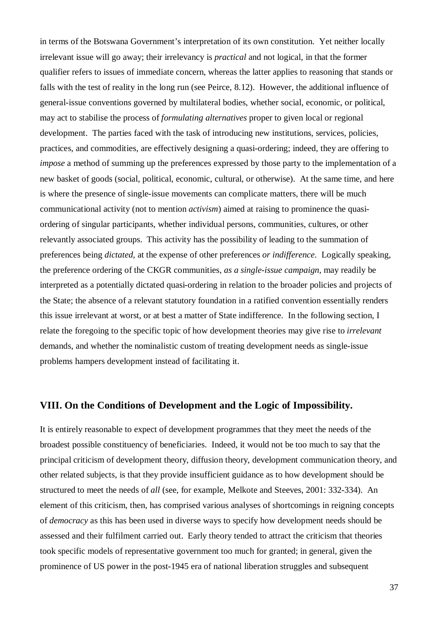in terms of the Botswana Government's interpretation of its own constitution. Yet neither locally irrelevant issue will go away; their irrelevancy is *practical* and not logical, in that the former qualifier refers to issues of immediate concern, whereas the latter applies to reasoning that stands or falls with the test of reality in the long run (see Peirce, 8.12). However, the additional influence of general-issue conventions governed by multilateral bodies, whether social, economic, or political, may act to stabilise the process of *formulating alternatives* proper to given local or regional development. The parties faced with the task of introducing new institutions, services, policies, practices, and commodities, are effectively designing a quasi-ordering; indeed, they are offering to *impose* a method of summing up the preferences expressed by those party to the implementation of a new basket of goods (social, political, economic, cultural, or otherwise). At the same time, and here is where the presence of single-issue movements can complicate matters, there will be much communicational activity (not to mention *activism*) aimed at raising to prominence the quasiordering of singular participants, whether individual persons, communities, cultures, or other relevantly associated groups. This activity has the possibility of leading to the summation of preferences being *dictated*, at the expense of other preferences *or indifference*. Logically speaking, the preference ordering of the CKGR communities, *as a single-issue campaign*, may readily be interpreted as a potentially dictated quasi-ordering in relation to the broader policies and projects of the State; the absence of a relevant statutory foundation in a ratified convention essentially renders this issue irrelevant at worst, or at best a matter of State indifference. In the following section, I relate the foregoing to the specific topic of how development theories may give rise to *irrelevant* demands, and whether the nominalistic custom of treating development needs as single-issue problems hampers development instead of facilitating it.

## **VIII. On the Conditions of Development and the Logic of Impossibility.**

It is entirely reasonable to expect of development programmes that they meet the needs of the broadest possible constituency of beneficiaries. Indeed, it would not be too much to say that the principal criticism of development theory, diffusion theory, development communication theory, and other related subjects, is that they provide insufficient guidance as to how development should be structured to meet the needs of *all* (see, for example, Melkote and Steeves, 2001: 332-334). An element of this criticism, then, has comprised various analyses of shortcomings in reigning concepts of *democracy* as this has been used in diverse ways to specify how development needs should be assessed and their fulfilment carried out. Early theory tended to attract the criticism that theories took specific models of representative government too much for granted; in general, given the prominence of US power in the post-1945 era of national liberation struggles and subsequent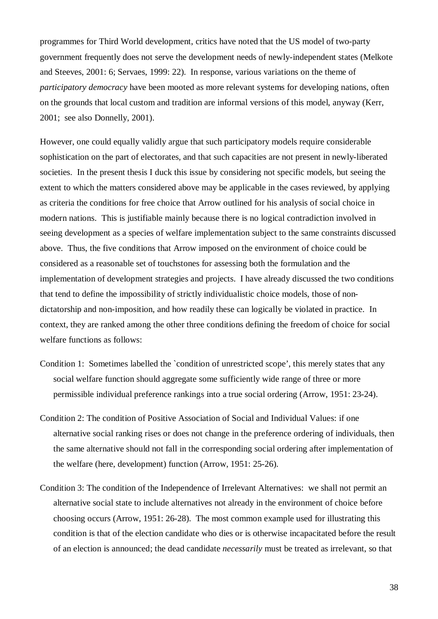programmes for Third World development, critics have noted that the US model of two-party government frequently does not serve the development needs of newly-independent states (Melkote and Steeves, 2001: 6; Servaes, 1999: 22). In response, various variations on the theme of *participatory democracy* have been mooted as more relevant systems for developing nations, often on the grounds that local custom and tradition are informal versions of this model, anyway (Kerr, 2001; see also Donnelly, 2001).

However, one could equally validly argue that such participatory models require considerable sophistication on the part of electorates, and that such capacities are not present in newly-liberated societies. In the present thesis I duck this issue by considering not specific models, but seeing the extent to which the matters considered above may be applicable in the cases reviewed, by applying as criteria the conditions for free choice that Arrow outlined for his analysis of social choice in modern nations. This is justifiable mainly because there is no logical contradiction involved in seeing development as a species of welfare implementation subject to the same constraints discussed above. Thus, the five conditions that Arrow imposed on the environment of choice could be considered as a reasonable set of touchstones for assessing both the formulation and the implementation of development strategies and projects. I have already discussed the two conditions that tend to define the impossibility of strictly individualistic choice models, those of nondictatorship and non-imposition, and how readily these can logically be violated in practice. In context, they are ranked among the other three conditions defining the freedom of choice for social welfare functions as follows:

- Condition 1: Sometimes labelled the `condition of unrestricted scope', this merely states that any social welfare function should aggregate some sufficiently wide range of three or more permissible individual preference rankings into a true social ordering (Arrow, 1951: 23-24).
- Condition 2: The condition of Positive Association of Social and Individual Values: if one alternative social ranking rises or does not change in the preference ordering of individuals, then the same alternative should not fall in the corresponding social ordering after implementation of the welfare (here, development) function (Arrow, 1951: 25-26).
- Condition 3: The condition of the Independence of Irrelevant Alternatives: we shall not permit an alternative social state to include alternatives not already in the environment of choice before choosing occurs (Arrow, 1951: 26-28). The most common example used for illustrating this condition is that of the election candidate who dies or is otherwise incapacitated before the result of an election is announced; the dead candidate *necessarily* must be treated as irrelevant, so that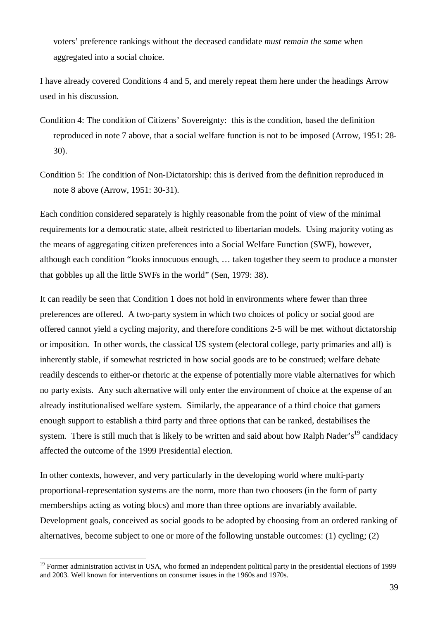voters' preference rankings without the deceased candidate *must remain the same* when aggregated into a social choice.

I have already covered Conditions 4 and 5, and merely repeat them here under the headings Arrow used in his discussion.

- Condition 4: The condition of Citizens' Sovereignty: this is the condition, based the definition reproduced in note 7 above, that a social welfare function is not to be imposed (Arrow, 1951: 28- 30).
- Condition 5: The condition of Non-Dictatorship: this is derived from the definition reproduced in note 8 above (Arrow, 1951: 30-31).

Each condition considered separately is highly reasonable from the point of view of the minimal requirements for a democratic state, albeit restricted to libertarian models. Using majority voting as the means of aggregating citizen preferences into a Social Welfare Function (SWF), however, although each condition "looks innocuous enough, … taken together they seem to produce a monster that gobbles up all the little SWFs in the world" (Sen, 1979: 38).

It can readily be seen that Condition 1 does not hold in environments where fewer than three preferences are offered. A two-party system in which two choices of policy or social good are offered cannot yield a cycling majority, and therefore conditions 2-5 will be met without dictatorship or imposition. In other words, the classical US system (electoral college, party primaries and all) is inherently stable, if somewhat restricted in how social goods are to be construed; welfare debate readily descends to either-or rhetoric at the expense of potentially more viable alternatives for which no party exists. Any such alternative will only enter the environment of choice at the expense of an already institutionalised welfare system. Similarly, the appearance of a third choice that garners enough support to establish a third party and three options that can be ranked, destabilises the system. There is still much that is likely to be written and said about how Ralph Nader's<sup>19</sup> candidacy affected the outcome of the 1999 Presidential election.

In other contexts, however, and very particularly in the developing world where multi-party proportional-representation systems are the norm, more than two choosers (in the form of party memberships acting as voting blocs) and more than three options are invariably available. Development goals, conceived as social goods to be adopted by choosing from an ordered ranking of alternatives, become subject to one or more of the following unstable outcomes: (1) cycling; (2)

 $\overline{a}$ 

<sup>&</sup>lt;sup>19</sup> Former administration activist in USA, who formed an independent political party in the presidential elections of 1999 and 2003. Well known for interventions on consumer issues in the 1960s and 1970s.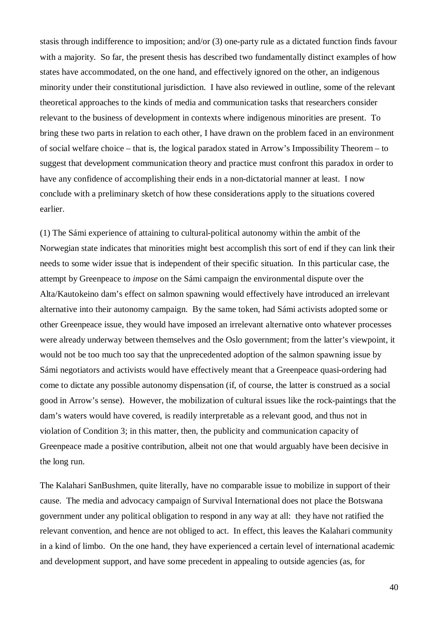stasis through indifference to imposition; and/or (3) one-party rule as a dictated function finds favour with a majority. So far, the present thesis has described two fundamentally distinct examples of how states have accommodated, on the one hand, and effectively ignored on the other, an indigenous minority under their constitutional jurisdiction. I have also reviewed in outline, some of the relevant theoretical approaches to the kinds of media and communication tasks that researchers consider relevant to the business of development in contexts where indigenous minorities are present. To bring these two parts in relation to each other, I have drawn on the problem faced in an environment of social welfare choice – that is, the logical paradox stated in Arrow's Impossibility Theorem – to suggest that development communication theory and practice must confront this paradox in order to have any confidence of accomplishing their ends in a non-dictatorial manner at least. I now conclude with a preliminary sketch of how these considerations apply to the situations covered earlier.

(1) The Sámi experience of attaining to cultural-political autonomy within the ambit of the Norwegian state indicates that minorities might best accomplish this sort of end if they can link their needs to some wider issue that is independent of their specific situation. In this particular case, the attempt by Greenpeace to *impose* on the Sámi campaign the environmental dispute over the Alta/Kautokeino dam's effect on salmon spawning would effectively have introduced an irrelevant alternative into their autonomy campaign. By the same token, had Sámi activists adopted some or other Greenpeace issue, they would have imposed an irrelevant alternative onto whatever processes were already underway between themselves and the Oslo government; from the latter's viewpoint, it would not be too much too say that the unprecedented adoption of the salmon spawning issue by Sámi negotiators and activists would have effectively meant that a Greenpeace quasi-ordering had come to dictate any possible autonomy dispensation (if, of course, the latter is construed as a social good in Arrow's sense). However, the mobilization of cultural issues like the rock-paintings that the dam's waters would have covered, is readily interpretable as a relevant good, and thus not in violation of Condition 3; in this matter, then, the publicity and communication capacity of Greenpeace made a positive contribution, albeit not one that would arguably have been decisive in the long run.

The Kalahari SanBushmen, quite literally, have no comparable issue to mobilize in support of their cause. The media and advocacy campaign of Survival International does not place the Botswana government under any political obligation to respond in any way at all: they have not ratified the relevant convention, and hence are not obliged to act. In effect, this leaves the Kalahari community in a kind of limbo. On the one hand, they have experienced a certain level of international academic and development support, and have some precedent in appealing to outside agencies (as, for

40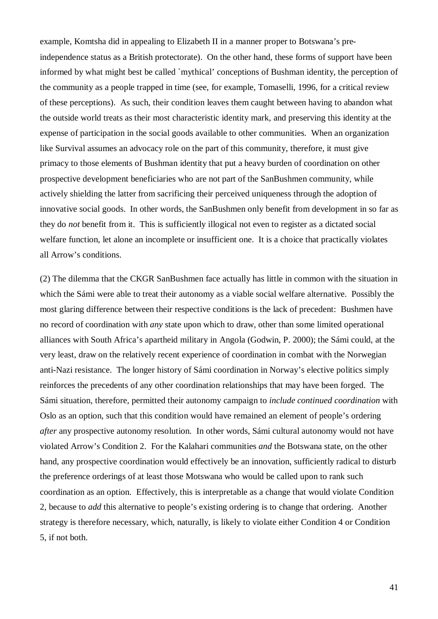example, Komtsha did in appealing to Elizabeth II in a manner proper to Botswana's preindependence status as a British protectorate). On the other hand, these forms of support have been informed by what might best be called `mythical' conceptions of Bushman identity, the perception of the community as a people trapped in time (see, for example, Tomaselli, 1996, for a critical review of these perceptions). As such, their condition leaves them caught between having to abandon what the outside world treats as their most characteristic identity mark, and preserving this identity at the expense of participation in the social goods available to other communities. When an organization like Survival assumes an advocacy role on the part of this community, therefore, it must give primacy to those elements of Bushman identity that put a heavy burden of coordination on other prospective development beneficiaries who are not part of the SanBushmen community, while actively shielding the latter from sacrificing their perceived uniqueness through the adoption of innovative social goods. In other words, the SanBushmen only benefit from development in so far as they do *not* benefit from it. This is sufficiently illogical not even to register as a dictated social welfare function, let alone an incomplete or insufficient one. It is a choice that practically violates all Arrow's conditions.

(2) The dilemma that the CKGR SanBushmen face actually has little in common with the situation in which the Sámi were able to treat their autonomy as a viable social welfare alternative. Possibly the most glaring difference between their respective conditions is the lack of precedent: Bushmen have no record of coordination with *any* state upon which to draw, other than some limited operational alliances with South Africa's apartheid military in Angola (Godwin, P. 2000); the Sámi could, at the very least, draw on the relatively recent experience of coordination in combat with the Norwegian anti-Nazi resistance. The longer history of Sámi coordination in Norway's elective politics simply reinforces the precedents of any other coordination relationships that may have been forged. The Sámi situation, therefore, permitted their autonomy campaign to *include continued coordination* with Oslo as an option, such that this condition would have remained an element of people's ordering *after* any prospective autonomy resolution. In other words, Sámi cultural autonomy would not have violated Arrow's Condition 2. For the Kalahari communities *and* the Botswana state, on the other hand, any prospective coordination would effectively be an innovation, sufficiently radical to disturb the preference orderings of at least those Motswana who would be called upon to rank such coordination as an option. Effectively, this is interpretable as a change that would violate Condition 2, because to *add* this alternative to people's existing ordering is to change that ordering. Another strategy is therefore necessary, which, naturally, is likely to violate either Condition 4 or Condition 5, if not both.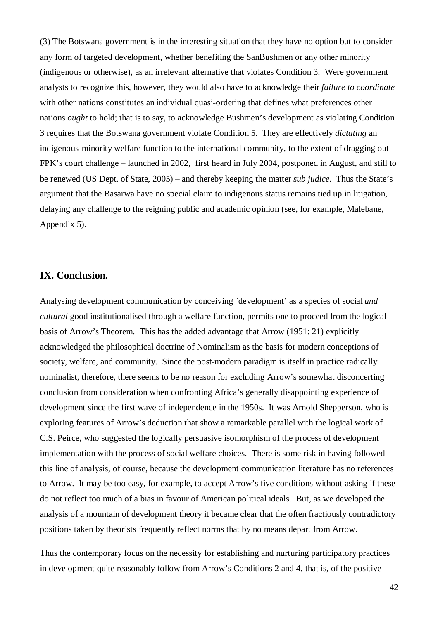(3) The Botswana government is in the interesting situation that they have no option but to consider any form of targeted development, whether benefiting the SanBushmen or any other minority (indigenous or otherwise), as an irrelevant alternative that violates Condition 3. Were government analysts to recognize this, however, they would also have to acknowledge their *failure to coordinate* with other nations constitutes an individual quasi-ordering that defines what preferences other nations *ought* to hold; that is to say, to acknowledge Bushmen's development as violating Condition 3 requires that the Botswana government violate Condition 5. They are effectively *dictating* an indigenous-minority welfare function to the international community, to the extent of dragging out FPK's court challenge – launched in 2002, first heard in July 2004, postponed in August, and still to be renewed (US Dept. of State, 2005) – and thereby keeping the matter *sub judice*. Thus the State's argument that the Basarwa have no special claim to indigenous status remains tied up in litigation, delaying any challenge to the reigning public and academic opinion (see, for example, Malebane, Appendix 5).

## **IX. Conclusion.**

Analysing development communication by conceiving `development' as a species of social *and cultural* good institutionalised through a welfare function, permits one to proceed from the logical basis of Arrow's Theorem. This has the added advantage that Arrow (1951: 21) explicitly acknowledged the philosophical doctrine of Nominalism as the basis for modern conceptions of society, welfare, and community. Since the post-modern paradigm is itself in practice radically nominalist, therefore, there seems to be no reason for excluding Arrow's somewhat disconcerting conclusion from consideration when confronting Africa's generally disappointing experience of development since the first wave of independence in the 1950s. It was Arnold Shepperson, who is exploring features of Arrow's deduction that show a remarkable parallel with the logical work of C.S. Peirce, who suggested the logically persuasive isomorphism of the process of development implementation with the process of social welfare choices. There is some risk in having followed this line of analysis, of course, because the development communication literature has no references to Arrow. It may be too easy, for example, to accept Arrow's five conditions without asking if these do not reflect too much of a bias in favour of American political ideals. But, as we developed the analysis of a mountain of development theory it became clear that the often fractiously contradictory positions taken by theorists frequently reflect norms that by no means depart from Arrow.

Thus the contemporary focus on the necessity for establishing and nurturing participatory practices in development quite reasonably follow from Arrow's Conditions 2 and 4, that is, of the positive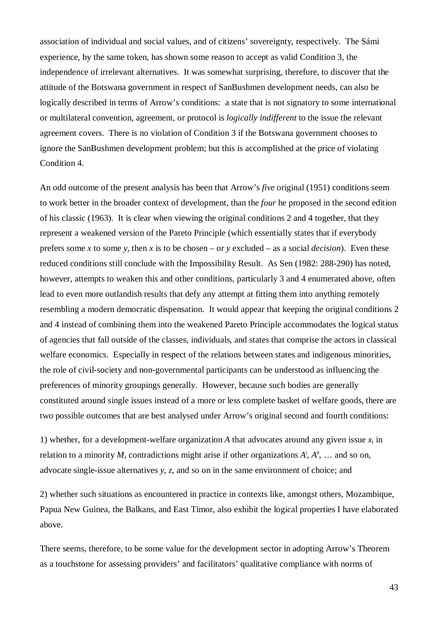association of individual and social values, and of citizens' sovereignty, respectively. The Sámi experience, by the same token, has shown some reason to accept as valid Condition 3, the independence of irrelevant alternatives. It was somewhat surprising, therefore, to discover that the attitude of the Botswana government in respect of SanBushmen development needs, can also be logically described in terms of Arrow's conditions: a state that is not signatory to some international or multilateral convention, agreement, or protocol is *logically indifferent* to the issue the relevant agreement covers. There is no violation of Condition 3 if the Botswana government chooses to ignore the SanBushmen development problem; but this is accomplished at the price of violating Condition 4.

An odd outcome of the present analysis has been that Arrow's *five* original (1951) conditions seem to work better in the broader context of development, than the *four* he proposed in the second edition of his classic (1963). It is clear when viewing the original conditions 2 and 4 together, that they represent a weakened version of the Pareto Principle (which essentially states that if everybody prefers some *x* to some *y*, then *x* is to be chosen – or *y* excluded – as a social *decision*). Even these reduced conditions still conclude with the Impossibility Result. As Sen (1982: 288-290) has noted, however, attempts to weaken this and other conditions, particularly 3 and 4 enumerated above, often lead to even more outlandish results that defy any attempt at fitting them into anything remotely resembling a modern democratic dispensation. It would appear that keeping the original conditions 2 and 4 instead of combining them into the weakened Pareto Principle accommodates the logical status of agencies that fall outside of the classes, individuals, and states that comprise the actors in classical welfare economics. Especially in respect of the relations between states and indigenous minorities, the role of civil-society and non-governmental participants can be understood as influencing the preferences of minority groupings generally. However, because such bodies are generally constituted around single issues instead of a more or less complete basket of welfare goods, there are two possible outcomes that are best analysed under Arrow's original second and fourth conditions:

1) whether, for a development-welfare organization A that advocates around any given issue  $x_i$  in relation to a minority *M*, contradictions might arise if other organizations  $A^1$ ,  $A^{\prime\prime}$ , ... and so on, advocate single-issue alternatives *y*, *z*, and so on in the same environment of choice; and

2) whether such situations as encountered in practice in contexts like, amongst others, Mozambique, Papua New Guinea, the Balkans, and East Timor, also exhibit the logical properties I have elaborated above.

There seems, therefore, to be some value for the development sector in adopting Arrow's Theorem as a touchstone for assessing providers' and facilitators' qualitative compliance with norms of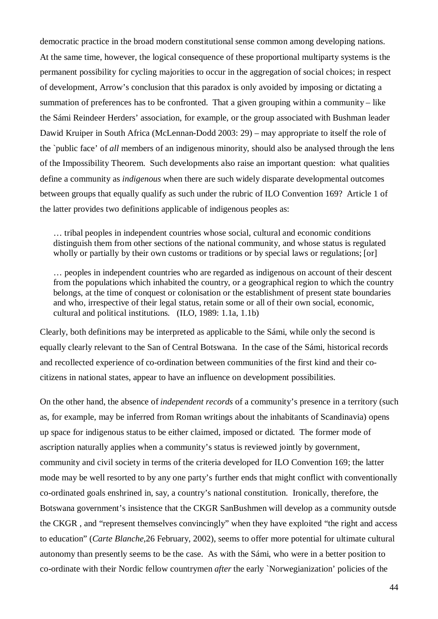democratic practice in the broad modern constitutional sense common among developing nations. At the same time, however, the logical consequence of these proportional multiparty systems is the permanent possibility for cycling majorities to occur in the aggregation of social choices; in respect of development, Arrow's conclusion that this paradox is only avoided by imposing or dictating a summation of preferences has to be confronted. That a given grouping within a community – like the Sámi Reindeer Herders' association, for example, or the group associated with Bushman leader Dawid Kruiper in South Africa (McLennan-Dodd 2003: 29) – may appropriate to itself the role of the `public face' of *all* members of an indigenous minority, should also be analysed through the lens of the Impossibility Theorem. Such developments also raise an important question: what qualities define a community as *indigenous* when there are such widely disparate developmental outcomes between groups that equally qualify as such under the rubric of ILO Convention 169? Article 1 of the latter provides two definitions applicable of indigenous peoples as:

… tribal peoples in independent countries whose social, cultural and economic conditions distinguish them from other sections of the national community, and whose status is regulated wholly or partially by their own customs or traditions or by special laws or regulations; [or]

… peoples in independent countries who are regarded as indigenous on account of their descent from the populations which inhabited the country, or a geographical region to which the country belongs, at the time of conquest or colonisation or the establishment of present state boundaries and who, irrespective of their legal status, retain some or all of their own social, economic, cultural and political institutions. (ILO, 1989: 1.1a, 1.1b)

Clearly, both definitions may be interpreted as applicable to the Sámi, while only the second is equally clearly relevant to the San of Central Botswana. In the case of the Sámi, historical records and recollected experience of co-ordination between communities of the first kind and their cocitizens in national states, appear to have an influence on development possibilities.

On the other hand, the absence of *independent records* of a community's presence in a territory (such as, for example, may be inferred from Roman writings about the inhabitants of Scandinavia) opens up space for indigenous status to be either claimed, imposed or dictated. The former mode of ascription naturally applies when a community's status is reviewed jointly by government, community and civil society in terms of the criteria developed for ILO Convention 169; the latter mode may be well resorted to by any one party's further ends that might conflict with conventionally co-ordinated goals enshrined in, say, a country's national constitution. Ironically, therefore, the Botswana government's insistence that the CKGR SanBushmen will develop as a community outsde the CKGR , and "represent themselves convincingly" when they have exploited "the right and access to education" (*Carte Blanche*,26 February, 2002), seems to offer more potential for ultimate cultural autonomy than presently seems to be the case. As with the Sámi, who were in a better position to co-ordinate with their Nordic fellow countrymen *after* the early `Norwegianization' policies of the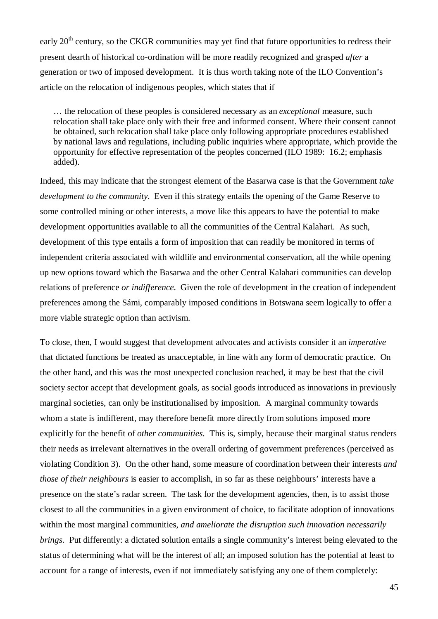early 20<sup>th</sup> century, so the CKGR communities may yet find that future opportunities to redress their present dearth of historical co-ordination will be more readily recognized and grasped *after* a generation or two of imposed development. It is thus worth taking note of the ILO Convention's article on the relocation of indigenous peoples, which states that if

… the relocation of these peoples is considered necessary as an *exceptional* measure, such relocation shall take place only with their free and informed consent. Where their consent cannot be obtained, such relocation shall take place only following appropriate procedures established by national laws and regulations, including public inquiries where appropriate, which provide the opportunity for effective representation of the peoples concerned (ILO 1989: 16.2; emphasis added).

Indeed, this may indicate that the strongest element of the Basarwa case is that the Government *take development to the community*. Even if this strategy entails the opening of the Game Reserve to some controlled mining or other interests, a move like this appears to have the potential to make development opportunities available to all the communities of the Central Kalahari. As such, development of this type entails a form of imposition that can readily be monitored in terms of independent criteria associated with wildlife and environmental conservation, all the while opening up new options toward which the Basarwa and the other Central Kalahari communities can develop relations of preference *or indifference*. Given the role of development in the creation of independent preferences among the Sámi, comparably imposed conditions in Botswana seem logically to offer a more viable strategic option than activism.

To close, then, I would suggest that development advocates and activists consider it an *imperative* that dictated functions be treated as unacceptable, in line with any form of democratic practice. On the other hand, and this was the most unexpected conclusion reached, it may be best that the civil society sector accept that development goals, as social goods introduced as innovations in previously marginal societies, can only be institutionalised by imposition. A marginal community towards whom a state is indifferent, may therefore benefit more directly from solutions imposed more explicitly for the benefit of *other communities*. This is, simply, because their marginal status renders their needs as irrelevant alternatives in the overall ordering of government preferences (perceived as violating Condition 3). On the other hand, some measure of coordination between their interests *and those of their neighbours* is easier to accomplish, in so far as these neighbours' interests have a presence on the state's radar screen. The task for the development agencies, then, is to assist those closest to all the communities in a given environment of choice, to facilitate adoption of innovations within the most marginal communities, *and ameliorate the disruption such innovation necessarily brings*. Put differently: a dictated solution entails a single community's interest being elevated to the status of determining what will be the interest of all; an imposed solution has the potential at least to account for a range of interests, even if not immediately satisfying any one of them completely: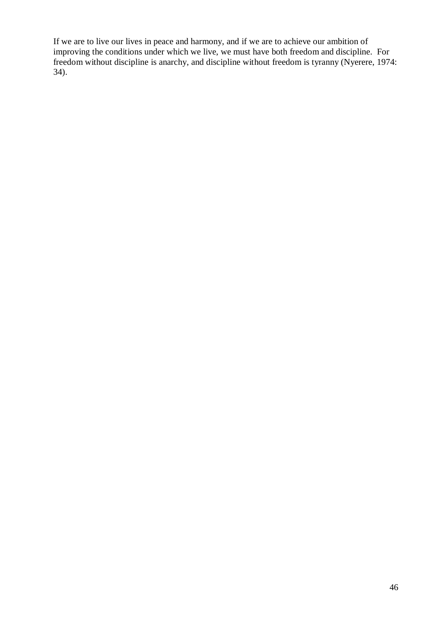If we are to live our lives in peace and harmony, and if we are to achieve our ambition of improving the conditions under which we live, we must have both freedom and discipline. For freedom without discipline is anarchy, and discipline without freedom is tyranny (Nyerere, 1974: 34).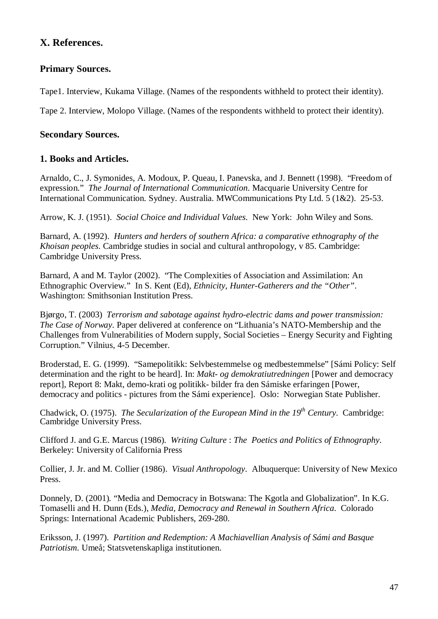# **X. References.**

## **Primary Sources.**

Tape1. Interview, Kukama Village. (Names of the respondents withheld to protect their identity).

Tape 2. Interview, Molopo Village. (Names of the respondents withheld to protect their identity).

## **Secondary Sources.**

## **1. Books and Articles.**

Arnaldo, C., J. Symonides, A. Modoux, P. Queau, I. Panevska, and J. Bennett (1998). "Freedom of expression." *The Journal of International Communication*. Macquarie University Centre for International Communication. Sydney. Australia. MWCommunications Pty Ltd. 5 (1&2). 25-53.

Arrow, K. J. (1951). *Social Choice and Individual Values*. New York: John Wiley and Sons.

Barnard, A. (1992). *Hunters and herders of southern Africa: a comparative ethnography of the Khoisan peoples*. Cambridge studies in social and cultural anthropology, v 85. Cambridge: Cambridge University Press.

Barnard, A and M. Taylor (2002). "The Complexities of Association and Assimilation: An Ethnographic Overview*.*" In S. Kent (Ed), *Ethnicity, Hunter-Gatherers and the "Other"*. Washington: Smithsonian Institution Press.

Bjørgo, T. (2003) *Terrorism and sabotage against hydro-electric dams and power transmission: The Case of Norway*. Paper delivered at conference on "Lithuania's NATO-Membership and the Challenges from Vulnerabilities of Modern supply, Social Societies – Energy Security and Fighting Corruption." Vilnius, 4-5 December.

Broderstad, E. G. (1999). "Samepolitikk: Selvbestemmelse og medbestemmelse" [Sámi Policy: Self determination and the right to be heard]. In: *Makt- og demokratiutredningen* [Power and democracy report], Report 8: Makt, demo-krati og politikk- bilder fra den Sámiske erfaringen [Power, democracy and politics - pictures from the Sámi experience]. Oslo: Norwegian State Publisher.

Chadwick, O. (1975). *The Secularization of the European Mind in the 19th Century*. Cambridge: Cambridge University Press.

Clifford J. and G.E. Marcus (1986). *Writing Culture* : *The Poetics and Politics of Ethnography*. Berkeley: University of California Press

Collier, J. Jr. and M. Collier (1986). *Visual Anthropology*. Albuquerque: University of New Mexico Press.

Donnely, D. (2001)*.* "Media and Democracy in Botswana: The Kgotla and Globalization". In K.G. Tomaselli and H. Dunn (Eds.), *Media, Democracy and Renewal in Southern Africa*. Colorado Springs: International Academic Publishers, 269-280.

Eriksson, J. (1997). *Partition and Redemption: A Machiavellian Analysis of Sámi and Basque Patriotism*. Umeå; Statsvetenskapliga institutionen.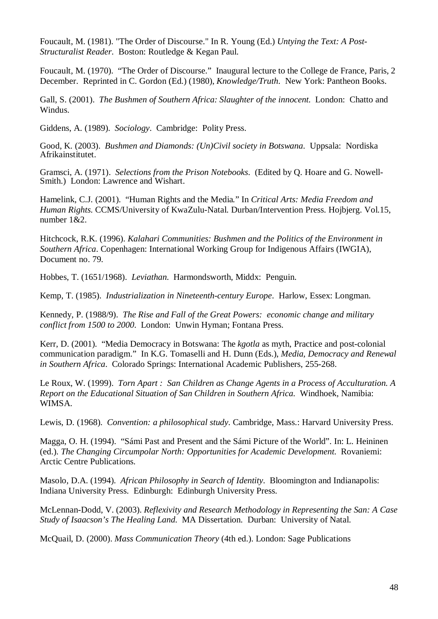Foucault, M. (1981). "The Order of Discourse." In R. Young (Ed.) *Untying the Text: A Post-Structuralist Reader*. Boston: Routledge & Kegan Paul.

Foucault, M. (1970). "The Order of Discourse." Inaugural lecture to the College de France, Paris, 2 December. Reprinted in C. Gordon (Ed.) (1980), *Knowledge/Truth*. New York: Pantheon Books.

Gall, S. (2001). *The Bushmen of Southern Africa: Slaughter of the innocent*. London: Chatto and Windus.

Giddens, A. (1989). *Sociology*. Cambridge: Polity Press.

Good, K. (2003). *Bushmen and Diamonds: (Un)Civil society in Botswana*. Uppsala: Nordiska Afrikainstitutet.

Gramsci, A. (1971). *Selections from the Prison Notebooks*. (Edited by Q. Hoare and G. Nowell-Smith.) London: Lawrence and Wishart.

Hamelink, C.J. (2001). "Human Rights and the Media*.*" In *Critical Arts: Media Freedom and Human Rights.* CCMS/University of KwaZulu-Natal. Durban/Intervention Press. Hojbjerg. Vol.15, number 1&2.

Hitchcock, R.K. (1996). *Kalahari Communities: Bushmen and the Politics of the Environment in Southern Africa*. Copenhagen: International Working Group for Indigenous Affairs (IWGIA), Document no. 79.

Hobbes, T. (1651/1968). *Leviathan*. Harmondsworth, Middx: Penguin.

Kemp, T. (1985). *Industrialization in Nineteenth-century Europe*. Harlow, Essex: Longman.

Kennedy, P. (1988/9). *The Rise and Fall of the Great Powers: economic change and military conflict from 1500 to 2000*. London: Unwin Hyman; Fontana Press.

Kerr, D. (2001). "Media Democracy in Botswana: The *kgotla* as myth, Practice and post-colonial communication paradigm." In K.G. Tomaselli and H. Dunn (Eds.), *Media, Democracy and Renewal in Southern Africa*. Colorado Springs: International Academic Publishers, 255-268.

Le Roux, W. (1999). *Torn Apart : San Children as Change Agents in a Process of Acculturation. A Report on the Educational Situation of San Children in Southern Africa.* Windhoek, Namibia: WIMSA.

Lewis, D. (1968). *Convention: a philosophical study*. Cambridge, Mass.: Harvard University Press.

Magga, O. H. (1994). "Sámi Past and Present and the Sámi Picture of the World". In: L. Heininen (ed.). *The Changing Circumpolar North: Opportunities for Academic Development*. Rovaniemi: Arctic Centre Publications.

Masolo, D.A. (1994). *African Philosophy in Search of Identity*. Bloomington and Indianapolis: Indiana University Press. Edinburgh: Edinburgh University Press.

McLennan-Dodd, V. (2003). *Reflexivity and Research Methodology in Representing the San: A Case Study of Isaacson's The Healing Land.* MA Dissertation. Durban: University of Natal.

McQuail, D. (2000). *Mass Communication Theory* (4th ed.). London: Sage Publications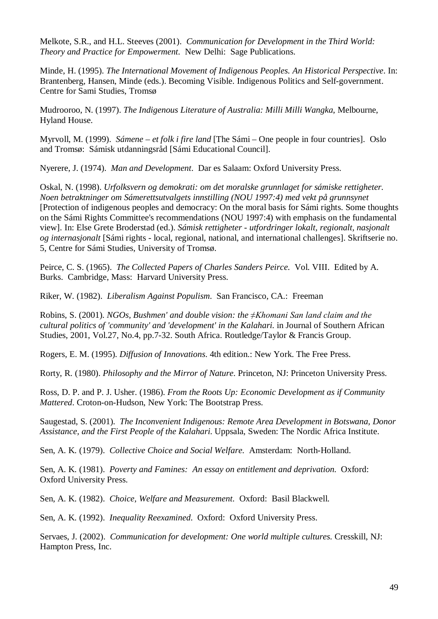Melkote, S.R., and H.L. Steeves (2001). *Communication for Development in the Third World: Theory and Practice for Empowerment*. New Delhi: Sage Publications.

Minde, H. (1995). *The International Movement of Indigenous Peoples. An Historical Perspective*. In: Brantenberg, Hansen, Minde (eds.). Becoming Visible. Indigenous Politics and Self-government. Centre for Sami Studies, Tromsø

Mudrooroo, N. (1997). *The Indigenous Literature of Australia: Milli Milli Wangka*, Melbourne, Hyland House.

Myrvoll, M. (1999). *Sámene – et folk i fire land* [The Sámi – One people in four countries]. Oslo and Tromsø: Sámisk utdanningsråd [Sámi Educational Council].

Nyerere, J. (1974). *Man and Development*. Dar es Salaam: Oxford University Press.

Oskal, N. (1998). *Urfolksvern og demokrati: om det moralske grunnlaget for sámiske rettigheter. Noen betraktninger om Sámerettsutvalgets innstilling (NOU 1997:4) med vekt på grunnsynet* [Protection of indigenous peoples and democracy: On the moral basis for Sámi rights. Some thoughts on the Sámi Rights Committee's recommendations (NOU 1997:4) with emphasis on the fundamental view]. In: Else Grete Broderstad (ed.). *Sámisk rettigheter - utfordringer lokalt, regionalt, nasjonalt og internasjonalt* [Sámi rights - local, regional, national, and international challenges]. Skriftserie no. 5, Centre for Sámi Studies, University of Tromsø.

Peirce, C. S. (1965). *The Collected Papers of Charles Sanders Peirce*. Vol. VIII. Edited by A. Burks. Cambridge, Mass: Harvard University Press.

Riker, W. (1982). *Liberalism Against Populism*. San Francisco, CA.: Freeman

Robins, S. (2001). *NGOs, Bushmen' and double vision: the ≠Khomani San land claim and the cultural politics of 'community' and 'development' in the Kalahari.* in Journal of Southern African Studies, 2001, Vol.27, No.4, pp.7-32. South Africa. Routledge/Taylor & Francis Group.

Rogers, E. M. (1995). *Diffusion of Innovations*. 4th edition.: New York. The Free Press.

Rorty, R. (1980). *Philosophy and the Mirror of Nature*. Princeton, NJ: Princeton University Press.

Ross, D. P. and P. J. Usher. (1986). *From the Roots Up: Economic Development as if Community Mattered*. Croton-on-Hudson, New York: The Bootstrap Press.

Saugestad, S. (2001). *The Inconvenient Indigenous: Remote Area Development in Botswana, Donor Assistance, and the First People of the Kalahari.* Uppsala, Sweden: The Nordic Africa Institute.

Sen, A. K. (1979). *Collective Choice and Social Welfare*. Amsterdam: North-Holland.

Sen, A. K. (1981). *Poverty and Famines: An essay on entitlement and deprivation*. Oxford: Oxford University Press.

Sen, A. K. (1982). *Choice, Welfare and Measurement*. Oxford: Basil Blackwell.

Sen, A. K. (1992). *Inequality Reexamined*. Oxford: Oxford University Press.

Servaes, J. (2002). *Communication for development: One world multiple cultures*. Cresskill, NJ: Hampton Press, Inc.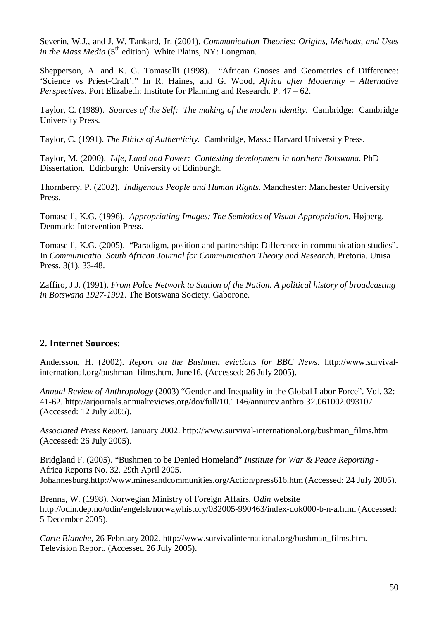Severin, W.J., and J. W. Tankard, Jr. (2001). *Communication Theories: Origins, Methods, and Uses in the Mass Media* ( $5<sup>th</sup>$  edition). White Plains, NY: Longman.

Shepperson, A. and K. G. Tomaselli (1998). "African Gnoses and Geometries of Difference: 'Science vs Priest-Craft'." In R. Haines, and G. Wood, *Africa after Modernity – Alternative Perspectives*. Port Elizabeth: Institute for Planning and Research. P. 47 – 62.

Taylor, C. (1989). *Sources of the Self: The making of the modern identity*. Cambridge: Cambridge University Press.

Taylor, C. (1991). *The Ethics of Authenticity.* Cambridge, Mass.: Harvard University Press.

Taylor, M. (2000). *Life, Land and Power: Contesting development in northern Botswana*. PhD Dissertation. Edinburgh: University of Edinburgh.

Thornberry, P. (2002). *Indigenous People and Human Rights*. Manchester: Manchester University Press.

Tomaselli, K.G. (1996). *Appropriating Images: The Semiotics of Visual Appropriation.* Højberg, Denmark: Intervention Press.

Tomaselli, K.G. (2005). "Paradigm, position and partnership: Difference in communication studies". In *Communicatio. South African Journal for Communication Theory and Research*. Pretoria. Unisa Press, 3(1), 33-48.

Zaffiro, J.J. (1991). *From Polce Network to Station of the Nation. A political history of broadcasting in Botswana 1927-1991*. The Botswana Society. Gaborone.

## **2. Internet Sources:**

Andersson, H. (2002). *Report on the Bushmen evictions for BBC News*. http://www.survivalinternational.org/bushman\_films.htm. June16. (Accessed: 26 July 2005).

*Annual Review of Anthropology* (2003) "Gender and Inequality in the Global Labor Force". Vol. 32: 41-62. http://arjournals.annualreviews.org/doi/full/10.1146/annurev.anthro.32.061002.093107 (Accessed: 12 July 2005).

*Associated Press Report.* January 2002. http://www.survival-international.org/bushman\_films.htm (Accessed: 26 July 2005).

Bridgland F. (2005). "Bushmen to be Denied Homeland" *Institute for War & Peace Reporting* - Africa Reports No. 32. 29th April 2005. Johannesburg.http://www.minesandcommunities.org/Action/press616.htm (Accessed: 24 July 2005).

Brenna, W. (1998). Norwegian Ministry of Foreign Affairs. O*din* website http://odin.dep.no/odin/engelsk/norway/history/032005-990463/index-dok000-b-n-a.html (Accessed: 5 December 2005).

*Carte Blanche*, 26 February 2002. http://www.survivalinternational.org/bushman\_films.htm. Television Report. (Accessed 26 July 2005).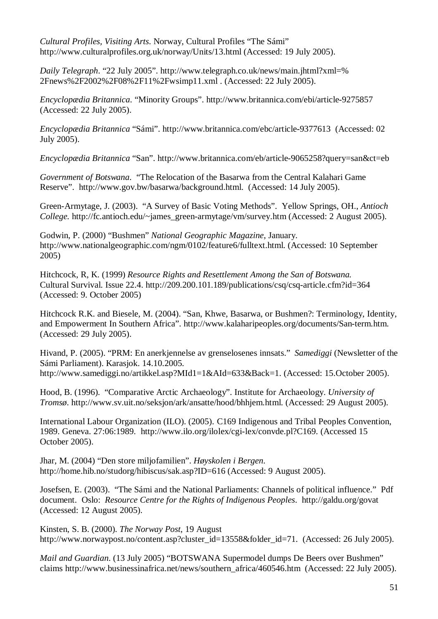*Cultural Profiles, Visiting Arts*. Norway, Cultural Profiles "The Sámi" http://www.culturalprofiles.org.uk/norway/Units/13.html (Accessed: 19 July 2005).

*Daily Telegraph*. "22 July 2005". http://www.telegraph.co.uk/news/main.jhtml?xml=% 2Fnews%2F2002%2F08%2F11%2Fwsimp11.xml . (Accessed: 22 July 2005).

*Encyclopædia Britannica*. "Minority Groups". http://www.britannica.com/ebi/article-9275857 (Accessed: 22 July 2005).

*Encyclopædia Britannica* "Sámi". http://www.britannica.com/ebc/article-9377613 (Accessed: 02 July 2005).

*Encyclopædia Britannica* "San". http://www.britannica.com/eb/article-9065258?query=san&ct=eb

*Government of Botswana*. "The Relocation of the Basarwa from the Central Kalahari Game Reserve". http://www.gov.bw/basarwa/background.html. (Accessed: 14 July 2005).

Green-Armytage, J. (2003). "A Survey of Basic Voting Methods". Yellow Springs, OH., *Antioch College.* http://fc.antioch.edu/~james\_green-armytage/vm/survey.htm (Accessed: 2 August 2005).

Godwin, P. (2000) "Bushmen" *National Geographic Magazine*, January. http://www.nationalgeographic.com/ngm/0102/feature6/fulltext.html. (Accessed: 10 September 2005)

Hitchcock, R, K. (1999) *Resource Rights and Resettlement Among the San of Botswana.* Cultural Survival. Issue 22.4. http://209.200.101.189/publications/csq/csq-article.cfm?id=364 (Accessed: 9. October 2005)

Hitchcock R.K. and Biesele, M. (2004). "San, Khwe, Basarwa, or Bushmen?: Terminology, Identity, and Empowerment In Southern Africa". http://www.kalaharipeoples.org/documents/San-term.htm. (Accessed: 29 July 2005).

Hivand, P. (2005). "PRM: En anerkjennelse av grenselosenes innsats." *Samediggi* (Newsletter of the Sámi Parliament). Karasjok. 14.10.2005. http://www.samediggi.no/artikkel.asp?MId1=1&AId=633&Back=1. (Accessed: 15.October 2005).

Hood, B. (1996). "Comparative Arctic Archaeology". Institute for Archaeology. *University of Tromsø*. http://www.sv.uit.no/seksjon/ark/ansatte/hood/bhhjem.html. (Accessed: 29 August 2005).

International Labour Organization (ILO). (2005). C169 Indigenous and Tribal Peoples Convention, 1989. Geneva. 27:06:1989. http://www.ilo.org/ilolex/cgi-lex/convde.pl?C169. (Accessed 15 October 2005).

Jhar, M. (2004) "Den store miljofamilien". *Høyskolen i Bergen*. http://home.hib.no/studorg/hibiscus/sak.asp?ID=616 (Accessed: 9 August 2005).

Josefsen, E. (2003). "The Sámi and the National Parliaments: Channels of political influence." Pdf document. Oslo: *Resource Centre for the Rights of Indigenous Peoples*. http://galdu.org/govat (Accessed: 12 August 2005).

Kinsten, S. B. (2000). *The Norway Post*, 19 August http://www.norwaypost.no/content.asp?cluster\_id=13558&folder\_id=71. (Accessed: 26 July 2005).

*Mail and Guardian*. (13 July 2005) "BOTSWANA Supermodel dumps De Beers over Bushmen" claims http://www.businessinafrica.net/news/southern\_africa/460546.htm (Accessed: 22 July 2005).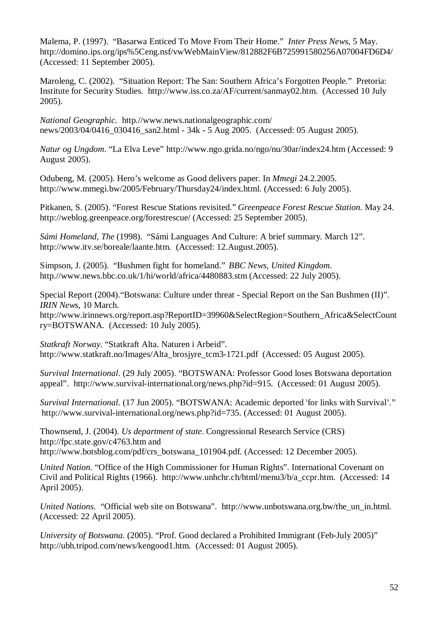Malema, P. (1997). "Basarwa Enticed To Move From Their Home." *Inter Press News*, 5 May. http://domino.ips.org/ips%5Ceng.nsf/vwWebMainView/812882F6B725991580256A07004FD6D4/ (Accessed: 11 September 2005).

Maroleng, C. (2002). "Situation Report: The San: Southern Africa's Forgotten People." Pretoria: Institute for Security Studies. http://www.iss.co.za/AF/current/sanmay02.htm. (Accessed 10 July 2005).

*National Geographic.* http.//www.news.nationalgeographic.com/ news/2003/04/0416\_030416\_san2.html - 34k - 5 Aug 2005. (Accessed: 05 August 2005).

*Natur og Ungdom*. "La Elva Leve" http://www.ngo.grida.no/ngo/nu/30ar/index24.htm (Accessed: 9 August 2005).

Odubeng, M. (2005). Hero's welcome as Good delivers paper. In *Mmegi* 24.2.2005. http://www.mmegi.bw/2005/February/Thursday24/index.html. (Accessed: 6 July 2005).

Pitkanen, S. (2005). "Forest Rescue Stations revisited." *Greenpeace Forest Rescue Station.* May 24. http://weblog.greenpeace.org/forestrescue/ (Accessed: 25 September 2005).

*Sámi Homeland, The* (1998). "Sámi Languages And Culture: A brief summary*.* March 12". http://www.itv.se/boreale/laante.htm. (Accessed: 12.August.2005).

Simpson, J. (2005). "Bushmen fight for homeland." *BBC News, United Kingdom*. http.//www.news.bbc.co.uk/1/hi/world/africa/4480883.stm (Accessed: 22 July 2005).

Special Report (2004)."Botswana: Culture under threat - Special Report on the San Bushmen (II)". *IRIN News*, 10 March.

http://www.irinnews.org/report.asp?ReportID=39960&SelectRegion=Southern\_Africa&SelectCount ry=BOTSWANA. (Accessed: 10 July 2005).

*Statkraft Norway*. "Statkraft Alta. Naturen i Arbeid". http://www.statkraft.no/Images/Alta\_brosjyre\_tcm3-1721.pdf (Accessed: 05 August 2005).

*Survival International*. (29 July 2005). "BOTSWANA: Professor Good loses Botswana deportation appeal". http://www.survival-international.org/news.php?id=915. (Accessed: 01 August 2005).

*Survival International.* (17 Jun 2005). "BOTSWANA: Academic deported 'for links with Survival'*.*" http://www.survival-international.org/news.php?id=735. (Accessed: 01 August 2005).

Thownsend, J. (2004). *Us department of state*. Congressional Research Service (CRS) http://fpc.state.gov/c4763.htm and http://www.botsblog.com/pdf/crs\_botswana\_101904.pdf. (Accessed: 12 December 2005).

*United Nation*. "Office of the High Commissioner for Human Rights". International Covenant on Civil and Political Rights (1966). http://www.unhchr.ch/html/menu3/b/a\_ccpr.htm. (Accessed: 14 April 2005).

*United Nations*. "Official web site on Botswana". http://www.unbotswana.org.bw/the\_un\_in.html. (Accessed: 22 April 2005).

*University of Botswana.* (2005). "Prof. Good declared a Prohibited Immigrant (Feb-July 2005)" http://ubh.tripod.com/news/kengood1.htm. (Accessed: 01 August 2005).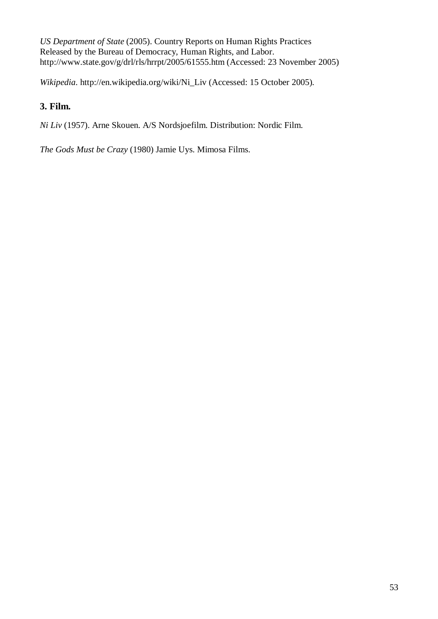*US Department of State* (2005). Country Reports on Human Rights Practices Released by the Bureau of Democracy, Human Rights, and Labor. http://www.state.gov/g/drl/rls/hrrpt/2005/61555.htm (Accessed: 23 November 2005)

*Wikipedia*. http://en.wikipedia.org/wiki/Ni\_Liv (Accessed: 15 October 2005).

# **3. Film.**

*Ni Liv* (1957). Arne Skouen. A/S Nordsjoefilm. Distribution: Nordic Film.

*The Gods Must be Crazy* (1980) Jamie Uys. Mimosa Films.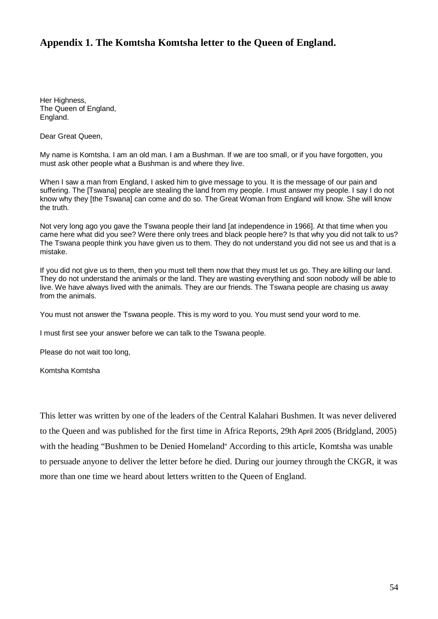# **Appendix 1. The Komtsha Komtsha letter to the Queen of England.**

Her Highness, The Queen of England, England.

Dear Great Queen,

My name is Komtsha. I am an old man. I am a Bushman. If we are too small, or if you have forgotten, you must ask other people what a Bushman is and where they live.

When I saw a man from England. I asked him to give message to you. It is the message of our pain and suffering. The [Tswana] people are stealing the land from my people. I must answer my people. I say I do not know why they [the Tswana] can come and do so. The Great Woman from England will know. She will know the truth.

Not very long ago you gave the Tswana people their land [at independence in 1966]. At that time when you came here what did you see? Were there only trees and black people here? Is that why you did not talk to us? The Tswana people think you have given us to them. They do not understand you did not see us and that is a mistake.

If you did not give us to them, then you must tell them now that they must let us go. They are killing our land. They do not understand the animals or the land. They are wasting everything and soon nobody will be able to live. We have always lived with the animals. They are our friends. The Tswana people are chasing us away from the animals.

You must not answer the Tswana people. This is my word to you. You must send your word to me.

I must first see your answer before we can talk to the Tswana people.

Please do not wait too long,

Komtsha Komtsha

This letter was written by one of the leaders of the Central Kalahari Bushmen. It was never delivered to the Queen and was published for the first time in Africa Reports, 29th April 2005 (Bridgland, 2005) with the heading "Bushmen to be Denied Homeland" According to this article, Komtsha was unable to persuade anyone to deliver the letter before he died. During our journey through the CKGR, it was more than one time we heard about letters written to the Queen of England.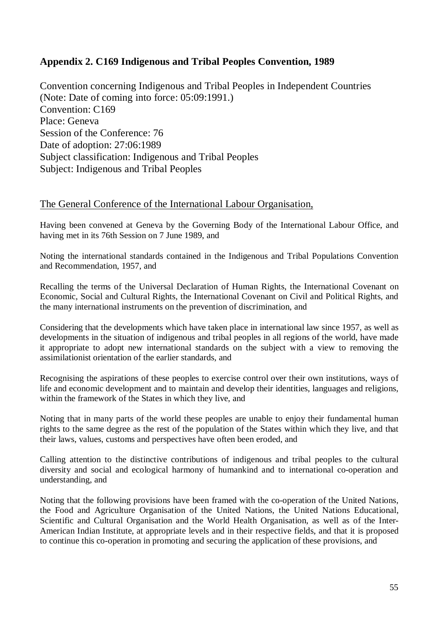# **Appendix 2. C169 Indigenous and Tribal Peoples Convention, 1989**

Convention concerning Indigenous and Tribal Peoples in Independent Countries (Note: Date of coming into force: 05:09:1991.) Convention: C169 Place: Geneva Session of the Conference: 76 Date of adoption: 27:06:1989 Subject classification: Indigenous and Tribal Peoples Subject: Indigenous and Tribal Peoples

## The General Conference of the International Labour Organisation,

Having been convened at Geneva by the Governing Body of the International Labour Office, and having met in its 76th Session on 7 June 1989, and

Noting the international standards contained in the Indigenous and Tribal Populations Convention and Recommendation, 1957, and

Recalling the terms of the Universal Declaration of Human Rights, the International Covenant on Economic, Social and Cultural Rights, the International Covenant on Civil and Political Rights, and the many international instruments on the prevention of discrimination, and

Considering that the developments which have taken place in international law since 1957, as well as developments in the situation of indigenous and tribal peoples in all regions of the world, have made it appropriate to adopt new international standards on the subject with a view to removing the assimilationist orientation of the earlier standards, and

Recognising the aspirations of these peoples to exercise control over their own institutions, ways of life and economic development and to maintain and develop their identities, languages and religions, within the framework of the States in which they live, and

Noting that in many parts of the world these peoples are unable to enjoy their fundamental human rights to the same degree as the rest of the population of the States within which they live, and that their laws, values, customs and perspectives have often been eroded, and

Calling attention to the distinctive contributions of indigenous and tribal peoples to the cultural diversity and social and ecological harmony of humankind and to international co-operation and understanding, and

Noting that the following provisions have been framed with the co-operation of the United Nations, the Food and Agriculture Organisation of the United Nations, the United Nations Educational, Scientific and Cultural Organisation and the World Health Organisation, as well as of the Inter-American Indian Institute, at appropriate levels and in their respective fields, and that it is proposed to continue this co-operation in promoting and securing the application of these provisions, and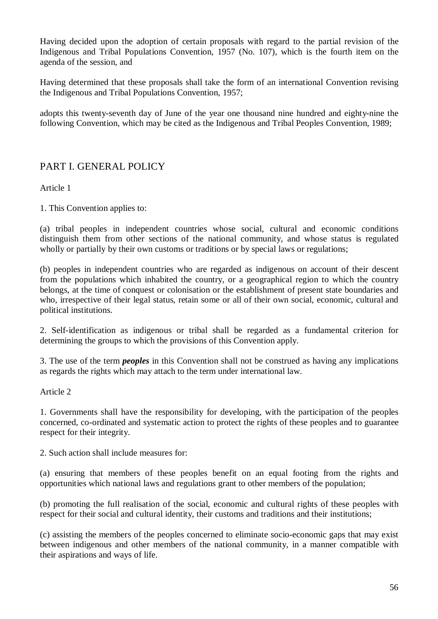Having decided upon the adoption of certain proposals with regard to the partial revision of the Indigenous and Tribal Populations Convention, 1957 (No. 107), which is the fourth item on the agenda of the session, and

Having determined that these proposals shall take the form of an international Convention revising the Indigenous and Tribal Populations Convention, 1957;

adopts this twenty-seventh day of June of the year one thousand nine hundred and eighty-nine the following Convention, which may be cited as the Indigenous and Tribal Peoples Convention, 1989;

# PART I. GENERAL POLICY

Article 1

1. This Convention applies to:

(a) tribal peoples in independent countries whose social, cultural and economic conditions distinguish them from other sections of the national community, and whose status is regulated wholly or partially by their own customs or traditions or by special laws or regulations;

(b) peoples in independent countries who are regarded as indigenous on account of their descent from the populations which inhabited the country, or a geographical region to which the country belongs, at the time of conquest or colonisation or the establishment of present state boundaries and who, irrespective of their legal status, retain some or all of their own social, economic, cultural and political institutions.

2. Self-identification as indigenous or tribal shall be regarded as a fundamental criterion for determining the groups to which the provisions of this Convention apply.

3. The use of the term *peoples* in this Convention shall not be construed as having any implications as regards the rights which may attach to the term under international law.

Article 2

1. Governments shall have the responsibility for developing, with the participation of the peoples concerned, co-ordinated and systematic action to protect the rights of these peoples and to guarantee respect for their integrity.

2. Such action shall include measures for:

(a) ensuring that members of these peoples benefit on an equal footing from the rights and opportunities which national laws and regulations grant to other members of the population;

(b) promoting the full realisation of the social, economic and cultural rights of these peoples with respect for their social and cultural identity, their customs and traditions and their institutions;

(c) assisting the members of the peoples concerned to eliminate socio-economic gaps that may exist between indigenous and other members of the national community, in a manner compatible with their aspirations and ways of life.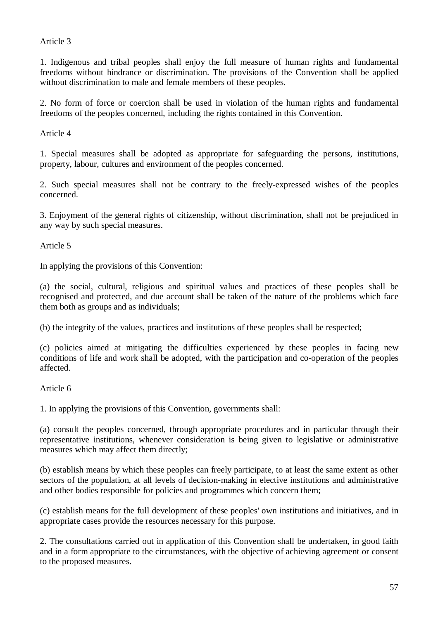## Article 3

1. Indigenous and tribal peoples shall enjoy the full measure of human rights and fundamental freedoms without hindrance or discrimination. The provisions of the Convention shall be applied without discrimination to male and female members of these peoples.

2. No form of force or coercion shall be used in violation of the human rights and fundamental freedoms of the peoples concerned, including the rights contained in this Convention.

Article 4

1. Special measures shall be adopted as appropriate for safeguarding the persons, institutions, property, labour, cultures and environment of the peoples concerned.

2. Such special measures shall not be contrary to the freely-expressed wishes of the peoples concerned.

3. Enjoyment of the general rights of citizenship, without discrimination, shall not be prejudiced in any way by such special measures.

Article 5

In applying the provisions of this Convention:

(a) the social, cultural, religious and spiritual values and practices of these peoples shall be recognised and protected, and due account shall be taken of the nature of the problems which face them both as groups and as individuals;

(b) the integrity of the values, practices and institutions of these peoples shall be respected;

(c) policies aimed at mitigating the difficulties experienced by these peoples in facing new conditions of life and work shall be adopted, with the participation and co-operation of the peoples affected.

Article 6

1. In applying the provisions of this Convention, governments shall:

(a) consult the peoples concerned, through appropriate procedures and in particular through their representative institutions, whenever consideration is being given to legislative or administrative measures which may affect them directly;

(b) establish means by which these peoples can freely participate, to at least the same extent as other sectors of the population, at all levels of decision-making in elective institutions and administrative and other bodies responsible for policies and programmes which concern them;

(c) establish means for the full development of these peoples' own institutions and initiatives, and in appropriate cases provide the resources necessary for this purpose.

2. The consultations carried out in application of this Convention shall be undertaken, in good faith and in a form appropriate to the circumstances, with the objective of achieving agreement or consent to the proposed measures.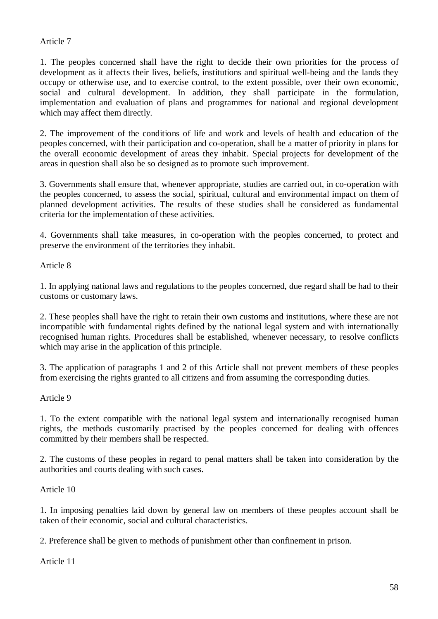### Article 7

1. The peoples concerned shall have the right to decide their own priorities for the process of development as it affects their lives, beliefs, institutions and spiritual well-being and the lands they occupy or otherwise use, and to exercise control, to the extent possible, over their own economic, social and cultural development. In addition, they shall participate in the formulation, implementation and evaluation of plans and programmes for national and regional development which may affect them directly.

2. The improvement of the conditions of life and work and levels of health and education of the peoples concerned, with their participation and co-operation, shall be a matter of priority in plans for the overall economic development of areas they inhabit. Special projects for development of the areas in question shall also be so designed as to promote such improvement.

3. Governments shall ensure that, whenever appropriate, studies are carried out, in co-operation with the peoples concerned, to assess the social, spiritual, cultural and environmental impact on them of planned development activities. The results of these studies shall be considered as fundamental criteria for the implementation of these activities.

4. Governments shall take measures, in co-operation with the peoples concerned, to protect and preserve the environment of the territories they inhabit.

Article 8

1. In applying national laws and regulations to the peoples concerned, due regard shall be had to their customs or customary laws.

2. These peoples shall have the right to retain their own customs and institutions, where these are not incompatible with fundamental rights defined by the national legal system and with internationally recognised human rights. Procedures shall be established, whenever necessary, to resolve conflicts which may arise in the application of this principle.

3. The application of paragraphs 1 and 2 of this Article shall not prevent members of these peoples from exercising the rights granted to all citizens and from assuming the corresponding duties.

## Article 9

1. To the extent compatible with the national legal system and internationally recognised human rights, the methods customarily practised by the peoples concerned for dealing with offences committed by their members shall be respected.

2. The customs of these peoples in regard to penal matters shall be taken into consideration by the authorities and courts dealing with such cases.

Article 10

1. In imposing penalties laid down by general law on members of these peoples account shall be taken of their economic, social and cultural characteristics.

2. Preference shall be given to methods of punishment other than confinement in prison.

Article 11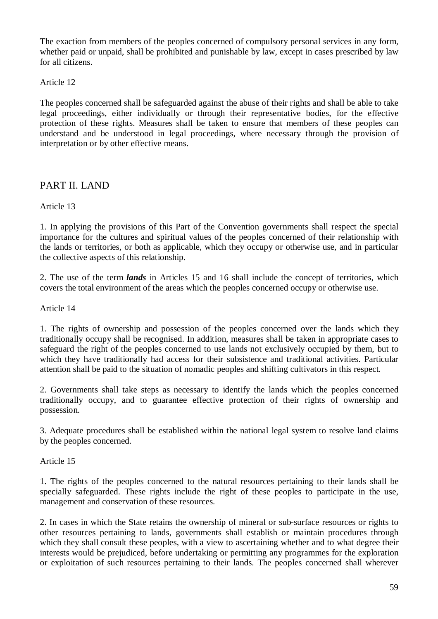The exaction from members of the peoples concerned of compulsory personal services in any form, whether paid or unpaid, shall be prohibited and punishable by law, except in cases prescribed by law for all citizens.

Article 12

The peoples concerned shall be safeguarded against the abuse of their rights and shall be able to take legal proceedings, either individually or through their representative bodies, for the effective protection of these rights. Measures shall be taken to ensure that members of these peoples can understand and be understood in legal proceedings, where necessary through the provision of interpretation or by other effective means.

# PART II. LAND

Article 13

1. In applying the provisions of this Part of the Convention governments shall respect the special importance for the cultures and spiritual values of the peoples concerned of their relationship with the lands or territories, or both as applicable, which they occupy or otherwise use, and in particular the collective aspects of this relationship.

2. The use of the term *lands* in Articles 15 and 16 shall include the concept of territories, which covers the total environment of the areas which the peoples concerned occupy or otherwise use.

Article 14

1. The rights of ownership and possession of the peoples concerned over the lands which they traditionally occupy shall be recognised. In addition, measures shall be taken in appropriate cases to safeguard the right of the peoples concerned to use lands not exclusively occupied by them, but to which they have traditionally had access for their subsistence and traditional activities. Particular attention shall be paid to the situation of nomadic peoples and shifting cultivators in this respect.

2. Governments shall take steps as necessary to identify the lands which the peoples concerned traditionally occupy, and to guarantee effective protection of their rights of ownership and possession.

3. Adequate procedures shall be established within the national legal system to resolve land claims by the peoples concerned.

Article 15

1. The rights of the peoples concerned to the natural resources pertaining to their lands shall be specially safeguarded. These rights include the right of these peoples to participate in the use, management and conservation of these resources.

2. In cases in which the State retains the ownership of mineral or sub-surface resources or rights to other resources pertaining to lands, governments shall establish or maintain procedures through which they shall consult these peoples, with a view to ascertaining whether and to what degree their interests would be prejudiced, before undertaking or permitting any programmes for the exploration or exploitation of such resources pertaining to their lands. The peoples concerned shall wherever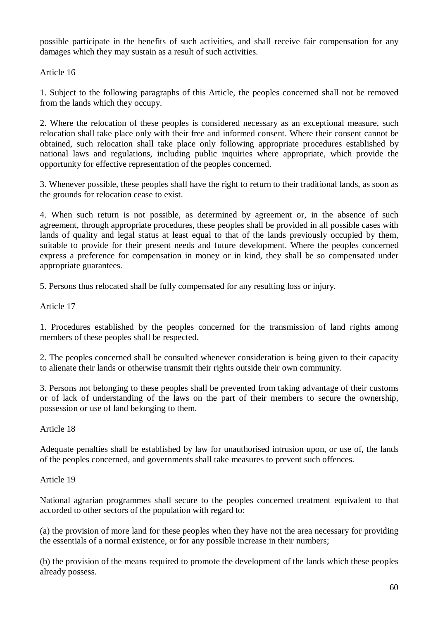possible participate in the benefits of such activities, and shall receive fair compensation for any damages which they may sustain as a result of such activities.

Article 16

1. Subject to the following paragraphs of this Article, the peoples concerned shall not be removed from the lands which they occupy.

2. Where the relocation of these peoples is considered necessary as an exceptional measure, such relocation shall take place only with their free and informed consent. Where their consent cannot be obtained, such relocation shall take place only following appropriate procedures established by national laws and regulations, including public inquiries where appropriate, which provide the opportunity for effective representation of the peoples concerned.

3. Whenever possible, these peoples shall have the right to return to their traditional lands, as soon as the grounds for relocation cease to exist.

4. When such return is not possible, as determined by agreement or, in the absence of such agreement, through appropriate procedures, these peoples shall be provided in all possible cases with lands of quality and legal status at least equal to that of the lands previously occupied by them, suitable to provide for their present needs and future development. Where the peoples concerned express a preference for compensation in money or in kind, they shall be so compensated under appropriate guarantees.

5. Persons thus relocated shall be fully compensated for any resulting loss or injury.

Article 17

1. Procedures established by the peoples concerned for the transmission of land rights among members of these peoples shall be respected.

2. The peoples concerned shall be consulted whenever consideration is being given to their capacity to alienate their lands or otherwise transmit their rights outside their own community.

3. Persons not belonging to these peoples shall be prevented from taking advantage of their customs or of lack of understanding of the laws on the part of their members to secure the ownership, possession or use of land belonging to them.

Article 18

Adequate penalties shall be established by law for unauthorised intrusion upon, or use of, the lands of the peoples concerned, and governments shall take measures to prevent such offences.

Article 19

National agrarian programmes shall secure to the peoples concerned treatment equivalent to that accorded to other sectors of the population with regard to:

(a) the provision of more land for these peoples when they have not the area necessary for providing the essentials of a normal existence, or for any possible increase in their numbers;

(b) the provision of the means required to promote the development of the lands which these peoples already possess.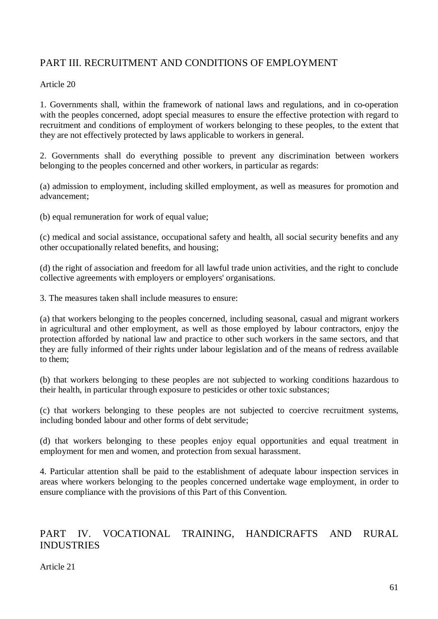# PART III. RECRUITMENT AND CONDITIONS OF EMPLOYMENT

Article 20

1. Governments shall, within the framework of national laws and regulations, and in co-operation with the peoples concerned, adopt special measures to ensure the effective protection with regard to recruitment and conditions of employment of workers belonging to these peoples, to the extent that they are not effectively protected by laws applicable to workers in general.

2. Governments shall do everything possible to prevent any discrimination between workers belonging to the peoples concerned and other workers, in particular as regards:

(a) admission to employment, including skilled employment, as well as measures for promotion and advancement;

(b) equal remuneration for work of equal value;

(c) medical and social assistance, occupational safety and health, all social security benefits and any other occupationally related benefits, and housing;

(d) the right of association and freedom for all lawful trade union activities, and the right to conclude collective agreements with employers or employers' organisations.

3. The measures taken shall include measures to ensure:

(a) that workers belonging to the peoples concerned, including seasonal, casual and migrant workers in agricultural and other employment, as well as those employed by labour contractors, enjoy the protection afforded by national law and practice to other such workers in the same sectors, and that they are fully informed of their rights under labour legislation and of the means of redress available to them;

(b) that workers belonging to these peoples are not subjected to working conditions hazardous to their health, in particular through exposure to pesticides or other toxic substances;

(c) that workers belonging to these peoples are not subjected to coercive recruitment systems, including bonded labour and other forms of debt servitude;

(d) that workers belonging to these peoples enjoy equal opportunities and equal treatment in employment for men and women, and protection from sexual harassment.

4. Particular attention shall be paid to the establishment of adequate labour inspection services in areas where workers belonging to the peoples concerned undertake wage employment, in order to ensure compliance with the provisions of this Part of this Convention.

# PART IV. VOCATIONAL TRAINING, HANDICRAFTS AND RURAL INDUSTRIES

Article 21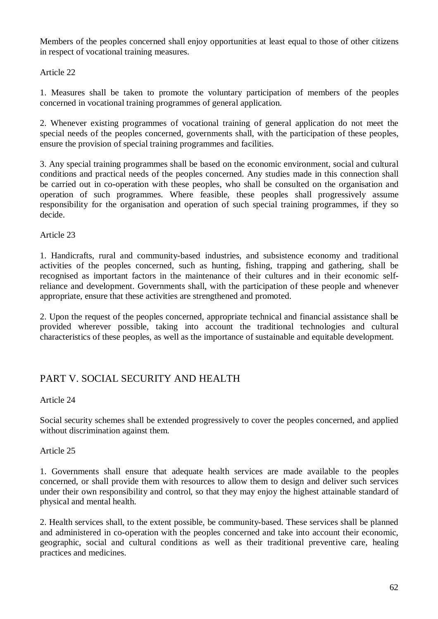Members of the peoples concerned shall enjoy opportunities at least equal to those of other citizens in respect of vocational training measures.

Article 22

1. Measures shall be taken to promote the voluntary participation of members of the peoples concerned in vocational training programmes of general application.

2. Whenever existing programmes of vocational training of general application do not meet the special needs of the peoples concerned, governments shall, with the participation of these peoples, ensure the provision of special training programmes and facilities.

3. Any special training programmes shall be based on the economic environment, social and cultural conditions and practical needs of the peoples concerned. Any studies made in this connection shall be carried out in co-operation with these peoples, who shall be consulted on the organisation and operation of such programmes. Where feasible, these peoples shall progressively assume responsibility for the organisation and operation of such special training programmes, if they so decide.

Article 23

1. Handicrafts, rural and community-based industries, and subsistence economy and traditional activities of the peoples concerned, such as hunting, fishing, trapping and gathering, shall be recognised as important factors in the maintenance of their cultures and in their economic selfreliance and development. Governments shall, with the participation of these people and whenever appropriate, ensure that these activities are strengthened and promoted.

2. Upon the request of the peoples concerned, appropriate technical and financial assistance shall be provided wherever possible, taking into account the traditional technologies and cultural characteristics of these peoples, as well as the importance of sustainable and equitable development.

# PART V. SOCIAL SECURITY AND HEALTH

Article 24

Social security schemes shall be extended progressively to cover the peoples concerned, and applied without discrimination against them.

## Article 25

1. Governments shall ensure that adequate health services are made available to the peoples concerned, or shall provide them with resources to allow them to design and deliver such services under their own responsibility and control, so that they may enjoy the highest attainable standard of physical and mental health.

2. Health services shall, to the extent possible, be community-based. These services shall be planned and administered in co-operation with the peoples concerned and take into account their economic, geographic, social and cultural conditions as well as their traditional preventive care, healing practices and medicines.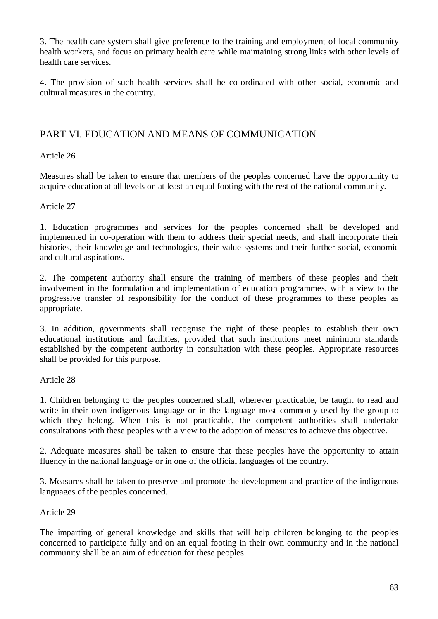3. The health care system shall give preference to the training and employment of local community health workers, and focus on primary health care while maintaining strong links with other levels of health care services.

4. The provision of such health services shall be co-ordinated with other social, economic and cultural measures in the country.

# PART VI. EDUCATION AND MEANS OF COMMUNICATION

## Article 26

Measures shall be taken to ensure that members of the peoples concerned have the opportunity to acquire education at all levels on at least an equal footing with the rest of the national community.

## Article 27

1. Education programmes and services for the peoples concerned shall be developed and implemented in co-operation with them to address their special needs, and shall incorporate their histories, their knowledge and technologies, their value systems and their further social, economic and cultural aspirations.

2. The competent authority shall ensure the training of members of these peoples and their involvement in the formulation and implementation of education programmes, with a view to the progressive transfer of responsibility for the conduct of these programmes to these peoples as appropriate.

3. In addition, governments shall recognise the right of these peoples to establish their own educational institutions and facilities, provided that such institutions meet minimum standards established by the competent authority in consultation with these peoples. Appropriate resources shall be provided for this purpose.

## Article 28

1. Children belonging to the peoples concerned shall, wherever practicable, be taught to read and write in their own indigenous language or in the language most commonly used by the group to which they belong. When this is not practicable, the competent authorities shall undertake consultations with these peoples with a view to the adoption of measures to achieve this objective.

2. Adequate measures shall be taken to ensure that these peoples have the opportunity to attain fluency in the national language or in one of the official languages of the country.

3. Measures shall be taken to preserve and promote the development and practice of the indigenous languages of the peoples concerned.

Article 29

The imparting of general knowledge and skills that will help children belonging to the peoples concerned to participate fully and on an equal footing in their own community and in the national community shall be an aim of education for these peoples.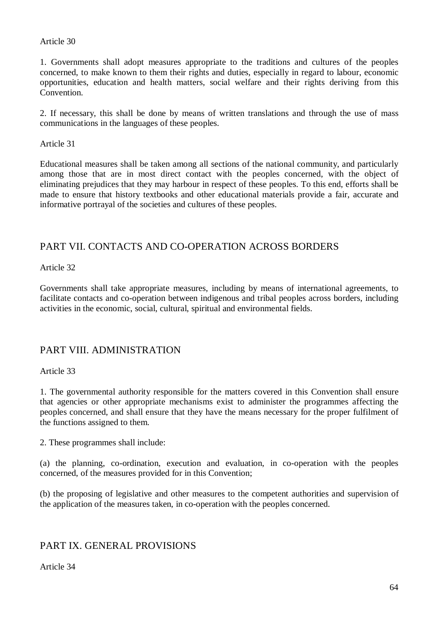#### Article 30

1. Governments shall adopt measures appropriate to the traditions and cultures of the peoples concerned, to make known to them their rights and duties, especially in regard to labour, economic opportunities, education and health matters, social welfare and their rights deriving from this Convention.

2. If necessary, this shall be done by means of written translations and through the use of mass communications in the languages of these peoples.

Article 31

Educational measures shall be taken among all sections of the national community, and particularly among those that are in most direct contact with the peoples concerned, with the object of eliminating prejudices that they may harbour in respect of these peoples. To this end, efforts shall be made to ensure that history textbooks and other educational materials provide a fair, accurate and informative portrayal of the societies and cultures of these peoples.

# PART VII. CONTACTS AND CO-OPERATION ACROSS BORDERS

Article 32

Governments shall take appropriate measures, including by means of international agreements, to facilitate contacts and co-operation between indigenous and tribal peoples across borders, including activities in the economic, social, cultural, spiritual and environmental fields.

## PART VIII. ADMINISTRATION

### Article 33

1. The governmental authority responsible for the matters covered in this Convention shall ensure that agencies or other appropriate mechanisms exist to administer the programmes affecting the peoples concerned, and shall ensure that they have the means necessary for the proper fulfilment of the functions assigned to them.

2. These programmes shall include:

(a) the planning, co-ordination, execution and evaluation, in co-operation with the peoples concerned, of the measures provided for in this Convention;

(b) the proposing of legislative and other measures to the competent authorities and supervision of the application of the measures taken, in co-operation with the peoples concerned.

## PART IX. GENERAL PROVISIONS

Article 34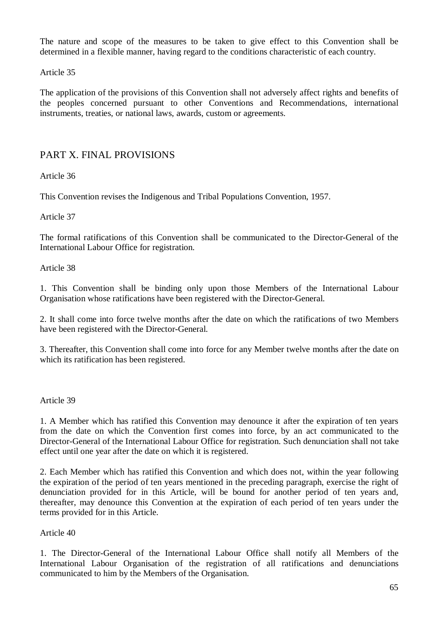The nature and scope of the measures to be taken to give effect to this Convention shall be determined in a flexible manner, having regard to the conditions characteristic of each country.

Article 35

The application of the provisions of this Convention shall not adversely affect rights and benefits of the peoples concerned pursuant to other Conventions and Recommendations, international instruments, treaties, or national laws, awards, custom or agreements.

# PART X. FINAL PROVISIONS

Article 36

This Convention revises the Indigenous and Tribal Populations Convention, 1957.

Article 37

The formal ratifications of this Convention shall be communicated to the Director-General of the International Labour Office for registration.

Article 38

1. This Convention shall be binding only upon those Members of the International Labour Organisation whose ratifications have been registered with the Director-General.

2. It shall come into force twelve months after the date on which the ratifications of two Members have been registered with the Director-General.

3. Thereafter, this Convention shall come into force for any Member twelve months after the date on which its ratification has been registered.

Article 39

1. A Member which has ratified this Convention may denounce it after the expiration of ten years from the date on which the Convention first comes into force, by an act communicated to the Director-General of the International Labour Office for registration. Such denunciation shall not take effect until one year after the date on which it is registered.

2. Each Member which has ratified this Convention and which does not, within the year following the expiration of the period of ten years mentioned in the preceding paragraph, exercise the right of denunciation provided for in this Article, will be bound for another period of ten years and, thereafter, may denounce this Convention at the expiration of each period of ten years under the terms provided for in this Article.

Article 40

1. The Director-General of the International Labour Office shall notify all Members of the International Labour Organisation of the registration of all ratifications and denunciations communicated to him by the Members of the Organisation.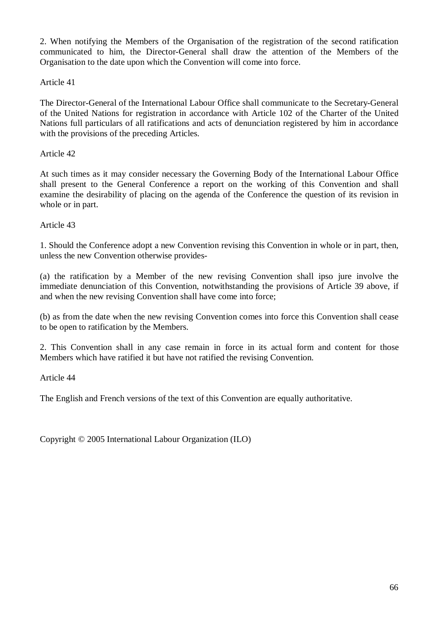2. When notifying the Members of the Organisation of the registration of the second ratification communicated to him, the Director-General shall draw the attention of the Members of the Organisation to the date upon which the Convention will come into force.

## Article 41

The Director-General of the International Labour Office shall communicate to the Secretary-General of the United Nations for registration in accordance with Article 102 of the Charter of the United Nations full particulars of all ratifications and acts of denunciation registered by him in accordance with the provisions of the preceding Articles.

## Article 42

At such times as it may consider necessary the Governing Body of the International Labour Office shall present to the General Conference a report on the working of this Convention and shall examine the desirability of placing on the agenda of the Conference the question of its revision in whole or in part.

## Article 43

1. Should the Conference adopt a new Convention revising this Convention in whole or in part, then, unless the new Convention otherwise provides-

(a) the ratification by a Member of the new revising Convention shall ipso jure involve the immediate denunciation of this Convention, notwithstanding the provisions of Article 39 above, if and when the new revising Convention shall have come into force;

(b) as from the date when the new revising Convention comes into force this Convention shall cease to be open to ratification by the Members.

2. This Convention shall in any case remain in force in its actual form and content for those Members which have ratified it but have not ratified the revising Convention.

Article 44

The English and French versions of the text of this Convention are equally authoritative.

Copyright © 2005 International Labour Organization (ILO)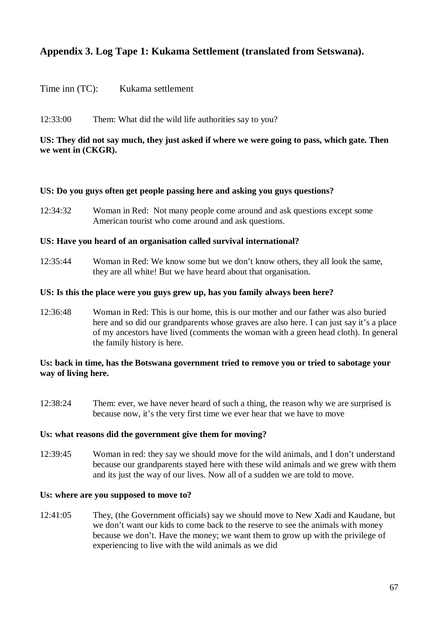# **Appendix 3. Log Tape 1: Kukama Settlement (translated from Setswana).**

Time inn (TC): Kukama settlement

### 12:33:00 Them: What did the wild life authorities say to you?

## **US: They did not say much, they just asked if where we were going to pass, which gate. Then we went in (CKGR).**

#### **US: Do you guys often get people passing here and asking you guys questions?**

12:34:32 Woman in Red: Not many people come around and ask questions except some American tourist who come around and ask questions.

#### **US: Have you heard of an organisation called survival international?**

12:35:44 Woman in Red: We know some but we don't know others, they all look the same, they are all white! But we have heard about that organisation.

#### **US: Is this the place were you guys grew up, has you family always been here?**

12:36:48 Woman in Red: This is our home, this is our mother and our father was also buried here and so did our grandparents whose graves are also here. I can just say it's a place of my ancestors have lived (comments the woman with a green head cloth). In general the family history is here.

### **Us: back in time, has the Botswana government tried to remove you or tried to sabotage your way of living here.**

12:38:24 Them: ever, we have never heard of such a thing, the reason why we are surprised is because now, it's the very first time we ever hear that we have to move

#### **Us: what reasons did the government give them for moving?**

12:39:45 Woman in red: they say we should move for the wild animals, and I don't understand because our grandparents stayed here with these wild animals and we grew with them and its just the way of our lives. Now all of a sudden we are told to move.

#### **Us: where are you supposed to move to?**

12:41:05 They, (the Government officials) say we should move to New Xadi and Kaudane, but we don't want our kids to come back to the reserve to see the animals with money because we don't. Have the money; we want them to grow up with the privilege of experiencing to live with the wild animals as we did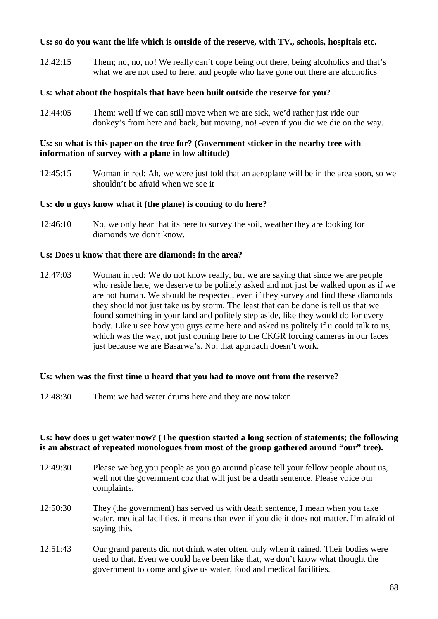### **Us: so do you want the life which is outside of the reserve, with TV., schools, hospitals etc.**

12:42:15 Them; no, no, no! We really can't cope being out there, being alcoholics and that's what we are not used to here, and people who have gone out there are alcoholics

### **Us: what about the hospitals that have been built outside the reserve for you?**

12:44:05 Them: well if we can still move when we are sick, we'd rather just ride our donkey's from here and back, but moving, no! -even if you die we die on the way.

### **Us: so what is this paper on the tree for? (Government sticker in the nearby tree with information of survey with a plane in low altitude)**

12:45:15 Woman in red: Ah, we were just told that an aeroplane will be in the area soon, so we shouldn't be afraid when we see it

#### **Us: do u guys know what it (the plane) is coming to do here?**

12:46:10 No, we only hear that its here to survey the soil, weather they are looking for diamonds we don't know.

#### **Us: Does u know that there are diamonds in the area?**

12:47:03 Woman in red: We do not know really, but we are saying that since we are people who reside here, we deserve to be politely asked and not just be walked upon as if we are not human. We should be respected, even if they survey and find these diamonds they should not just take us by storm. The least that can be done is tell us that we found something in your land and politely step aside, like they would do for every body. Like u see how you guys came here and asked us politely if u could talk to us, which was the way, not just coming here to the CKGR forcing cameras in our faces just because we are Basarwa's. No, that approach doesn't work.

#### **Us: when was the first time u heard that you had to move out from the reserve?**

12:48:30 Them: we had water drums here and they are now taken

### **Us: how does u get water now? (The question started a long section of statements; the following is an abstract of repeated monologues from most of the group gathered around "our" tree).**

- 12:49:30 Please we beg you people as you go around please tell your fellow people about us, well not the government coz that will just be a death sentence. Please voice our complaints.
- 12:50:30 They (the government) has served us with death sentence, I mean when you take water, medical facilities, it means that even if you die it does not matter. I'm afraid of saying this.
- 12:51:43 Our grand parents did not drink water often, only when it rained. Their bodies were used to that. Even we could have been like that, we don't know what thought the government to come and give us water, food and medical facilities.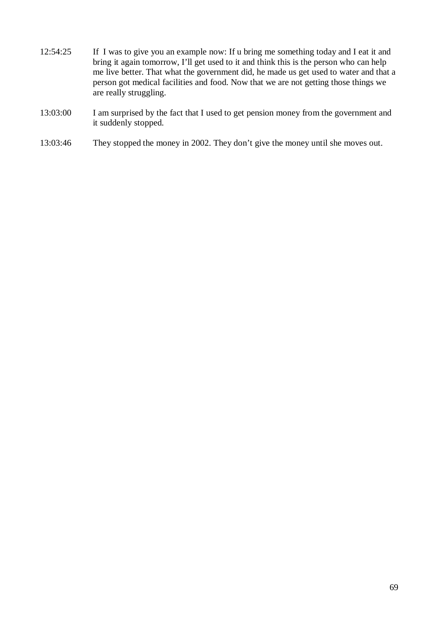- 12:54:25 If I was to give you an example now: If u bring me something today and I eat it and bring it again tomorrow, I'll get used to it and think this is the person who can help me live better. That what the government did, he made us get used to water and that a person got medical facilities and food. Now that we are not getting those things we are really struggling.
- 13:03:00 I am surprised by the fact that I used to get pension money from the government and it suddenly stopped.
- 13:03:46 They stopped the money in 2002. They don't give the money until she moves out.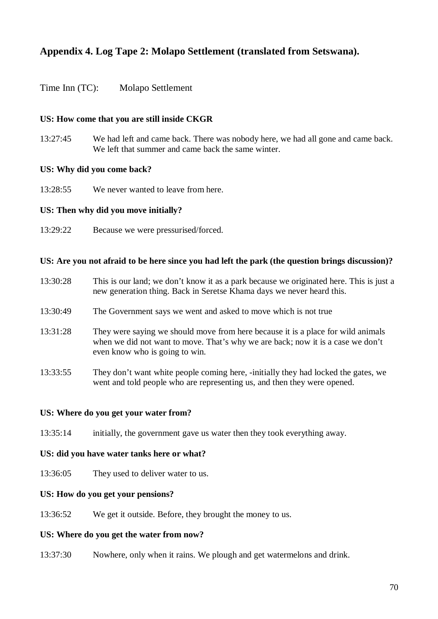# **Appendix 4. Log Tape 2: Molapo Settlement (translated from Setswana).**

Time Inn (TC): Molapo Settlement

#### **US: How come that you are still inside CKGR**

13:27:45 We had left and came back. There was nobody here, we had all gone and came back. We left that summer and came back the same winter.

#### **US: Why did you come back?**

13:28:55 We never wanted to leave from here.

#### **US: Then why did you move initially?**

13:29:22 Because we were pressurised/forced.

#### **US: Are you not afraid to be here since you had left the park (the question brings discussion)?**

- 13:30:28 This is our land; we don't know it as a park because we originated here. This is just a new generation thing. Back in Seretse Khama days we never heard this.
- 13:30:49 The Government says we went and asked to move which is not true
- 13:31:28 They were saying we should move from here because it is a place for wild animals when we did not want to move. That's why we are back; now it is a case we don't even know who is going to win.
- 13:33:55 They don't want white people coming here, -initially they had locked the gates, we went and told people who are representing us, and then they were opened.

#### **US: Where do you get your water from?**

13:35:14 initially, the government gave us water then they took everything away.

#### **US: did you have water tanks here or what?**

13:36:05 They used to deliver water to us.

### **US: How do you get your pensions?**

13:36:52 We get it outside. Before, they brought the money to us.

### **US: Where do you get the water from now?**

13:37:30 Nowhere, only when it rains. We plough and get watermelons and drink.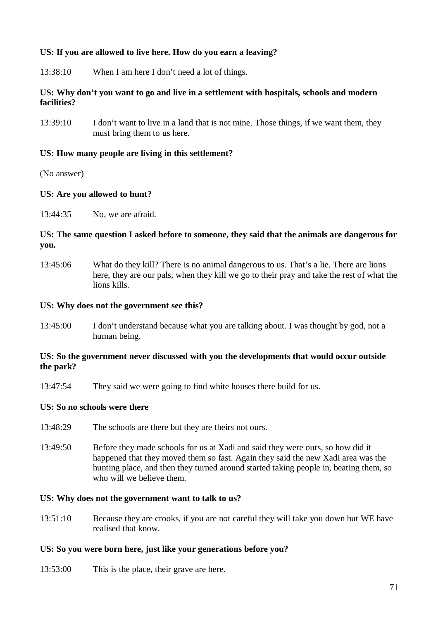# **US: If you are allowed to live here. How do you earn a leaving?**

13:38:10 When I am here I don't need a lot of things.

# **US: Why don't you want to go and live in a settlement with hospitals, schools and modern facilities?**

13:39:10 I don't want to live in a land that is not mine. Those things, if we want them, they must bring them to us here.

### **US: How many people are living in this settlement?**

(No answer)

### **US: Are you allowed to hunt?**

13:44:35 No, we are afraid.

## **US: The same question I asked before to someone, they said that the animals are dangerous for you.**

13:45:06 What do they kill? There is no animal dangerous to us. That's a lie. There are lions here, they are our pals, when they kill we go to their pray and take the rest of what the lions kills.

#### **US: Why does not the government see this?**

13:45:00 I don't understand because what you are talking about. I was thought by god, not a human being.

### **US: So the government never discussed with you the developments that would occur outside the park?**

13:47:54 They said we were going to find white houses there build for us.

## **US: So no schools were there**

- 13:48:29 The schools are there but they are theirs not ours.
- 13:49:50 Before they made schools for us at Xadi and said they were ours, so how did it happened that they moved them so fast. Again they said the new Xadi area was the hunting place, and then they turned around started taking people in, beating them, so who will we believe them.

### **US: Why does not the government want to talk to us?**

13:51:10 Because they are crooks, if you are not careful they will take you down but WE have realised that know.

### **US: So you were born here, just like your generations before you?**

13:53:00 This is the place, their grave are here.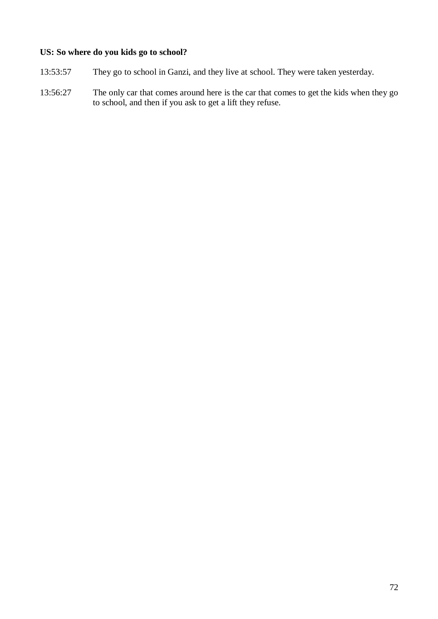# **US: So where do you kids go to school?**

- 13:53:57 They go to school in Ganzi, and they live at school. They were taken yesterday.
- 13:56:27 The only car that comes around here is the car that comes to get the kids when they go to school, and then if you ask to get a lift they refuse.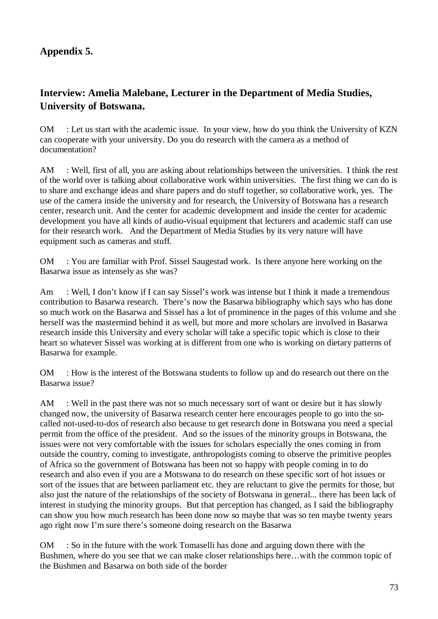# **Appendix 5.**

# **Interview: Amelia Malebane, Lecturer in the Department of Media Studies, University of Botswana.**

OM : Let us start with the academic issue. In your view, how do you think the University of KZN can cooperate with your university. Do you do research with the camera as a method of documentation?

AM : Well, first of all, you are asking about relationships between the universities. I think the rest of the world over is talking about collaborative work within universities. The first thing we can do is to share and exchange ideas and share papers and do stuff together, so collaborative work, yes. The use of the camera inside the university and for research, the University of Botswana has a research center, research unit. And the center for academic development and inside the center for academic development you have all kinds of audio-visual equipment that lecturers and academic staff can use for their research work. And the Department of Media Studies by its very nature will have equipment such as cameras and stuff.

OM : You are familiar with Prof. Sissel Saugestad work. Is there anyone here working on the Basarwa issue as intensely as she was?

Am : Well, I don't know if I can say Sissel's work was intense but I think it made a tremendous contribution to Basarwa research. There's now the Basarwa bibliography which says who has done so much work on the Basarwa and Sissel has a lot of prominence in the pages of this volume and she herself was the mastermind behind it as well, but more and more scholars are involved in Basarwa research inside this University and every scholar will take a specific topic which is close to their heart so whatever Sissel was working at is different from one who is working on dietary patterns of Basarwa for example.

OM : How is the interest of the Botswana students to follow up and do research out there on the Basarwa issue?

AM : Well in the past there was not so much necessary sort of want or desire but it has slowly changed now, the university of Basarwa research center here encourages people to go into the socalled not-used-to-dos of research also because to get research done in Botswana you need a special permit from the office of the president. And so the issues of the minority groups in Botswana, the issues were not very comfortable with the issues for scholars especially the ones coming in from outside the country, coming to investigate, anthropologists coming to observe the primitive peoples of Africa so the government of Botswana has been not so happy with people coming in to do research and also even if you are a Motswana to do research on these specific sort of hot issues or sort of the issues that are between parliament etc. they are reluctant to give the permits for those, but also just the nature of the relationships of the society of Botswana in general... there has been lack of interest in studying the minority groups. But that perception has changed, as I said the bibliography can show you how much research has been done now so maybe that was so ten maybe twenty years ago right now I'm sure there's someone doing research on the Basarwa

OM : So in the future with the work Tomaselli has done and arguing down there with the Bushmen, where do you see that we can make closer relationships here…with the common topic of the Bushmen and Basarwa on both side of the border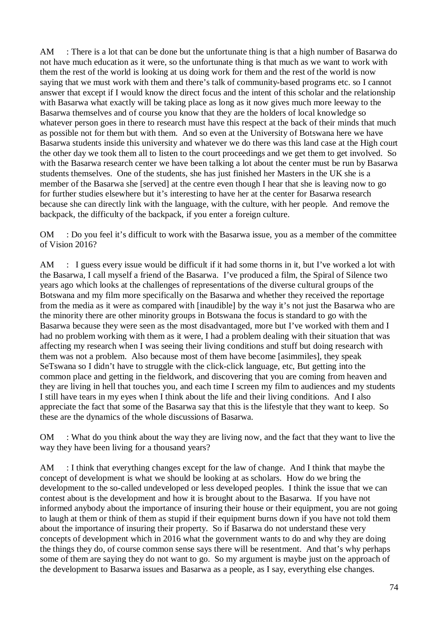AM : There is a lot that can be done but the unfortunate thing is that a high number of Basarwa do not have much education as it were, so the unfortunate thing is that much as we want to work with them the rest of the world is looking at us doing work for them and the rest of the world is now saying that we must work with them and there's talk of community-based programs etc. so I cannot answer that except if I would know the direct focus and the intent of this scholar and the relationship with Basarwa what exactly will be taking place as long as it now gives much more leeway to the Basarwa themselves and of course you know that they are the holders of local knowledge so whatever person goes in there to research must have this respect at the back of their minds that much as possible not for them but with them. And so even at the University of Botswana here we have Basarwa students inside this university and whatever we do there was this land case at the High court the other day we took them all to listen to the court proceedings and we get them to get involved. So with the Basarwa research center we have been talking a lot about the center must be run by Basarwa students themselves. One of the students, she has just finished her Masters in the UK she is a member of the Basarwa she [served] at the centre even though I hear that she is leaving now to go for further studies elsewhere but it's interesting to have her at the center for Basarwa research because she can directly link with the language, with the culture, with her people. And remove the backpack, the difficulty of the backpack, if you enter a foreign culture.

OM : Do you feel it's difficult to work with the Basarwa issue, you as a member of the committee of Vision 2016?

AM : I guess every issue would be difficult if it had some thorns in it, but I've worked a lot with the Basarwa, I call myself a friend of the Basarwa. I've produced a film, the Spiral of Silence two years ago which looks at the challenges of representations of the diverse cultural groups of the Botswana and my film more specifically on the Basarwa and whether they received the reportage from the media as it were as compared with [inaudible] by the way it's not just the Basarwa who are the minority there are other minority groups in Botswana the focus is standard to go with the Basarwa because they were seen as the most disadvantaged, more but I've worked with them and I had no problem working with them as it were, I had a problem dealing with their situation that was affecting my research when I was seeing their living conditions and stuff but doing research with them was not a problem. Also because most of them have become [asimmiles], they speak SeTswana so I didn't have to struggle with the click-click language, etc, But getting into the common place and getting in the fieldwork, and discovering that you are coming from heaven and they are living in hell that touches you, and each time I screen my film to audiences and my students I still have tears in my eyes when I think about the life and their living conditions. And I also appreciate the fact that some of the Basarwa say that this is the lifestyle that they want to keep. So these are the dynamics of the whole discussions of Basarwa.

OM : What do you think about the way they are living now, and the fact that they want to live the way they have been living for a thousand years?

AM : I think that everything changes except for the law of change. And I think that maybe the concept of development is what we should be looking at as scholars. How do we bring the development to the so-called undeveloped or less developed peoples. I think the issue that we can contest about is the development and how it is brought about to the Basarwa. If you have not informed anybody about the importance of insuring their house or their equipment, you are not going to laugh at them or think of them as stupid if their equipment burns down if you have not told them about the importance of insuring their property. So if Basarwa do not understand these very concepts of development which in 2016 what the government wants to do and why they are doing the things they do, of course common sense says there will be resentment. And that's why perhaps some of them are saying they do not want to go. So my argument is maybe just on the approach of the development to Basarwa issues and Basarwa as a people, as I say, everything else changes.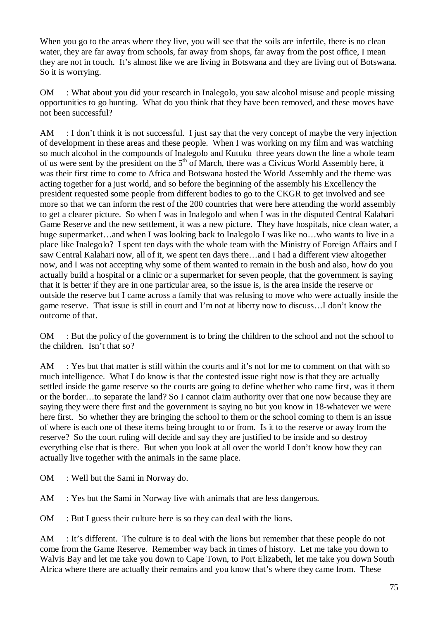When you go to the areas where they live, you will see that the soils are infertile, there is no clean water, they are far away from schools, far away from shops, far away from the post office, I mean they are not in touch. It's almost like we are living in Botswana and they are living out of Botswana. So it is worrying.

OM : What about you did your research in Inalegolo, you saw alcohol misuse and people missing opportunities to go hunting. What do you think that they have been removed, and these moves have not been successful?

AM : I don't think it is not successful. I just say that the very concept of maybe the very injection of development in these areas and these people. When I was working on my film and was watching so much alcohol in the compounds of Inalegolo and Kutuku three years down the line a whole team of us were sent by the president on the 5<sup>th</sup> of March, there was a Civicus World Assembly here, it was their first time to come to Africa and Botswana hosted the World Assembly and the theme was acting together for a just world, and so before the beginning of the assembly his Excellency the president requested some people from different bodies to go to the CKGR to get involved and see more so that we can inform the rest of the 200 countries that were here attending the world assembly to get a clearer picture. So when I was in Inalegolo and when I was in the disputed Central Kalahari Game Reserve and the new settlement, it was a new picture. They have hospitals, nice clean water, a huge supermarket…and when I was looking back to Inalegolo I was like no…who wants to live in a place like Inalegolo? I spent ten days with the whole team with the Ministry of Foreign Affairs and I saw Central Kalahari now, all of it, we spent ten days there…and I had a different view altogether now, and I was not accepting why some of them wanted to remain in the bush and also, how do you actually build a hospital or a clinic or a supermarket for seven people, that the government is saying that it is better if they are in one particular area, so the issue is, is the area inside the reserve or outside the reserve but I came across a family that was refusing to move who were actually inside the game reserve. That issue is still in court and I'm not at liberty now to discuss…I don't know the outcome of that.

OM : But the policy of the government is to bring the children to the school and not the school to the children. Isn't that so?

AM : Yes but that matter is still within the courts and it's not for me to comment on that with so much intelligence. What I do know is that the contested issue right now is that they are actually settled inside the game reserve so the courts are going to define whether who came first, was it them or the border…to separate the land? So I cannot claim authority over that one now because they are saying they were there first and the government is saying no but you know in 18-whatever we were here first. So whether they are bringing the school to them or the school coming to them is an issue of where is each one of these items being brought to or from. Is it to the reserve or away from the reserve? So the court ruling will decide and say they are justified to be inside and so destroy everything else that is there. But when you look at all over the world I don't know how they can actually live together with the animals in the same place.

OM : Well but the Sami in Norway do.

AM : Yes but the Sami in Norway live with animals that are less dangerous.

OM : But I guess their culture here is so they can deal with the lions.

AM : It's different. The culture is to deal with the lions but remember that these people do not come from the Game Reserve. Remember way back in times of history. Let me take you down to Walvis Bay and let me take you down to Cape Town, to Port Elizabeth, let me take you down South Africa where there are actually their remains and you know that's where they came from. These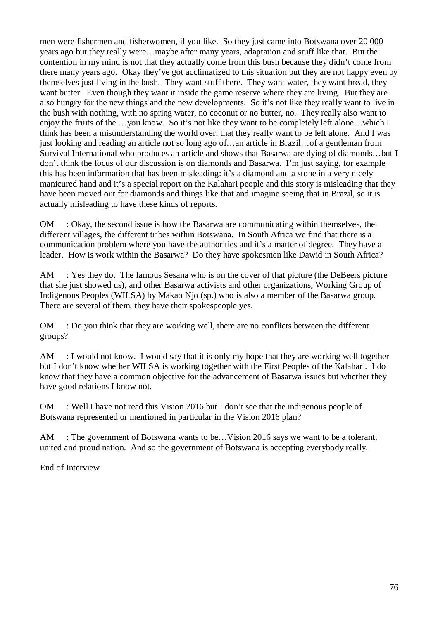men were fishermen and fisherwomen, if you like. So they just came into Botswana over 20 000 years ago but they really were…maybe after many years, adaptation and stuff like that. But the contention in my mind is not that they actually come from this bush because they didn't come from there many years ago. Okay they've got acclimatized to this situation but they are not happy even by themselves just living in the bush. They want stuff there. They want water, they want bread, they want butter. Even though they want it inside the game reserve where they are living. But they are also hungry for the new things and the new developments. So it's not like they really want to live in the bush with nothing, with no spring water, no coconut or no butter, no. They really also want to enjoy the fruits of the …you know. So it's not like they want to be completely left alone…which I think has been a misunderstanding the world over, that they really want to be left alone. And I was just looking and reading an article not so long ago of…an article in Brazil…of a gentleman from Survival International who produces an article and shows that Basarwa are dying of diamonds…but I don't think the focus of our discussion is on diamonds and Basarwa. I'm just saying, for example this has been information that has been misleading: it's a diamond and a stone in a very nicely manicured hand and it's a special report on the Kalahari people and this story is misleading that they have been moved out for diamonds and things like that and imagine seeing that in Brazil, so it is actually misleading to have these kinds of reports.

OM : Okay, the second issue is how the Basarwa are communicating within themselves, the different villages, the different tribes within Botswana. In South Africa we find that there is a communication problem where you have the authorities and it's a matter of degree. They have a leader. How is work within the Basarwa? Do they have spokesmen like Dawid in South Africa?

AM : Yes they do. The famous Sesana who is on the cover of that picture (the DeBeers picture that she just showed us), and other Basarwa activists and other organizations, Working Group of Indigenous Peoples (WILSA) by Makao Njo (sp.) who is also a member of the Basarwa group. There are several of them, they have their spokespeople yes.

OM : Do you think that they are working well, there are no conflicts between the different groups?

AM : I would not know. I would say that it is only my hope that they are working well together but I don't know whether WILSA is working together with the First Peoples of the Kalahari. I do know that they have a common objective for the advancement of Basarwa issues but whether they have good relations I know not.

OM : Well I have not read this Vision 2016 but I don't see that the indigenous people of Botswana represented or mentioned in particular in the Vision 2016 plan?

AM : The government of Botswana wants to be... Vision 2016 says we want to be a tolerant, united and proud nation. And so the government of Botswana is accepting everybody really.

End of Interview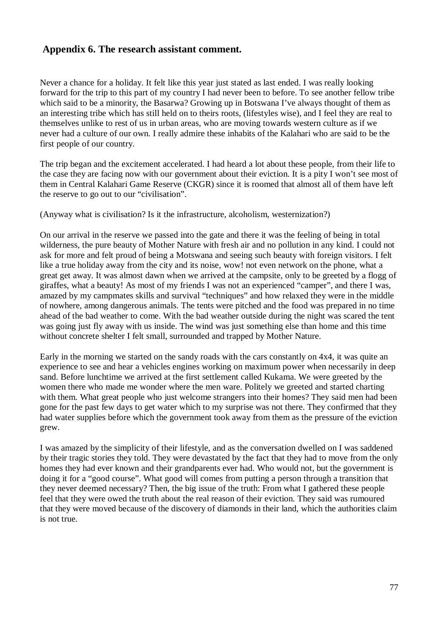# **Appendix 6. The research assistant comment.**

Never a chance for a holiday. It felt like this year just stated as last ended. I was really looking forward for the trip to this part of my country I had never been to before. To see another fellow tribe which said to be a minority, the Basarwa? Growing up in Botswana I've always thought of them as an interesting tribe which has still held on to theirs roots, (lifestyles wise), and I feel they are real to themselves unlike to rest of us in urban areas, who are moving towards western culture as if we never had a culture of our own. I really admire these inhabits of the Kalahari who are said to be the first people of our country.

The trip began and the excitement accelerated. I had heard a lot about these people, from their life to the case they are facing now with our government about their eviction. It is a pity I won't see most of them in Central Kalahari Game Reserve (CKGR) since it is roomed that almost all of them have left the reserve to go out to our "civilisation".

(Anyway what is civilisation? Is it the infrastructure, alcoholism, westernization?)

On our arrival in the reserve we passed into the gate and there it was the feeling of being in total wilderness, the pure beauty of Mother Nature with fresh air and no pollution in any kind. I could not ask for more and felt proud of being a Motswana and seeing such beauty with foreign visitors. I felt like a true holiday away from the city and its noise, wow! not even network on the phone, what a great get away. It was almost dawn when we arrived at the campsite, only to be greeted by a flogg of giraffes, what a beauty! As most of my friends I was not an experienced "camper", and there I was, amazed by my campmates skills and survival "techniques" and how relaxed they were in the middle of nowhere, among dangerous animals. The tents were pitched and the food was prepared in no time ahead of the bad weather to come. With the bad weather outside during the night was scared the tent was going just fly away with us inside. The wind was just something else than home and this time without concrete shelter I felt small, surrounded and trapped by Mother Nature.

Early in the morning we started on the sandy roads with the cars constantly on 4x4, it was quite an experience to see and hear a vehicles engines working on maximum power when necessarily in deep sand. Before lunchtime we arrived at the first settlement called Kukama. We were greeted by the women there who made me wonder where the men ware. Politely we greeted and started charting with them. What great people who just welcome strangers into their homes? They said men had been gone for the past few days to get water which to my surprise was not there. They confirmed that they had water supplies before which the government took away from them as the pressure of the eviction grew.

I was amazed by the simplicity of their lifestyle, and as the conversation dwelled on I was saddened by their tragic stories they told. They were devastated by the fact that they had to move from the only homes they had ever known and their grandparents ever had. Who would not, but the government is doing it for a "good course". What good will comes from putting a person through a transition that they never deemed necessary? Then, the big issue of the truth: From what I gathered these people feel that they were owed the truth about the real reason of their eviction. They said was rumoured that they were moved because of the discovery of diamonds in their land, which the authorities claim is not true.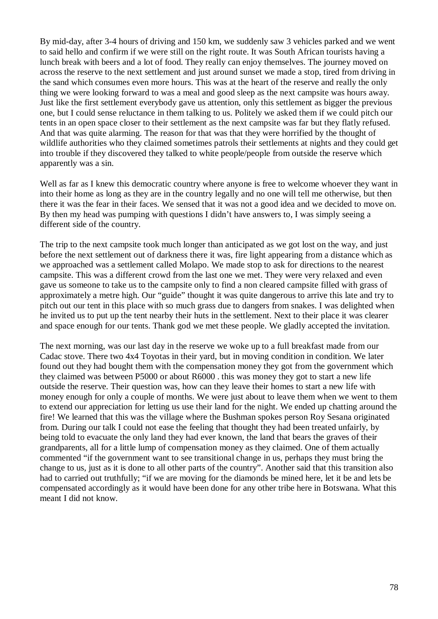By mid-day, after 3-4 hours of driving and 150 km, we suddenly saw 3 vehicles parked and we went to said hello and confirm if we were still on the right route. It was South African tourists having a lunch break with beers and a lot of food. They really can enjoy themselves. The journey moved on across the reserve to the next settlement and just around sunset we made a stop, tired from driving in the sand which consumes even more hours. This was at the heart of the reserve and really the only thing we were looking forward to was a meal and good sleep as the next campsite was hours away. Just like the first settlement everybody gave us attention, only this settlement as bigger the previous one, but I could sense reluctance in them talking to us. Politely we asked them if we could pitch our tents in an open space closer to their settlement as the next campsite was far but they flatly refused. And that was quite alarming. The reason for that was that they were horrified by the thought of wildlife authorities who they claimed sometimes patrols their settlements at nights and they could get into trouble if they discovered they talked to white people/people from outside the reserve which apparently was a sin.

Well as far as I knew this democratic country where anyone is free to welcome whoever they want in into their home as long as they are in the country legally and no one will tell me otherwise, but then there it was the fear in their faces. We sensed that it was not a good idea and we decided to move on. By then my head was pumping with questions I didn't have answers to, I was simply seeing a different side of the country.

The trip to the next campsite took much longer than anticipated as we got lost on the way, and just before the next settlement out of darkness there it was, fire light appearing from a distance which as we approached was a settlement called Molapo. We made stop to ask for directions to the nearest campsite. This was a different crowd from the last one we met. They were very relaxed and even gave us someone to take us to the campsite only to find a non cleared campsite filled with grass of approximately a metre high. Our "guide" thought it was quite dangerous to arrive this late and try to pitch out our tent in this place with so much grass due to dangers from snakes. I was delighted when he invited us to put up the tent nearby their huts in the settlement. Next to their place it was clearer and space enough for our tents. Thank god we met these people. We gladly accepted the invitation.

The next morning, was our last day in the reserve we woke up to a full breakfast made from our Cadac stove. There two 4x4 Toyotas in their yard, but in moving condition in condition. We later found out they had bought them with the compensation money they got from the government which they claimed was between P5000 or about R6000 . this was money they got to start a new life outside the reserve. Their question was, how can they leave their homes to start a new life with money enough for only a couple of months. We were just about to leave them when we went to them to extend our appreciation for letting us use their land for the night. We ended up chatting around the fire! We learned that this was the village where the Bushman spokes person Roy Sesana originated from. During our talk I could not ease the feeling that thought they had been treated unfairly, by being told to evacuate the only land they had ever known, the land that bears the graves of their grandparents, all for a little lump of compensation money as they claimed. One of them actually commented "if the government want to see transitional change in us, perhaps they must bring the change to us, just as it is done to all other parts of the country". Another said that this transition also had to carried out truthfully; "if we are moving for the diamonds be mined here, let it be and lets be compensated accordingly as it would have been done for any other tribe here in Botswana. What this meant I did not know.